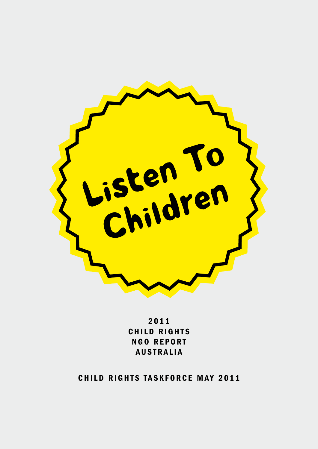

2 0 1 1 CHILD RIGHTS **NGO REPORT AUSTRALIA** 

CHILD RIGHTS TASKFORCE MAY 2011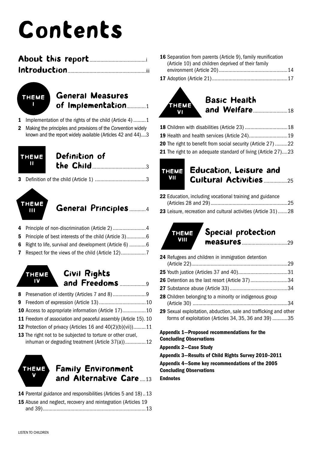# Contents



## General Measures of Implementation..............1

- 1 Implementation of the rights of the child (Article 4) ......... 1
- 2 Making the principles and provisions of the *Convention* widely known and the report widely available (Articles 42 and 44)....3

| <b>THEME</b> Definition of |
|----------------------------|
|                            |

3 Definition of the child (Article 1) .....................................3



## General Principles............4

| 4 Principle of non-discrimination (Article 2)4           |  |
|----------------------------------------------------------|--|
| 5 Principle of best interests of the child (Article 3)6  |  |
| 6 Right to life, survival and development (Article 6)  6 |  |
| 7 Respect for the views of the child (Article 12)        |  |

- 8 Preservation of identity (Articles 7 and 8)............................9 9 Freedom of expression (Article 13)..................................10 Civil Rights and Freedoms ...................9 Theme IV
- 10 Access to appropriate information (Article 17).................10 11 Freedom of association and peaceful assembly (Article 15). 10
- 12 Protection of privacy (Articles 16 and 40(2)(b)(vii)).........11
- 13 The right not to be subjected to torture or other cruel, inhuman or degrading treatment (Article 37(a))...............12



## Family Environment and Alternative Care ....13

- 14 Parental guidance and responsibilities (Articles 5 and 18)..13
- 15 Abuse and neglect, recovery and reintegration (Articles 19

```
and 39)...........................................................................13
```

| 16 Separation from parents (Article 9), family reunification |  |
|--------------------------------------------------------------|--|
| (Article 10) and children deprived of their family           |  |
|                                                              |  |
|                                                              |  |

17 Adoption (Article 21).......................................................17



## Basic Health and Welfare.........................18

| 20 The right to benefit from social security (Article 27) 22  |  |
|---------------------------------------------------------------|--|
| 21 The right to an adequate standard of living (Article 27)23 |  |



## Education, Leisure and Cultural Activities.................25

22 Education, including vocational training and guidance (Articles 28 and 29)........................................................25 23 Leisure, recreation and cultural activities (Article 31).......28



## Special protection measures.................................29

- 24 Refugees and children in immigration detention (Article 22)......................................................................29 25 Youth justice (Articles 37 and 40)....................................31 26 Detention as the last resort (Article 37).............................34 27 Substance abuse (Article 33)..........................................34 28 Children belonging to a minority or indigenous group (Article 30) .....................................................................34 29 Sexual exploitation, abduction, sale and trafficking and other
- forms of exploitation (Articles 34, 35, 36 and 39) ...........35

```
Appendix 1—Proposed recommendations for the 
Concluding Observations
```
Appendix 2—Case Study

Appendix 3—Results of Child Rights Survey 2010–2011

Appendix 4—Some key recommendations of the 2005 Concluding Observations

**Endnotes**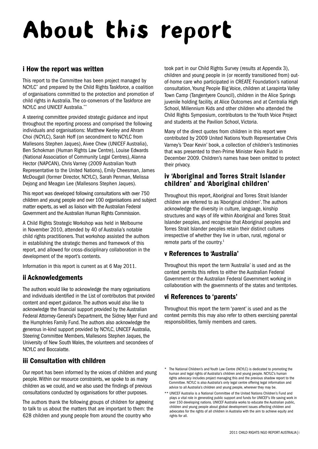# About this report

## i How the report was written

This report to the Committee has been project managed by NCYLC\* and prepared by the Child Rights Taskforce, a coalition of organisations committed to the protection and promotion of child rights in Australia. The co-convenors of the Taskforce are NCYLC and UNICEF Australia.\*\*

A steering committee provided strategic guidance and input throughout the reporting process and comprised the following individuals and organisations: Matthew Keeley and Ahram Choi (NCYLC), Sarah Hoff (on secondment to NCYLC from Mallesons Stephen Jaques), Aivee Chew (UNICEF Australia), Ben Schokman (Human Rights Law Centre), Louise Edwards (National Association of Community Legal Centres), Alanna Hector (NAPCAN), Chris Varney (2009 Australian Youth Representative to the United Nations), Emily Cheesman, James McDougall (former Director, NCYLC), Sarah Penman, Melissa Dejong and Meagan Lee (Mallesons Stephen Jaques).

This report was developed following consultations with over 750 children and young people and over 100 organisations and subject matter experts, as well as liaison with the Australian Federal Government and the Australian Human Rights Commission.

A Child Rights Strategic Workshop was held in Melbourne in November 2010, attended by 40 of Australia's notable child rights practitioners. That workshop assisted the authors in establishing the strategic themes and framework of this report, and allowed for cross-disciplinary collaboration in the development of the report's contents.

Information in this report is current as at 6 May 2011.

## ii Acknowledgements

The authors would like to acknowledge the many organisations and individuals identified in the List of contributors that provided content and expert guidance. The authors would also like to acknowledge the financial support provided by the Australian Federal Attorney-General's Department, the Sidney Myer Fund and the Humphries Family Fund. The authors also acknowledge the generous in-kind support provided by NCYLC, UNICEF Australia, Steering Committee Members, Mallesons Stephen Jaques, the University of New South Wales, the volunteers and secondees of NCYLC and Boccalatte.

## iii Consultation with children

Our report has been informed by the voices of children and young people. Within our resource constraints, we spoke to as many children as we could, and we also used the findings of previous consultations conducted by organisations for other purposes.

The authors thank the following groups of children for agreeing to talk to us about the matters that are important to them: the 628 children and young people from around the country who

took part in our Child Rights Survey (results at Appendix 3), children and young people in (or recently transitioned from) outof-home care who participated in CREATE Foundation's national consultation, Young People Big Voice, children at Larapinta Valley Town Camp (Tangentyere Council), children in the Alice Springs juvenile holding facility, at Alice Outcomes and at Centralia High School, Millennium Kids and other children who attended the Child Rights Symposium, contributors to the Youth Voice Project and students at the Pavilion School, Victoria.

Many of the direct quotes from children in this report were contributed by 2009 United Nations Youth Representative Chris Varney's 'Dear Kevin' book, a collection of children's testimonies that was presented to then-Prime Minister Kevin Rudd in December 2009. Children's names have been omitted to protect their privacy.

## iv 'Aboriginal and Torres Strait Islander children' and 'Aboriginal children'

Throughout this report, Aboriginal and Torres Strait Islander children are referred to as 'Aboriginal children'. The authors acknowledge the diversity in culture, language, kinship structures and ways of life within Aboriginal and Torres Strait Islander peoples, and recognise that Aboriginal peoples and Torres Strait Islander peoples retain their distinct cultures irrespective of whether they live in urban, rural, regional or remote parts of the country.<sup>1</sup>

## v References to 'Australia'

Throughout this report the term 'Australia' is used and as the context permits this refers to either the Australian Federal Government or the Australian Federal Government working in collaboration with the governments of the states and territories.

## vi References to 'parents'

Throughout this report the term 'parent' is used and as the context permits this may also refer to others exercising parental responsibilities, family members and carers.

The National Children's and Youth Law Centre (NCYLC) is dedicated to promoting the human and legal rights of Australia's children and young people. NCYLC's human rights advocacy includes project managing this and the previous shadow report to the Committee. NCYLC is also Australia's only legal centre offering legal information and advice to all Australia's children and young people, wherever they may be.

<sup>\*\*</sup> UNICEF Australia is a National Committee of the United Nations Children's Fund and plays a vital role in generating public support and funds for UNICEF's life saving work in over 150 developing nations. UNICEF Australia works to educate the Australian public, children and young people about global development issues affecting children and advocates for the rights of all children in Australia with the aim to achieve equity and rights for all.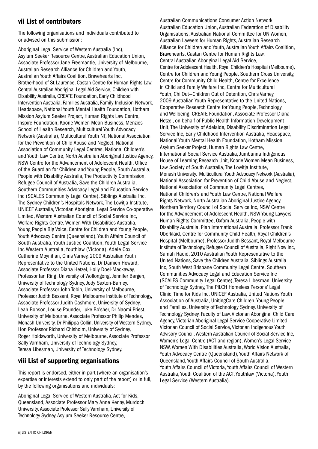## vii List of contributors

The following organisations and individuals contributed to or advised on this submission:

Aboriginal Legal Service of Western Australia (Inc), Asylum Seeker Resource Centre, Australian Education Union, Associate Professor Jane Freemantle, University of Melbourne, Australian Research Alliance for Children and Youth, Australian Youth Affairs Coalition, Bravehearts Inc, Brotherhood of St Laurence, Castan Centre for Human Rights Law, Central Australian Aboriginal Legal Aid Service, Children with Disability Australia, CREATE Foundation, Early Childhood Intervention Australia, Families Australia, Family Inclusion Network, Headspace, National Youth Mental Health Foundation, Hotham Mission Asylum Seeker Project, Human Rights Law Centre, Inspire Foundation, Koorie Women Mean Business, Menzies School of Health Research, Multicultural Youth Advocacy Network (Australia), Multicultural Youth NT, National Association for the Prevention of Child Abuse and Neglect, National Association of Community Legal Centres, National Children's and Youth Law Centre, North Australian Aboriginal Justice Agency, NSW Centre for the Advancement of Adolescent Health, Office of the Guardian for Children and Young People, South Australia, People with Disability Australia, The Productivity Commission, Refugee Council of Australia, Save the Children Australia, Southern Communities Advocacy Legal and Education Service Inc (SCALES Community Legal Centre), Siblings Australia Inc, The Sydney Children's Hospitals Network, The Lowitja Institute, UNICEF Australia, Victorian Aboriginal Legal Service Co-operative Limited, Western Australian Council of Social Service Inc, Welfare Rights Centre, Women With Disabilities Australia, Young People Big Voice, Centre for Children and Young People, Youth Advocacy Centre (Queensland), Youth Affairs Council of South Australia, Youth Justice Coalition, Youth Legal Service Inc Western Australia, Youthlaw (Victoria), Adele Cox, Catherine Moynihan, Chris Varney, 2009 Australian Youth Representative to the United Nations, Dr Damien Howard, Associate Professor Diana Hetzel, Holly Doel-Mackaway, Professor Ian Ring, University of Wollongong, Jennifer Bargen, University of Technology Sydney, Jody Saxton-Barney, Associate Professor John Tobin, University of Melbourne, Professor Judith Bessant, Royal Melbourne Institute of Technology, Associate Professor Judith Cashmore, University of Sydney, Leah Bonson, Louise Pounder, Luke Bo'sher, Dr Naomi Priest, University of Melbourne, Associate Professor Philip Mendes, Monash University, Dr Philippa Collin, University of Western Sydney, Hon Professor Richard Chisholm, University of Sydney, Roger Holdsworth, University of Melbourne, Associate Professor Sally Varnham, University of Technology Sydney, Teresa Libesman, University of Technology Sydney.

## viii List of supporting organisations

This report is endorsed, either in part (where an organisation's expertise or interests extend to only part of the report) or in full, by the following organisations and individuals:

Aboriginal Legal Service of Western Australia, Act for Kids, Queensland, Associate Professor Mary Anne Kenny, Murdoch University, Associate Professor Sally Varnham, University of Technology Sydney, Asylum Seeker Resource Centre,

Australian Communications Consumer Action Network, Australian Education Union, Australian Federation of Disability Organisations, Australian National Committee for UN Women, Australian Lawyers for Human Rights, Australian Research Alliance for Children and Youth, Australian Youth Affairs Coalition, Bravehearts, Castan Centre for Human Rights Law, Central Australian Aboriginal Legal Aid Service, Centre for Adolescent Health, Royal Children's Hospital (Melbourne), Centre for Children and Young People, Southern Cross University, Centre for Community Child Health, Centre for Excellence in Child and Family Welfare Inc, Centre for Multicultural Youth, ChilOut—Children Out of Detention, Chris Varney, 2009 Australian Youth Representative to the United Nations, Cooperative Research Centre for Young People, Technology and Wellbeing, CREATE Foundation, Associate Professor Diana Hetzel, on behalf of Public Health Information Development Unit, The University of Adelaide, Disability Discrimination Legal Service Inc, Early Childhood Intervention Australia, Headspace, National Youth Mental Health Foundation, Hotham Mission Asylum Seeker Project, Human Rights Law Centre, International Social Service Australia, Jumbunna Indigenous House of Learning Research Unit, Koorie Women Mean Business, Law Society of South Australia, The Lowitja Institute, Monash University, Multicultural Youth Advocacy Network (Australia), National Association for Prevention of Child Abuse and Neglect, National Association of Community Legal Centres, National Children's and Youth Law Centre, National Welfare Rights Network, North Australian Aboriginal Justice Agency, Northern Territory Council of Social Service Inc, NSW Centre for the Advancement of Adolescent Health, NSW Young Lawyers Human Rights Committee, Oxfam Australia, People with Disability Australia, Plan International Australia, Professor Frank Oberklaid, Centre for Community Child Health, Royal Children's Hospital (Melbourne), Professor Judith Bessant, Royal Melbourne Institute of Technology, Refugee Council of Australia, Right Now Inc, Samah Hadid, 2010 Australian Youth Representative to the United Nations, Save the Children Australia, Siblings Australia Inc, South West Brisbane Community Legal Centre, Southern Communities Advocacy Legal and Education Service Inc (SCALES Community Legal Centre), Teresa Libesman, University of Technology Sydney, The PILCH Homeless Persons' Legal Clinic, Time for Kids Inc, UNICEF Australia, United Nations Youth Association of Australia, UnitingCare Children, Young People and Families, University of Technology Sydney, University of Technology Sydney, Faculty of Law, Victorian Aboriginal Child Care Agency, Victorian Aboriginal Legal Service Cooperative Limited, Victorian Council of Social Service, Victorian Indigenous Youth Advisory Council, Western Australian Council of Social Service Inc, Women's Legal Centre (ACT and region), Women's Legal Service NSW, Women With Disabilities Australia, World Vision Australia, Youth Advocacy Centre (Queensland), Youth Affairs Network of Queensland, Youth Affairs Council of South Australia, Youth Affairs Council of Victoria, Youth Affairs Council of Western Australia, Youth Coalition of the ACT, Youthlaw (Victoria), Youth Legal Service (Western Australia).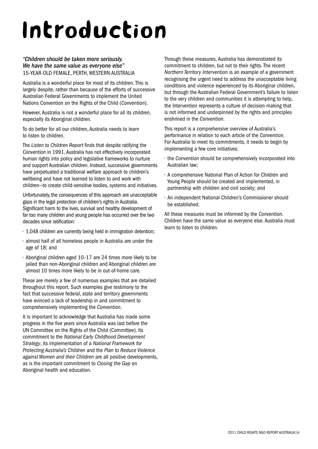# Introduction

#### *"Children should be taken more seriously. We have the same value as everyone else"* 15-year-old female, Perth, Western Australia

Australia is a wonderful place for most of its children. This is largely despite, rather than because of the efforts of successive Australian Federal Governments to implement the United Nations Convention on the Rights of the Child (*Convention*).

However, Australia is not a wonderful place for all its children, especially its Aboriginal children.

To do better for all our children, Australia needs to learn to listen to children.

The *Listen to Children Report* finds that despite ratifying the *Convention* in 1991, Australia has not effectively incorporated human rights into policy and legislative frameworks to nurture and support Australian children. Instead, successive governments have perpetuated a traditional welfare approach to children's wellbeing and have not learned to listen to and work with children—to create child-sensitive bodies, systems and initiatives.

Unfortunately, the consequences of this approach are unacceptable gaps in the legal protection of children's rights in Australia. Significant harm to the lives, survival and healthy development of far too many children and young people has occurred over the two decades since ratification:

- 1,048 children are currently being held in immigration detention;
- almost half of all homeless people in Australia are under the age of 18; and
- Aboriginal children aged 10–17 are 24 times more likely to be jailed than non-Aboriginal children and Aboriginal children are almost 10 times more likely to be in out-of-home care.

These are merely a few of numerous examples that are detailed throughout this report. Such examples give testimony to the fact that successive federal, state and territory governments have evinced a lack of leadership in and commitment to comprehensively implementing the *Convention*.

It is important to acknowledge that Australia has made some progress in the five years since Australia was last before the UN Committee on the Rights of the Child (Committee). Its commitment to the *National Early Childhood Development Strategy*, its implementation of a *National Framework for Protecting Australia's Children* and the *Plan to Reduce Violence against Women and their Children* are all positive developments, as is the important commitment to *Closing the Gap* on Aboriginal health and education.

Through these measures, Australia has demonstrated its commitment to children, but not to their rights. The recent *Northern Territory Intervention* is an example of a government recognising the urgent need to address the unacceptable living conditions and violence experienced by its Aboriginal children, but through the Australian Federal Government's failure to listen to the very children and communities it is attempting to help, the Intervention represents a culture of decision-making that is not informed and underpinned by the rights and principles enshrined in the *Convention*.

This report is a comprehensive overview of Australia's performance in relation to each article of the *Convention*. For Australia to meet its commitments, it needs to begin by implementing a few core initiatives:

- the *Convention* should be comprehensively incorporated into Australian law;
- A comprehensive National Plan of Action for Children and Young People should be created and implemented, in partnership with children and civil society; and
- An independent National Children's Commissioner should be established.

All these measures must be informed by the *Convention.*  Children have the same value as everyone else. Australia must learn to listen to children.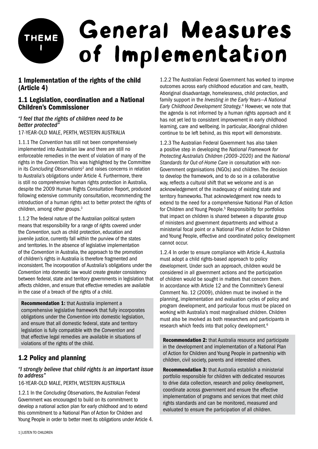## General Measures of Implementation Theme I

## 1 Implementation of the rights of the child (Article 4)

## 1.1 Legislation, coordination and a National Children's Commissioner

#### *"I feel that the rights of children need to be better protected"*

17-year-old male, Perth, Western Australia

1.1.1 The *Convention* has still not been comprehensively implemented into Australian law and there are still no enforceable remedies in the event of violation of many of the rights in the *Convention*. This was highlighted by the Committee in its *Concluding Observations*<sup>2</sup> and raises concerns in relation to Australia's obligations under Article 4*.* Furthermore, there is still no comprehensive human rights protection in Australia, despite the 2009 Human Rights Consultation Report, produced following extensive community consultation, recommending the introduction of a human rights act to better protect the rights of children, among other groups.<sup>3</sup>

1.1.2 The federal nature of the Australian political system means that responsibility for a range of rights covered under the *Convention*, such as child protection, education and juvenile justice, currently fall within the purview of the states and territories. In the absence of legislative implementation of the *Convention* in Australia, the approach to the promotion of children's rights in Australia is therefore fragmented and inconsistent. The incorporation of Australia's obligations under the *Convention* into domestic law would create greater consistency between federal, state and territory governments in legislation that affects children, and ensure that effective remedies are available in the case of a breach of the rights of a child.

Recommendation 1: that Australia implement a comprehensive legislative framework that fully incorporates obligations under the *Convention* into domestic legislation, and ensure that all domestic federal, state and territory legislation is fully compatible with the *Convention* and that effective legal remedies are available in situations of violations of the rights of the child.

## 1.2 Policy and planning

#### *"I strongly believe that child rights is an important issue to address"*

#### 16-year-old male, Perth, Western Australia

1.2.1 In the *Concluding Observations*, the Australian Federal Government was encouraged to build on its commitment to develop a national action plan for early childhood and to extend this commitment to a National Plan of Action for Children and Young People in order to better meet its obligations under Article 4. 1.2.2 The Australian Federal Government has worked to improve outcomes across early childhood education and care, health, Aboriginal disadvantage, homelessness, child protection, and family support in the *Investing in the Early Years—A National Early Childhood Development Strategy.*<sup>4</sup> However, we note that the agenda is not informed by a human rights approach and it has not yet led to consistent improvement in early childhood learning, care and wellbeing. In particular, Aboriginal children continue to be left behind, as this report will demonstrate.

1.2.3 The Australian Federal Government has also taken a positive step in developing the *National Framework for Protecting Australia's Children (2009–2020)* and the *National Standards for Out-of-Home Care* in consultation with non-Government organisations (NGOs) and children. The decision to develop the framework, and to do so in a collaborative way, reflects a cultural shift that we welcome and is an acknowledgement of the inadequacy of existing state and territory frameworks. That acknowledgement now needs to extend to the need for a comprehensive National Plan of Action for Children and Young People.<sup>5</sup> Responsibility for portfolios that impact on children is shared between a disparate group of ministers and government departments and without a ministerial focal point or a National Plan of Action for Children and Young People, effective and coordinated policy development cannot occur.

1.2.4 In order to ensure compliance with Article 4, Australia must adopt a child rights-based approach to policy development. Under such an approach, children would be considered in all government actions and the participation of children would be sought in matters that concern them. In accordance with Article 12 and the Committee's General Comment No. 12 (2009), children must be involved in the planning, implementation and evaluation cycles of policy and program development, and particular focus must be placed on working with Australia's most marginalised children. Children must also be involved as both researchers and participants in research which feeds into that policy development.<sup>6</sup>

Recommendation 2: that Australia resource and participate in the development and implementation of a National Plan of Action for Children and Young People in partnership with children, civil society, parents and interested others.

Recommendation 3: that Australia establish a ministerial portfolio responsible for children with dedicated resources to drive data collection, research and policy development, coordinate across government and ensure the effective implementation of programs and services that meet child rights standards and can be monitored, measured and evaluated to ensure the participation of all children.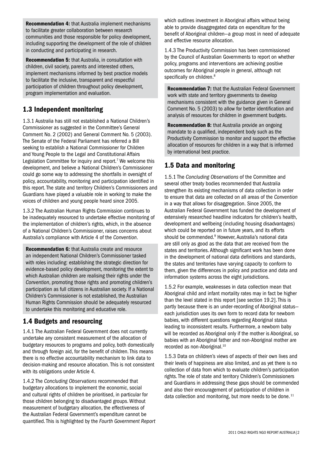Recommendation 4: that Australia implement mechanisms to facilitate greater collaboration between research communities and those responsible for policy development, including supporting the development of the role of children in conducting and participating in research.

Recommendation 5: that Australia, in consultation with children, civil society, parents and interested others, implement mechanisms informed by best practice models to facilitate the inclusive, transparent and respectful participation of children throughout policy development, program implementation and evaluation.

## 1.3 Independent monitoring

1.3.1 Australia has still not established a National Children's Commissioner as suggested in the Committee's General Comment No. 2 (2002) and General Comment No*.* 5 (2003). The Senate of the Federal Parliament has referred a Bill seeking to establish a National Commissioner for Children and Young People to the Legal and Constitutional Affairs Legislation Committee for inquiry and report.<sup>7</sup> We welcome this development, and believe a National Children's Commissioner could go some way to addressing the shortfalls in oversight of policy, accountability, monitoring and participation identified in this report. The state and territory Children's Commissioners and Guardians have played a valuable role in working to make the voices of children and young people heard since 2005.

1.3.2 The Australian Human Rights Commission continues to be inadequately resourced to undertake effective monitoring of the implementation of children's rights, which, in the absence of a National Children's Commissioner, raises concerns about Australia's compliance with Article 4 of the *Convention*.

Recommendation 6: that Australia create and resource an independent National Children's Commissioner tasked with roles including: establishing the strategic direction for evidence-based policy development, monitoring the extent to which Australian children are realising their rights under the *Convention*, promoting those rights and promoting children's participation as full citizens in Australian society. If a National Children's Commissioner is not established, the Australian Human Rights Commission should be adequately resourced to undertake this monitoring and educative role.

## 1.4 Budgets and resourcing

1.4.1 The Australian Federal Government does not currently undertake any consistent measurement of the allocation of budgetary resources to programs and policy, both domestically and through foreign aid, for the benefit of children. This means there is no effective accountability mechanism to link data to decision-making and resource allocation. This is not consistent with its obligations under Article 4.

1.4.2 The *Concluding Observations* recommended that budgetary allocations to implement the economic, social and cultural rights of children be prioritised, in particular for those children belonging to disadvantaged groups. Without measurement of budgetary allocation, the effectiveness of the Australian Federal Government's expenditure cannot be quantified. This is highlighted by the *Fourth Government Report* which outlines investment in Aboriginal affairs without being able to provide disaggregated data on expenditure for the benefit of Aboriginal children—a group most in need of adequate and effective resource allocation.

1.4.3 The Productivity Commission has been commissioned by the Council of Australian Governments to report on whether policy, programs and interventions are achieving positive outcomes for Aboriginal people in general, although not specifically on children.<sup>8</sup>

Recommendation 7: that the Australian Federal Government work with state and territory governments to develop mechanisms consistent with the guidance given in General Comment No. 5 (2003) to allow for better identification and analysis of resources for children in government budgets.

Recommendation 8: that Australia provide an ongoing mandate to a qualified, independent body such as the Productivity Commission to monitor and support the effective allocation of resources for children in a way that is informed by international best practice.

## 1.5 Data and monitoring

1.5.1 The *Concluding Observations* of the Committee and several other treaty bodies recommended that Australia strengthen its existing mechanisms of data collection in order to ensure that data are collected on all areas of the *Convention*  in a way that allows for disaggregation. Since 2005, the Australian Federal Government has funded the development of extensively researched headline indicators for children's health, development and wellbeing (including housing disadvantages) which could be reported on in future years, and its efforts should be commended.<sup>9</sup> However, Australia's national data are still only as good as the data that are received from the states and territories. Although significant work has been done in the development of national data definitions and standards, the states and territories have varying capacity to conform to them, given the differences in policy and practice and data and information systems across the eight jurisdictions.

1.5.2 For example, weaknesses in data collection mean that Aboriginal child and infant mortality rates may in fact be higher than the level stated in this report [see section 19.2]. This is partly because there is an under-recording of Aboriginal status each jurisdiction uses its own form to record data for newborn babies, with different questions regarding Aboriginal status leading to inconsistent results. Furthermore, a newborn baby will be recorded as Aboriginal only if the mother is Aboriginal, so babies with an Aboriginal father and non-Aboriginal mother are recorded as non-Aboriginal.<sup>10</sup>

1.5.3 Data on children's views of aspects of their own lives and their levels of happiness are also limited, and as yet there is no collection of data from which to evaluate children's participation rights. The role of state and territory Children's Commissioners and Guardians in addressing these gaps should be commended and also their encouragement of participation of children in data collection and monitoring, but more needs to be done.<sup>11</sup>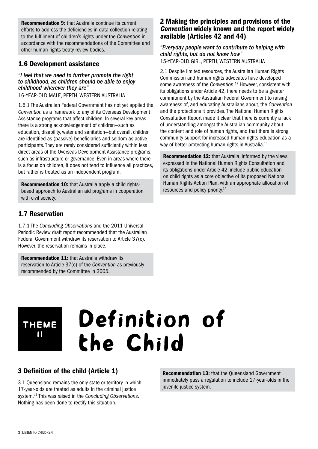Recommendation 9: that Australia continue its current efforts to address the deficiencies in data collection relating to the fulfilment of children's rights under the *Convention* in accordance with the recommendations of the Committee and other human rights treaty review bodies.

## 1.6 Development assistance

#### *"I feel that we need to further promote the right to childhood, as children should be able to enjoy childhood wherever they are"*

16-year-old male, Perth, Western Australia

1.6.1 The Australian Federal Government has not yet applied the *Convention* as a framework to any of its Overseas Development Assistance programs that affect children. In several key areas there is a strong acknowledgement of children—such as education, disability, water and sanitation—but overall, children are identified as (passive) beneficiaries and seldom as active participants. They are rarely considered sufficiently within less direct areas of the Overseas Development Assistance programs, such as infrastructure or governance. Even in areas where there is a focus on children, it does not tend to influence all practices, but rather is treated as an independent program.

Recommendation 10: that Australia apply a child rightsbased approach to Australian aid programs in cooperation with civil society.

## 1.7 Reservation

1.7.1 The *Concluding Observations* and the 2011 Universal Periodic Review draft report recommended that the Australian Federal Government withdraw its reservation to Article 37(c). However, the reservation remains in place.

Recommendation 11: that Australia withdraw its reservation to Article 37(c) of the *Convention* as previously recommended by the Committee in 2005.

## 2 Making the principles and provisions of the Convention widely known and the report widely available (Articles 42 and 44)

*"Everyday people want to contribute to helping with child rights, but do not know how"* 15-year-old girl, Perth, Western Australia

2.1 Despite limited resources, the Australian Human Rights Commission and human rights advocates have developed some awareness of the *Convention*. 12 However, consistent with its obligations under Article 42, there needs to be a greater commitment by the Australian Federal Government to raising awareness of, and educating Australians about, the *Convention*  and the protections it provides. The National Human Rights Consultation Report made it clear that there is currently a lack of understanding amongst the Australian community about the content and role of human rights, and that there is strong community support for increased human rights education as a way of better protecting human rights in Australia.<sup>13</sup>

Recommendation 12: that Australia, informed by the views expressed in the National Human Rights Consultation and its obligations under Article 42, include public education on child rights as a core objective of its proposed National Human Rights Action Plan, with an appropriate allocation of resources and policy priority.14

## Theme II

# Definition of the Child

## 3 Definition of the child (Article 1)

3.1 Queensland remains the only state or territory in which 17-year-olds are treated as adults in the criminal justice system.15 This was raised in the *Concluding Observations*. Nothing has been done to rectify this situation.

Recommendation 13: that the Queensland Government immediately pass a regulation to include 17-year-olds in the juvenile justice system.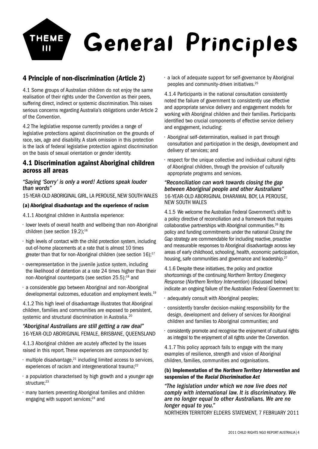

## 4 Principle of non-discrimination (Article 2)

4.1 Some groups of Australian children do not enjoy the same realisation of their rights under the *Convention* as their peers, suffering direct, indirect or systemic discrimination. This raises serious concerns regarding Australia's obligations under Article 2 of the *Convention*.

4.2 The legislative response currently provides a range of legislative protections against discrimination on the grounds of race, sex, age and disability. A stark omission in this protection is the lack of federal legislative protection against discrimination on the basis of sexual orientation or gender identity.

## 4.1 Discrimination against Aboriginal children across all areas

#### *"Saying 'Sorry' is only a word! Actions speak louder than words"*

15-year-old Aboriginal girl, La Perouse, New South Wales

#### (a) Aboriginal disadvantage and the experience of racism

4.1.1 Aboriginal children in Australia experience:

- lower levels of overall health and wellbeing than non-Aboriginal children (see section 19.2):<sup>16</sup>
- high levels of contact with the child protection system, including out-of-home placements at a rate that is almost 10 times greater than that for non-Aboriginal children (see section  $16$ ):<sup>17</sup>
- overrepresentation in the juvenile justice system, including the likelihood of detention at a rate 24 times higher than their non-Aboriginal counterparts (see section 25.5);18 and
- a considerable gap between Aboriginal and non-Aboriginal developmental outcomes, education and employment levels.<sup>19</sup>

4.1.2 This high level of disadvantage illustrates that Aboriginal children, families and communities are exposed to persistent, systemic and structural discrimination in Australia.<sup>20</sup>

#### *"Aboriginal Australians are still getting a raw deal"* 16-year-old Aboriginal female, Brisbane, Queensland

4.1.3 Aboriginal children are acutely affected by the issues raised in this report. These experiences are compounded by:

- $\cdot$  multiple disadvantage,<sup>21</sup> including limited access to services, experiences of racism and intergenerational trauma;<sup>22</sup>
- a population characterised by high growth and a younger age structure:<sup>23</sup>
- many barriers preventing Aboriginal families and children engaging with support services;<sup>24</sup> and

• a lack of adequate support for self-governance by Aboriginal peoples and community-driven initiatives.25

4.1.4 Participants in the national consultation consistently noted the failure of government to consistently use effective and appropriate service delivery and engagement models for working with Aboriginal children and their families. Participants identified two crucial components of effective service delivery and engagement, including:

- Aboriginal self-determination, realised in part through consultation and participation in the design, development and delivery of services; and
- respect for the unique collective and individual cultural rights of Aboriginal children, through the provision of culturally appropriate programs and services.

#### *"Reconciliation can work towards closing the gap between Aboriginal people and other Australians"* 16-year-old Aboriginal Dharawal boy, La Perouse, New South Wales

4.1.5 We welcome the Australian Federal Government's shift to a policy directive of reconciliation and a framework that requires collaborative partnerships with Aboriginal communities.<sup>26</sup> Its policy and funding commitments under the national *Closing the Gap* strategy are commendable for including reactive, proactive and measurable responses to Aboriginal disadvantage across key areas of early childhood, schooling, health, economic participation, housing, safe communities and governance and leadership.<sup>27</sup>

4.1.6 Despite these initiatives, the policy and practice shortcomings of the continuing *Northern Territory Emergency Response* (*Northern Territory Intervention*) (discussed below) indicate an ongoing failure of the Australian Federal Government to:

- adequately consult with Aboriginal peoples;
- consistently transfer decision-making responsibility for the design, development and delivery of services for Aboriginal children and families to Aboriginal communities; and
- consistently promote and recognise the enjoyment of cultural rights as integral to the enjoyment of all rights under the *Convention*.

4.1.7 This policy approach fails to engage with the many examples of resilience, strength and vision of Aboriginal children, families, communities and organisations.

#### (b) Implementation of the *Northern Territory Intervention* and suspension of the *Racial Discrimination Act*

*"The legislation under which we now live does not comply with international law. It is discriminatory. We are no longer equal to other Australians. We are no longer equal to you."* Northern Territory Elders Statement, 7 February 2011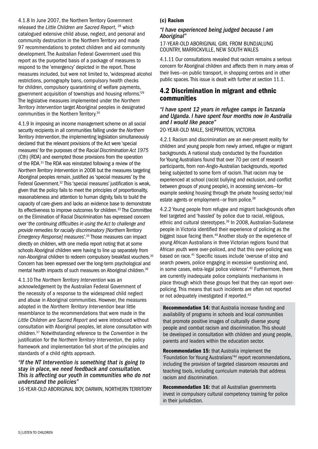5|LISTEN TO CHILDREN

4.1.8 In June 2007, the Northern Territory Government released the *Little Children are Sacred Report*, 28 which catalogued extensive child abuse, neglect, and personal and community destruction in the Northern Territory and made 97 recommendations to protect children and aid community development. The Australian Federal Government used this report as the purported basis of a package of measures to respond to the 'emergency' depicted in the report. Those measures included, but were not limited to, 'widespread alcohol restrictions, pornography bans, compulsory health checks for children, compulsory quarantining of welfare payments, government acquisition of townships and housing reforms.'29 The legislative measures implemented under the *Northern Territory Intervention* target Aboriginal peoples in designated communities in the Northern Territory.30

4.1.9 In imposing an income management scheme on all social security recipients in all communities falling under the *Northern Territory Intervention*, the implementing legislation simultaneously declared that the relevant provisions of the Act were 'special measures' for the purposes of the *Racial Discrimination Act 1975* (Cth) (RDA) and exempted those provisions from the operation of the RDA.31 The RDA was reinstated following a review of the *Northern Territory Intervention* in 2008 but the measures targeting Aboriginal peoples remain, justified as 'special measures' by the Federal Government.<sup>32</sup> This 'special measures' justification is weak, given that the policy fails to meet the principles of proportionality, reasonableness and attention to human dignity, fails to build the capacity of care-givers and lacks an evidence base to demonstrate its effectiveness to improve outcomes for children.<sup>33</sup> The Committee on the Elimination of Racial Discrimination has expressed concern over '*the continuing difficulties in using the Act to challenge and provide remedies for racially discriminatory [Northern Territory Emergency Response] measures'.*<sup>34</sup> Those measures can impact directly on children, with one media report noting that at some schools Aboriginal children were having to line up separately from non-Aboriginal children to redeem compulsory breakfast vouchers.35 Concern has been expressed over the long-term psychological and mental health impacts of such measures on Aboriginal children.<sup>36</sup>

#### 4.1.10 The *Northern Territory Intervention* was an

acknowledgement by the Australian Federal Government of the necessity of a response to the widespread child neglect and abuse in Aboriginal communities. However, the measures adopted in the *Northern Territory Intervention* bear little resemblance to the recommendations that were made in the *Little Children are Sacred Report* and were introduced without consultation with Aboriginal peoples, let alone consultation with children.37 Notwithstanding reference to the *Convention* in the justification for the *Northern Territory Intervention*, the policy framework and implementation fall short of the principles and standards of a child rights approach.

#### *"If the NT Intervention is something that is going to stay in place, we need feedback and consultation. This is affecting our youth in communities who do not understand the policies"*

16-year-old Aboriginal boy, Darwin, Northern Territory

#### (c) Racism

#### *"I have experienced being judged because I am Aboriginal"*

17-year-old Aboriginal girl from Bundjalung country, Marrickville, New South Wales

4.1.11 Our consultations revealed that racism remains a serious concern for Aboriginal children and affects them in many areas of their lives—on public transport, in shopping centres and in other public spaces. This issue is dealt with further at section 11.1.

## 4.2 Discrimination in migrant and ethnic communities

#### *"I have spent 12 years in refugee camps in Tanzania and Uganda. I have spent four months now in Australia and I would like peace"*

20-year-old male, Shepparton, Victoria

4.2.1 Racism and discrimination are an ever-present reality for children and young people from newly arrived, refugee or migrant backgrounds. A national study conducted by the Foundation for Young Australians found that over 70 per cent of research participants, from non-Anglo-Australian backgrounds, reported being subjected to some form of racism. That racism may be experienced at school (racist bullying and exclusion, and conflict between groups of young people), in accessing services—for example seeking housing through the private housing sector/real estate agents or employment-or from police.<sup>38</sup>

4.2.2 Young people from refugee and migrant backgrounds often feel targeted and 'hassled' by police due to racial, religious, ethnic and cultural stereotypes.<sup>39</sup> In 2008, Australian-Sudanese people in Victoria identified their experience of policing as the biggest issue facing them.40 Another study on the experience of young African Australians in three Victorian regions found that African youth were over-policed, and that this over-policing was based on race.41 Specific issues include 'overuse of stop and search powers, police engaging in excessive questioning and, in some cases, extra-legal police violence'.<sup>42</sup> Furthermore, there are currently inadequate police complaints mechanisms in place through which these groups feel that they can report overpolicing. This means that such incidents are often not reported or not adequately investigated if reported.<sup>43</sup>

Recommendation 14: that Australia increase funding and availability of programs in schools and local communities that promote positive images of culturally diverse young people and combat racism and discrimination. This should be developed in consultation with children and young people, parents and leaders within the education sector.

Recommendation 15: that Australia implement the 'Foundation for Young Australians'44 report recommendations, including the provision of targeted classroom resources and teaching tools, including curriculum materials that address racism and discrimination.

Recommendation 16: that all Australian governments invest in compulsory cultural competency training for police in their jurisdiction.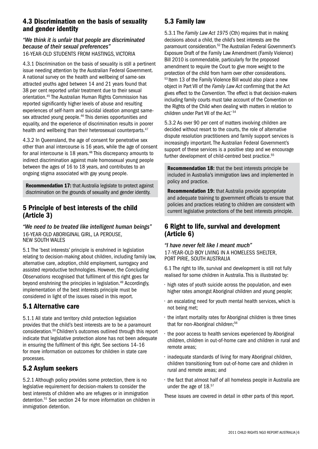## 4.3 Discrimination on the basis of sexuality and gender identity

## *"We think it is unfair that people are discriminated because of their sexual preferences"*

16-year-old students from Hastings, Victoria

4.3.1 Discrimination on the basis of sexuality is still a pertinent issue needing attention by the Australian Federal Government. A national survey on the health and wellbeing of same-sex attracted youths aged between 14 and 21 years found that 38 per cent reported unfair treatment due to their sexual orientation.45 The Australian Human Rights Commission has reported significantly higher levels of abuse and resulting experiences of self-harm and suicidal ideation amongst samesex attracted young people.<sup>46</sup> This denies opportunities and equality, and the experience of discrimination results in poorer health and wellbeing than their heterosexual counterparts.<sup>47</sup>

4.3.2 In Queensland, the age of consent for penetrative sex other than anal intercourse is 16 years, while the age of consent for anal intercourse is 18 years.<sup>48</sup> This discrepancy amounts to indirect discrimination against male homosexual young people between the ages of 16 to 18 years, and contributes to an ongoing stigma associated with gay young people.

Recommendation 17: that Australia legislate to protect against discrimination on the grounds of sexuality and gender identity.

## 5 Principle of best interests of the child (Article 3)

*"We need to be treated like intelligent human beings"* 16-year-old Aboriginal girl, La Perouse, New South Wales

5.1 The 'best interests' principle is enshrined in legislation relating to decision-making about children, including family law, alternative care, adoption, child employment, surrogacy and assisted reproductive technologies. However, the *Concluding Observations* recognised that fulfilment of this right goes far beyond enshrining the principles in legislation.<sup>49</sup> Accordingly, implementation of the best interests principle must be considered in light of the issues raised in this report.

## 5.1 Alternative care

5.1.1 All state and territory child protection legislation provides that the child's best interests are to be a paramount consideration.50 Children's outcomes outlined through this report indicate that legislative protection alone has not been adequate in ensuring the fulfilment of this right. See sections 14–16 for more information on outcomes for children in state care processes.

## 5.2 Asylum seekers

5.2.1 Although policy provides some protection, there is no legislative requirement for decision-makers to consider the best interests of children who are refugees or in immigration detention.51 See section 24 for more information on children in immigration detention.

## 5.3 Family law

5.3.1 The *Family Law Act 1975* (Cth) requires that in making decisions about a child, the child's best interests are the paramount consideration.52 The Australian Federal Government's Exposure Draft of the Family Law Amendment (Family Violence) Bill 2010 is commendable, particularly for the proposed amendment to require the Court to give more weight to the protection of the child from harm over other considerations. <sup>53</sup> Item 13 of the Family Violence Bill would also place a new object in Part VII of the *Family Law Act* confirming that the Act gives effect to the *Convention*. 'The effect is that decision-makers including family courts must take account of the Convention on the Rights of the Child when dealing with matters in relation to children under Part VII of the Act.' 54

5.3.2 As over 90 per cent of matters involving children are decided without resort to the courts, the role of alternative dispute resolution practitioners and family support services is increasingly important. The Australian Federal Government's support of these services is a positive step and we encourage further development of child-centred best practice.<sup>55</sup>

Recommendation 18: that the best interests principle be included in Australia's immigration laws and implemented in policy and practice.

Recommendation 19: that Australia provide appropriate and adequate training to government officials to ensure that policies and practices relating to children are consistent with current legislative protections of the best interests principle.

## 6 Right to life, survival and development (Article 6)

*"I have never felt like I meant much"* 17-year-old boy living in <sup>a</sup> homeless shelter, Port Pirie, South Australia

6.1 The right to life, survival and development is still not fully realised for some children in Australia. This is illustrated by:

- high rates of youth suicide across the population, and even higher rates amongst Aboriginal children and young people;
- an escalating need for youth mental health services, which is not being met;
- the infant mortality rates for Aboriginal children is three times that for non-Aboriginal children:<sup>56</sup>
- the poor access to health services experienced by Aboriginal children, children in out-of-home care and children in rural and remote areas;
- inadequate standards of living for many Aboriginal children, children transitioning from out-of-home care and children in rural and remote areas; and
- the fact that almost half of all homeless people in Australia are under the age of 18.<sup>57</sup>

These issues are covered in detail in other parts of this report.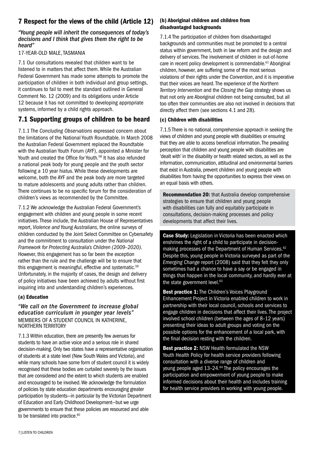## 7 Respect for the views of the child (Article 12)

#### *"Young people will inherit the consequences of today's decisions and I think that gives them the right to be heard"*

#### 17-year-old male, Tasmania

7.1 Our consultations revealed that children want to be listened to in matters that affect them. While the Australian Federal Government has made some attempts to promote the participation of children in both individual and group settings, it continues to fail to meet the standard outlined in General Comment No. 12 (2009) and its obligations under Article 12 because it has not committed to developing appropriate systems, informed by a child rights approach.

## 7.1 Supporting groups of children to be heard

7.1.1 The *Concluding Observations* expressed concern about the limitations of the National Youth Roundtable. In March 2008 the Australian Federal Government replaced the Roundtable with the Australian Youth Forum (AYF), appointed a Minister for Youth and created the Office for Youth.<sup>58</sup> It has also refunded a national peak body for young people and the youth sector following a 10 year hiatus. While these developments are welcome, both the AYF and the peak body are more targeted to mature adolescents and young adults rather than children. There continues to be no specific forum for the consideration of children's views as recommended by the Committee.

7.1.2 We acknowledge the Australian Federal Government's engagement with children and young people in some recent initiatives. These include, the Australian House of Representatives report, *Violence and Young Australians*, the online surveys of children conducted by the Joint Select Committee on Cybersafety and the commitment to consultation under the *National Framework for Protecting Australia's Children (2009–2020)*. However, this engagement has so far been the exception rather than the rule and the challenge will be to ensure that this engagement is meaningful, effective and systematic.<sup>59</sup> Unfortunately, in the majority of cases, the design and delivery of policy initiatives have been achieved by adults without first inquiring into and understanding children's experiences.

#### (a) Education

#### *"We call on the Government to increase global education curriculum in younger year levels"* members of a Student Council in Katherine, Northern Territory

7.1.3 Within education, there are presently few avenues for students to have an active voice and a serious role in shared decision-making. Only two states have a representative organisation of students at a state level (New South Wales and Victoria), and while many schools have some form of student council it is widely recognised that these bodies are curtailed severely by the issues that are considered and the extent to which students are enabled and encouraged to be involved. We acknowledge the formulation of policies by state education departments encouraging greater participation by students—in particular by the Victorian Department of Education and Early Childhood Development—but we urge governments to ensure that these policies are resourced and able to be translated into practice.<sup>60</sup>

#### (b) Aboriginal children and children from disadvantaged backgrounds

7.1.4 The participation of children from disadvantaged backgrounds and communities must be promoted to a central status within government, both in law reform and the design and delivery of services. The involvement of children in out-of-home care in recent policy development is commendable.<sup>61</sup> Aboriginal children, however, are suffering some of the most serious violations of their rights under the *Convention*, and it is imperative that their voices are heard. The experience of the *Northern Territory Intervention* and the *Closing the Gap* strategy shows us that not only are Aboriginal children not being consulted, but all too often their communities are also not involved in decisions that directly affect them (see sections 4.1 and 28).

#### (c) Children with disabilities

7.1.5 There is no national, comprehensive approach in seeking the views of children and young people with disabilities or ensuring that they are able to access beneficial information. The prevailing perception that children and young people with disabilities are 'dealt with' in the disability or health related sectors, as well as the information, communication, attitudinal and environmental barriers that exist in Australia, prevent children and young people with disabilities from having the opportunities to express their views on an equal basis with others.

Recommendation 20: that Australia develop comprehensive strategies to ensure that children and young people with disabilities can fully and equitably participate in consultations, decision-making processes and policy developments that affect their lives.

Case Study: Legislation in Victoria has been enacted which enshrines the right of a child to participate in decisionmaking processes of the Department of Human Services.<sup>62</sup> Despite this, young people in Victoria surveyed as part of the *Emerging Change* report (2008) said that they felt they only sometimes had a chance to have a say or be engaged in things that happen in the local community, and hardly ever at the state government level.<sup>63</sup>

Best practice 1: The Children's Voices Playground Enhancement Project in Victoria enabled children to work in partnership with their local council, schools and services to engage children in decisions that affect their lives. The project involved school children (between the ages of 8–12 years) presenting their ideas to adult groups and voting on the possible options for the enhancement of a local park, with the final decision resting with the children.

Best practice 2: NSW Health formulated the NSW Youth Health Policy for health service providers following consultation with a diverse range of children and young people aged 13-24.<sup>64</sup> The policy encourages the participation and empowerment of young people to make informed decisions about their health and includes training for health service providers in working with young people.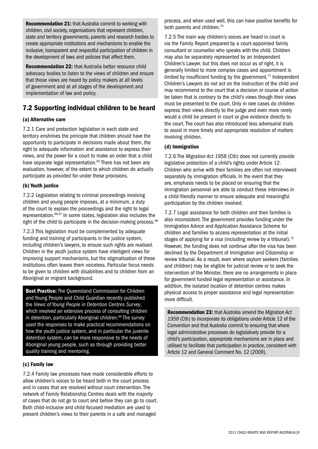Recommendation 21: that Australia commit to working with children, civil society, organisations that represent children, state and territory governments, parents and research bodies to create appropriate institutions and mechanisms to enable the inclusive, transparent and respectful participation of children in the development of laws and policies that affect them.

Recommendation 22: that Australia better resource child advocacy bodies to listen to the views of children and ensure that those views are heard by policy makers at all levels of government and at all stages of the development and implementation of law and policy.

## 7.2 Supporting individual children to be heard

#### (a) Alternative care

7.2.1 Care and protection legislation in each state and territory enshrines the principle that children should have the opportunity to participate in decisions made about them, the right to adequate information and assistance to express their views, and the power for a court to make an order that a child have separate legal representation.<sup>65</sup> There has not been any evaluation, however, of the extent to which children do actually participate as provided for under these provisions.

#### (b) Youth justice

7.2.2 Legislation relating to criminal proceedings involving children and young people imposes, at a minimum, a duty of the court to explain the proceedings and the right to legal representation.66,67 In some states, legislation also includes the right of the child to participate in the decision-making process.<sup>68</sup>

7.2.3 This legislation must be complemented by adequate funding and training of participants in the justice system, including children's lawyers, to ensure such rights are realised. Children in the youth justice system have intelligent views for improving support mechanisms, but the stigmatisation of these institutions often leaves them voiceless. Particular focus needs to be given to children with disabilities and to children from an Aboriginal or migrant background.

**Best Practice:** The Queensland Commission for Children and Young People and Child Guardian recently published the *Views of Young People in Detention Centres Survey*, which involved an extensive process of consulting children in detention, particularly Aboriginal children.<sup>69</sup> The survey used the responses to make practical recommendations on how the youth justice system, and in particular the juvenile detention system, can be more responsive to the needs of Aboriginal young people, such as through providing better quality training and mentoring.

#### (c) Family law

7.2.4 Family law processes have made considerable efforts to allow children's voices to be heard both in the court process and in cases that are resolved without court intervention. The network of Family Relationship Centres deals with the majority of cases that do not go to court and before they can go to court. Both child-inclusive and child-focused mediation are used to present children's views to their parents in a safe and managed

process, and when used well, this can have positive benefits for both parents and children.<sup>70</sup>

7.2.5 The main way children's voices are heard in court is via the Family Report prepared by a court-appointed family consultant or counsellor who speaks with the child. Children may also be separately represented by an Independent Children's Lawyer, but this does not occur as of right, it is generally limited to more complex cases and appointment is limited by insufficient funding by the government.<sup>71</sup> Independent Children's Lawyers do not act on the instruction of the child and may recommend to the court that a decision or course of action be taken that is contrary to the child's views though their views must be presented to the court. Only in rare cases do children express their views directly to the judge and even more rarely would a child be present in court or give evidence directly to the court. The court has also introduced less adversarial trials to assist in more timely and appropriate resolution of matters involving children.

#### (d) Immigration

7.2.6 The *Migration Act 1958* (Cth) does not currently provide legislative protection of a child's rights under Article 12. Children who arrive with their families are often not interviewed separately by immigration officials. In the event that they are, emphasis needs to be placed on ensuring that the immigration personnel are able to conduct these interviews in a child-friendly manner to ensure adequate and meaningful participation by the children involved.

7.2.7 Legal assistance for both children and their families is also inconsistent. The government provides funding under the Immigration Advice and Application Assistance Scheme for children and families to access representation at the initial stages of applying for a visa (including review by a tribunal).<sup>72</sup> However, the funding does not continue after the visa has been declined by the Department of Immigration and Citizenship or review tribunal. As a result, even where asylum seekers (families and children) may be eligible for judicial review or to seek the intervention of the Minister, there are no arrangements in place for government funded legal representation or assistance. In addition, the isolated location of detention centres makes physical access to proper assistance and legal representation more difficult.

Recommendation 23: that Australia amend the *Migration Act 1958* (Cth) to incorporate its obligations under Article 12 of the *Convention* and that Australia commit to ensuring that where legal administrative processes do legislatively provide for a child's participation, appropriate mechanisms are in place and utilised to facilitate that participation in practice, consistent with Article 12 and General Comment No. 12 (2009).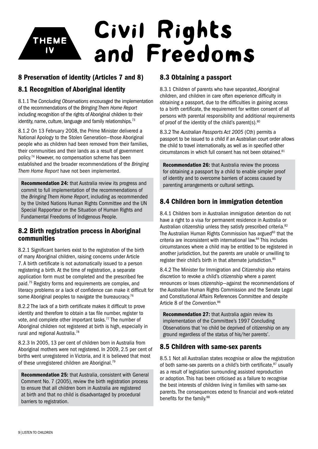## Civil Rights and Freedoms Theme Iv

## 8 Preservation of identity (Articles 7 and 8)

## 8.1 Recognition of Aboriginal identity

8.1.1 The *Concluding Observations* encouraged the implementation of the recommendations of the *Bringing Them Home Report* including recognition of the rights of Aboriginal children to their identity, name, culture, language and family relationships.<sup>73</sup>

8.1.2 On 13 February 2008, the Prime Minister delivered a National Apology to the Stolen Generation—those Aboriginal people who as children had been removed from their families, their communities and their lands as a result of government policy.74 However, no compensation scheme has been established and the broader recommendations of the *Bringing Them Home Report* have not been implemented.

Recommendation 24: that Australia review its progress and commit to full implementation of the recommendations of the *Bringing Them Home Report*, including as recommended by the United Nations Human Rights Committee and the UN Special Rapporteur on the Situation of Human Rights and Fundamental Freedoms of Indigenous People.

## 8.2 Birth registration process in Aboriginal communities

8.2.1 Significant barriers exist to the registration of the birth of many Aboriginal children, raising concerns under Article 7. A birth certificate is not automatically issued to a person registering a birth. At the time of registration, a separate application form must be completed and the prescribed fee paid.75 Registry forms and requirements are complex, and literacy problems or a lack of confidence can make it difficult for some Aboriginal peoples to navigate the bureaucracy.<sup>76</sup>

8.2.2 The lack of a birth certificate makes it difficult to prove identity and therefore to obtain a tax file number, register to vote, and complete other important tasks.<sup>77</sup> The number of Aboriginal children not registered at birth is high, especially in rural and regional Australia.<sup>78</sup>

8.2.3 In 2005, 13 per cent of children born in Australia from Aboriginal mothers were not registered. In 2009, 2.5 per cent of births went unregistered in Victoria, and it is believed that most of these unregistered children are Aboriginal.<sup>79</sup>

Recommendation 25: that Australia, consistent with General Comment No. 7 (2005), review the birth registration process to ensure that all children born in Australia are registered at birth and that no child is disadvantaged by procedural barriers to registration.

## 8.3 Obtaining a passport

8.3.1 Children of parents who have separated, Aboriginal children, and children in care often experience difficulty in obtaining a passport, due to the difficulties in gaining access to a birth certificate, the requirement for written consent of all persons with parental responsibility and additional requirements of proof of the identity of the child's parent(s). $80$ 

8.3.2 The *Australian Passports Act 2005* (Cth) permits a passport to be issued to a child if an Australian court order allows the child to travel internationally, as well as in specified other circumstances in which full consent has not been obtained.81

Recommendation 26: that Australia review the process for obtaining a passport by a child to enable simpler proof of identity and to overcome barriers of access caused by parenting arrangements or cultural settings.

## 8.4 Children born in immigration detention

8.4.1 Children born in Australian immigration detention do not have a right to a visa for permanent residence in Australia or Australian citizenship unless they satisfy prescribed criteria.<sup>82</sup> The Australian Human Rights Commission has argued<sup>83</sup> that the criteria are inconsistent with international law.<sup>84</sup> This includes circumstances where a child may be entitled to be registered in another jurisdiction, but the parents are unable or unwilling to register their child's birth in that alternate jurisdiction.<sup>85</sup>

8.4.2 The Minister for Immigration and Citizenship also retains discretion to revoke a child's citizenship where a parent renounces or loses citizenship—against the recommendations of the Australian Human Rights Commission and the Senate Legal and Constitutional Affairs References Committee and despite Article 8 of the *Convention*. 86

Recommendation 27: that Australia again review its implementation of the Committee's 1997 Concluding Observations that 'no child be deprived of citizenship on any ground regardless of the status of his/her parents'.

## 8.5 Children with same-sex parents

8.5.1 Not all Australian states recognise or allow the registration of both same-sex parents on a child's birth certificate. $87$  usually as a result of legislation surrounding assisted reproduction or adoption. This has been criticised as a failure to recognise the best interests of children living in families with same-sex parents. The consequences extend to financial and work-related benefits for the family.<sup>88</sup>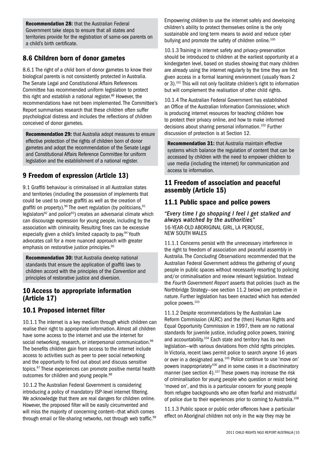Recommendation 28: that the Australian Federal Government take steps to ensure that all states and territories provide for the registration of same-sex parents on a child's birth certificate.

## 8.6 Children born of donor gametes

8.6.1 The right of a child born of donor gametes to know their biological parents is not consistently protected in Australia. The Senate Legal and Constitutional Affairs References Committee has recommended uniform legislation to protect this right and establish a national register. $89$  However, the recommendations have not been implemented. The Committee's Report summarises research that these children often suffer psychological distress and includes the reflections of children conceived of donor gametes.

Recommendation 29: that Australia adopt measures to ensure effective protection of the rights of children born of donor gametes and adopt the recommendation of the Senate Legal and Constitutional Affairs Reference Committee for uniform legislation and the establishment of a national register.

## 9 Freedom of expression (Article 13)

9.1 Graffiti behaviour is criminalised in all Australian states and territories (including the possession of implements that could be used to create graffiti as well as the creation of graffiti on property).<sup>90</sup> The overt regulation (by politicians,  $91$ legislators<sup>92</sup> and police<sup>93</sup>) creates an adversarial climate which can discourage expression for young people, including by the association with criminality. Resulting fines can be excessive especially given a child's limited capacity to pay.<sup>94</sup> Youth advocates call for a more nuanced approach with greater emphasis on restorative justice principles.<sup>95</sup>

Recommendation 30: that Australia develop national standards that ensure the application of graffiti laws to children accord with the principles of the *Convention* and principles of restorative justice and diversion.

## 10 Access to appropriate information (Article 17)

## 10.1 Proposed internet filter

10.1.1 The internet is a key medium through which children can realise their right to appropriate information. Almost all children have some access to the internet and use the internet for social networking, research, or interpersonal communication.<sup>96</sup> The benefits children gain from access to the internet include access to activities such as peer to peer social networking and the opportunity to find out about and discuss sensitive topics.97 These experiences can promote positive mental health outcomes for children and young people.<sup>98</sup>

10.1.2 The Australian Federal Government is considering introducing a policy of mandatory ISP-level internet filtering. We acknowledge that there are real dangers for children online. However, the proposed filter will be easily circumvented and will miss the majority of concerning content—that which comes through email or file-sharing networks, not through web traffic.<sup>99</sup> Empowering children to use the internet safely and developing children's ability to protect themselves online is the only sustainable and long term means to avoid and reduce cyber bullying and promote the safety of children online.<sup>100</sup>

10.1.3 Training in internet safety and privacy-preservation should be introduced to children at the earliest opportunity at a kindergarten level, based on studies showing that many children are already using the internet regularly by the time they are first given access in a formal learning environment (usually Years 2 or 3).101 This will not only facilitate children's right to information but will complement the realisation of other child rights.

10.1.4 The Australian Federal Government has established an Office of the Australian Information Commissioner, which is producing internet resources for teaching children how to protect their privacy online, and how to make informed decisions about sharing personal information.102 Further discussion of protection is at Section 12.

Recommendation 31: that Australia maintain effective systems which balance the regulation of content that can be accessed by children with the need to empower children to use media (including the internet) for communication and access to information.

## 11 Freedom of association and peaceful assembly (Article 15)

## 11.1 Public space and police powers

*"Every time I go shopping I feel I get stalked and always watched by the authorities"* 16-year-old Aboriginal girl, La Perouse, New South Wales

11.1.1 Concerns persist with the unnecessary interference in the right to freedom of association and peaceful assembly in Australia. The *Concluding Observations* recommended that the Australian Federal Government address the gathering of young people in public spaces without necessarily resorting to policing and/or criminalisation and review relevant legislation. Instead the *Fourth Government Report* asserts that policies (such as the Northbridge Strategy—see section 11.2 below) are protective in nature. Further legislation has been enacted which has extended police powers.103

11.1.2 Despite recommendations by the Australian Law Reform Commission (ALRC) and the (then) Human Rights and Equal Opportunity Commission in 1997, there are no national standards for juvenile justice, including police powers, training and accountability.104 Each state and territory has its own legislation—with various deviations from child rights principles. In Victoria, recent laws permit police to search anyone 16 years or over in a designated area.105 Police continue to use 'move on' powers inappropriately<sup>106</sup> and in some cases in a discriminatory manner (see section 4).<sup>107</sup> These powers may increase the risk of criminalisation for young people who question or resist being 'moved on', and this is a particular concern for young people from refugee backgrounds who are often fearful and mistrustful of police due to their experiences prior to coming to Australia.108

11.1.3 Public space or public order offences have a particular effect on Aboriginal children not only in the way they may be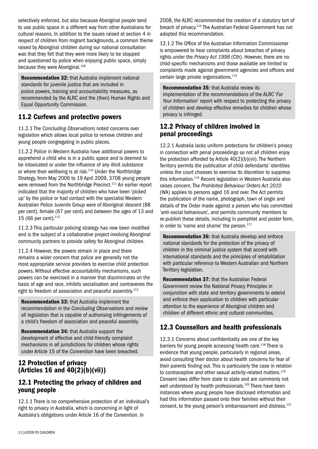selectively enforced, but also because Aboriginal people tend to use public space in a different way from other Australians for cultural reasons. In addition to the issues raised at section 4 in respect of children from migrant backgrounds, a common theme raised by Aboriginal children during our national consultation was that they felt that they were more likely to be stopped and questioned by police when enjoying public space, simply because they were Aboriginal.<sup>109</sup>

Recommendation 32: that Australia implement national standards for juvenile justice that are included in police powers, training and accountability measures, as recommended by the ALRC and the (then) Human Rights and Equal Opportunity Commission.

## 11.2 Curfews and protective powers

11.2.1 The *Concluding Observations* noted concerns over legislation which allows local police to remove children and young people congregating in public places.

11.2.2 Police in Western Australia have additional powers to apprehend a child who is in a public space and is deemed to be intoxicated or under the influence of any illicit substance or where their wellbeing is at risk.<sup>110</sup> Under the Northbridge Strategy, from May 2006 to 19 April 2009, 3708 young people were removed from the Northbridge Precinct.<sup>111</sup> An earlier report indicated that the majority of children who have been 'picked up' by the police or had contact with the specialist Western Australian Police Juvenile Group were of Aboriginal descent (88 per cent), female (67 per cent) and between the ages of 13 and 15 (66 per cent).<sup>112</sup>

11.2.3 This particular policing strategy has now been modified and is the subject of a collaborative project involving Aboriginal community partners to provide safety for Aboriginal children.

11.2.4 However, the powers remain in place and there remains a wider concern that police are generally not the most appropriate service providers to exercise child protection powers. Without effective accountability mechanisms, such powers can be exercised in a manner that discriminates on the basis of age and race, inhibits socialisation and contravenes the right to freedom of association and peaceful assembly.<sup>113</sup>

Recommendation 33: that Australia implement the recommendation in the *Concluding Observations* and review all legislation that is capable of authorising infringements of a child's freedom of association and peaceful assembly.

Recommendation 34: that Australia support the development of effective and child-friendly complaint mechanisms in all jurisdictions for children whose rights under Article 15 of the *Convention* have been breached.

## 12 Protection of privacy (Articles 16 and 40(2)(b)(vii))

## 12.1 Protecting the privacy of children and young people

12.1.1 There is no comprehensive protection of an individual's right to privacy in Australia, which is concerning in light of Australia's obligations under Article 16 of the *Convention*. In

2008, the ALRC recommended the creation of a statutory tort of breach of privacy.114 The Australian Federal Government has not adopted this recommendation.

12.1.2 The Office of the Australian Information Commissioner is empowered to hear complaints about breaches of privacy rights under the *Privacy Act 1998* (Cth). However, there are no child-specific mechanisms and those available are limited to complaints made against government agencies and officers and certain large private organisations.115

Recommendation 35: that Australia review its implementation of the recommendations of the ALRC '*For Your Information'* report with respect to protecting the privacy of children and develop effective remedies for children whose privacy is infringed.

## 12.2 Privacy of children involved in penal proceedings

12.2.1 Australia lacks uniform protections for children's privacy in connection with penal proceedings so not all children enjoy the protection afforded by Article 40(2)(b)(vii). The Northern Territory permits the publication of child defendants' identities unless the court chooses to exercise its discretion to suppress this information.<sup>116</sup> Recent legislation in Western Australia also raises concern. The *Prohibited Behaviour Orders Act 2010*  (WA) applies to persons aged 16 and over. The Act permits the publication of the name, photograph, town of origin and details of the Order made against a person who has committed 'anti-social behaviours', and permits community members to re-publish these details, including in pamphlet and poster form, in order to 'name and shame' the person.<sup>117</sup>

Recommendation 36: that Australia develop and enforce national standards for the protection of the privacy of children in the criminal justice system that accord with international standards and the principles of rehabilitation with particular reference to Western Australian and Northern Territory legislation.

Recommendation 37: that the Australian Federal Government review the National Privacy Principles in conjunction with state and territory governments to extend and enforce their application to children with particular attention to the experience of Aboriginal children and children of different ethnic and cultural communities.

## 12.3 Counsellors and health professionals

12.3.1 Concerns about confidentiality are one of the key barriers for young people accessing health care.<sup>118</sup> There is evidence that young people, particularly in regional areas, avoid consulting their doctor about health concerns for fear of their parents finding out. This is particularly the case in relation to contraceptive and other sexual activity-related matters.<sup>119</sup> Consent laws differ from state to state and are commonly not well understood by health professionals.<sup>120</sup> There have been instances where young people have disclosed information and had this information passed onto their families without their consent, to the young person's embarrassment and distress.<sup>121</sup>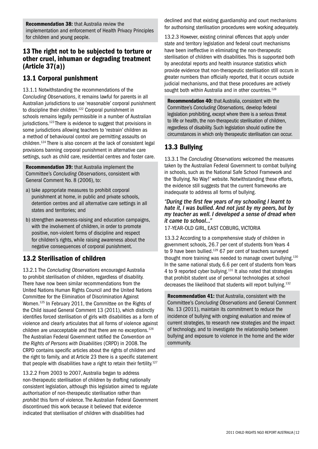## 13 The right not to be subjected to torture or other cruel, inhuman or degrading treatment (Article 37(a))

## 13.1 Corporal punishment

13.1.1 Notwithstanding the recommendations of the *Concluding Observations*, it remains lawful for parents in all Australian jurisdictions to use 'reasonable' corporal punishment to discipline their children.<sup>122</sup> Corporal punishment in schools remains legally permissible in a number of Australian jurisdictions.<sup>123</sup> There is evidence to suggest that provisions in some jurisdictions allowing teachers to 'restrain' children as a method of behavioural control are permitting assaults on children.124 There is also concern at the lack of consistent legal provisions banning corporal punishment in alternative care settings, such as child care, residential centres and foster care.

Recommendation 39: that Australia implement the Committee's *Concluding Observations*, consistent with General Comment No. 8 (2006), to:

- a) take appropriate measures to prohibit corporal punishment at home, in public and private schools, detention centres and all alternative care settings in all states and territories; and
- b) strengthen awareness-raising and education campaigns, with the involvement of children, in order to promote positive, non-violent forms of discipline and respect for children's rights, while raising awareness about the negative consequences of corporal punishment.

## 13.2 Sterilisation of children

13.2.1 The *Concluding Observations* encouraged Australia to prohibit sterilisation of children, regardless of disability. There have now been similar recommendations from the United Nations Human Rights Council and the United Nations Committee for the Elimination of Discrimination Against Women.125 In February 2011, the Committee on the Rights of the Child issued General Comment 13 (2011), which distinctly identifies forced sterilisation of girls with disabilities as a form of violence and clearly articulates that all forms of violence against children are unacceptable and that there are no exceptions.<sup>126</sup> The Australian Federal Government ratified the *Convention on the Rights of Persons with Disabilities* (CRPD) in 2008. The CRPD contains specific articles about the rights of children and the right to family, and at Article 23 there is a specific statement that people with disabilities have a right to retain their fertility.<sup>127</sup>

13.2.2 From 2003 to 2007, Australia began to address non-therapeutic sterilisation of children by drafting nationally consistent legislation, although this legislation aimed to regulate *authorisation* of non-therapeutic sterilisation rather than *prohibit* this form of violence. The Australian Federal Government discontinued this work because it believed that evidence indicated that sterilisation of children with disabilities had

declined and that existing guardianship and court mechanisms for authorising sterilisation procedures were working adequately.

13.2.3 However, existing criminal offences that apply under state and territory legislation and federal court mechanisms have been ineffective in eliminating the non-therapeutic sterilisation of children with disabilities. This is supported both by anecdotal reports and health insurance statistics which provide evidence that non-therapeutic sterilisation still occurs in greater numbers than officially reported, that it occurs outside judicial mechanisms, and that these procedures are actively sought both within Australia and in other countries.<sup>128</sup>

Recommendation 40: that Australia, consistent with the Committee's *Concluding Observations,* develop federal legislation prohibiting, except where there is a serious threat to life or health, the non-therapeutic sterilisation of children, regardless of disability. Such legislation should outline the circumstances in which only therapeutic sterilisation can occur.

## 13.3 Bullying

13.3.1 The *Concluding Observations* welcomed the measures taken by the Australian Federal Government to combat bullying in schools, such as the National Safe School Framework and the 'Bullying. No Way!' website. Notwithstanding these efforts, the evidence still suggests that the current frameworks are inadequate to address all forms of bullying.

#### *"During the first few years of my schooling I learnt to hate it, I was bullied. And not just by my peers, but by my teacher as well. I developed a sense of dread when it came to school..."*

17-year-old girl, East Coburg, Victoria

13.3.2 According to a comprehensive study of children in government schools, 26.7 per cent of students from Years 4 to 9 have been bullied.<sup>129</sup> 67 per cent of teachers surveyed thought more training was needed to manage covert bullying.<sup>130</sup> In the same national study, 6.6 per cent of students from Years 4 to 9 reported cyber bullying.131 It also noted that strategies that prohibit student use of personal technologies at school decreases the likelihood that students will report bullying.132

Recommendation 41: that Australia, consistent with the Committee's *Concluding Observations* and General Comment No. 13 (2011), maintain its commitment to reduce the incidence of bullying with ongoing evaluation and review of current strategies, to research new strategies and the impact of technology, and to investigate the relationship between bullying and exposure to violence in the home and the wider community.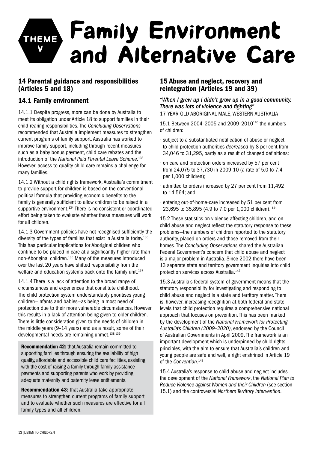## Family Environment and Alternative Care TH v

## 14 Parental guidance and responsibilities (Articles 5 and 18)

## 14.1 Family environment

14.1.1 Despite progress, more can be done by Australia to meet its obligation under Article 18 to support families in their child-rearing responsibilities. The *Concluding Observations*  recommended that Australia implement measures to strengthen current programs of family support. Australia has worked to improve family support, including through recent measures such as a baby bonus payment, child care rebates and the introduction of the *National Paid Parental Leave Scheme*. 133 However, access to quality child care remains a challenge for many families.

14.1.2 Without a child rights framework, Australia's commitment to provide support for children is based on the conventional political formula that providing economic benefits to the family is generally sufficient to allow children to be raised in a supportive environment.<sup>134</sup> There is no consistent or coordinated effort being taken to evaluate whether these measures will work for all children.

14.1.3 Government policies have not recognised sufficiently the diversity of the types of families that exist in Australia today.135 This has particular implications for Aboriginal children who continue to be placed in care at a significantly higher rate than non-Aboriginal children.136 Many of the measures introduced over the last 20 years have shifted responsibility from the welfare and education systems back onto the family unit.<sup>137</sup>

14.1.4 There is a lack of attention to the broad range of circumstances and experiences that constitute childhood. The child protection system understandably prioritises young children—infants and babies—as being in most need of protection due to their more vulnerable circumstances. However this results in a lack of attention being given to older children. There is little consideration given to the needs of children in the middle years (9–14 years) and as a result, some of their developmental needs are remaining unmet.<sup>138,139</sup>

Recommendation 42: that Australia remain committed to supporting families through ensuring the availability of high quality, affordable and accessible child care facilities, assisting with the cost of raising a family through family assistance payments and supporting parents who work by providing adequate maternity and paternity leave entitlements.

Recommendation 43: that Australia take appropriate measures to strengthen current programs of family support and to evaluate whether such measures are effective for all family types and all children.

## 15 Abuse and neglect, recovery and reintegration (Articles 19 and 39)

*"When I grew up I didn't grow up in a good community. There was lots of violence and fighting"* 17-year-old Aboriginal male, Western Australia

15.1 Between 2004–2005 and 2009–2010140 the numbers of children:

- subject to a substantiated notification of abuse or neglect to child protection authorities *decreased* by 8 per cent from 34,046 to 31,295, partly as a result of changed definitions;
- on care and protection orders increased by 57 per cent from 24,075 to 37,730 in 2009-10 (a rate of 5.0 to 7.4 per 1,000 children);
- admitted to orders increased by 27 per cent from 11,492 to 14,564; and
- entering out-of-home-care increased by 51 per cent from 23,695 to 35,895 (4.9 to 7.0 per 1,000 children). 141

15.2 These statistics on violence affecting children, and on child abuse and neglect reflect the statutory response to these problems—the numbers of children reported to the statutory authority, placed on orders and those removed from their homes. The *Concluding Observations* shared the Australian Federal Government's concern that child abuse and neglect is a major problem in Australia. Since 2002 there have been 13 separate state and territory government inquiries into child protection services across Australia.142

15.3 Australia's federal system of government means that the statutory responsibility for investigating and responding to child abuse and neglect is a state and territory matter. There is, however, increasing recognition at both federal and state levels that child protection requires a comprehensive national approach that focuses on prevention. This has been marked by the development of the *National Framework for Protecting Australia's Children (2009–2020)*, endorsed by the Council of Australian Governments in April 2009. The framework is an important development which is underpinned by child rights principles, with the aim to ensure that Australia's children and young people are safe and well, a right enshrined in Article 19 of the *Convention*. 143

15.4 Australia's response to child abuse and neglect includes the development of the *National Framework*, the *National Plan to Reduce Violence against Women and their Children* (see section 15.1) and the controversial *Northern Territory Intervention*.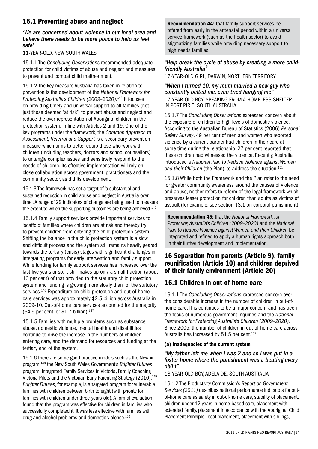## 15.1 Preventing abuse and neglect

#### *'We are concerned about violence in our local area and believe there needs to be more police to help us feel safe'*

#### 11-year-old, New South Wales

15.1.1 The *Concluding Observations* recommended adequate protection for child victims of abuse and neglect and measures to prevent and combat child maltreatment.

15.1.2 The key measure Australia has taken in relation to prevention is the development of the *National Framework for Protecting Australia's Children (2009–2020)*. 144 It focuses on providing timely and universal support to all families (not just those deemed 'at risk') to prevent abuse and neglect and reduce the over-representation of Aboriginal children in the protection system, in line with Articles 2 and 19. One of the key programs under the framework, the *Common Approach to Assessment, Referral and Support* is a secondary prevention measure which aims to better equip those who work with children (including teachers, doctors and school counsellors) to untangle complex issues and sensitively respond to the needs of children. Its effective implementation will rely on close collaboration across government, practitioners and the community sector, as did its development.

15.1.3 The framework has set a target of 'a substantial and sustained reduction in child abuse and neglect in Australia over time'. A range of 29 indicators of change are being used to measure the extent to which the supporting outcomes are being achieved.<sup>145</sup>

15.1.4 Family support services provide important services to 'scaffold' families where children are at risk and thereby try to prevent children from entering the child protection system. Shifting the balance in the child protection system is a slow and difficult process and the system still remains heavily geared towards the tertiary (crisis) stages with significant challenges in integrating programs for early intervention and family support. While funding for family support services has increased over the last five years or so, it still makes up only a small fraction (about 10 per cent) of that provided to the statutory child protection system and funding is growing more slowly than for the statutory services.<sup>146</sup> Expenditure on child protection and out-of-home care services was approximately \$2.5 billion across Australia in 2009-10. Out-of-home care services accounted for the majority (64.9 per cent, or  $$1.7$  billion).<sup>147</sup>

15.1.5 Families with multiple problems such as substance abuse, domestic violence, mental health and disabilities continue to drive the increase in the numbers of children entering care, and the demand for resources and funding at the tertiary end of the system.

15.1.6 There are some good practice models such as the Newpin program,148 the New South Wales Government's *Brighter Futures* program, Integrated Family Services in Victoria, Family Coaching Victoria Pilots and the Victorian Early Parenting Strategy (2010).149 *Brighter Futures*, for example, is a targeted program for vulnerable families with children between birth to eight (with priority for families with children under three-years-old). A formal evaluation found that the program was effective for children in families who successfully completed it. It was less effective with families with drug and alcohol problems and domestic violence.150

Recommendation 44: that family support services be offered from early in the antenatal period within a universal service framework (such as the health sector) to avoid stigmatizing families while providing necessary support to high needs families.

#### *"Help break the cycle of abuse by creating a more childfriendly Australia"*

17-year-old girl, Darwin, Northern Territory

*"When I turned 10, my mum married a new guy who constantly belted me, even tried hanging me"* 17-year-old boy, speaking from a homeless shelter in Port Pirie, South Australia

15.1.7 The *Concluding Observations* expressed concern about the exposure of children to high levels of domestic violence. According to the Australian Bureau of Statistics (2006) *Personal Safety Survey*, 49 per cent of men and women who reported violence by a current partner had children in their care at some time during the relationship, 27 per cent reported that these children had witnessed the violence. Recently, Australia introduced a *National Plan to Reduce Violence against Women*  and their Children (the Plan) to address the situation.<sup>151</sup>

15.1.8 While both the Framework and the Plan refer to the need for greater community awareness around the causes of violence and abuse, neither refers to reform of the legal framework which preserves lesser protection for children than adults as victims of assault (for example, see section 13.1 on corporal punishment).

Recommendation 45: that the *National Framework for Protecting Australia's Children (2009–2020)* and the *National Plan to Reduce Violence against Women and their Children* be integrated and refined to apply a human rights approach both in their further development and implementation.

## 16 Separation from parents (Article 9), family reunification (Article 10) and children deprived of their family environment (Article 20)

## 16.1 Children in out-of-home care

16.1.1 The *Concluding Observations* expressed concern over the considerable increase in the number of children in out-ofhome care. This continues to be a major concern and has been the focus of numerous government inquiries and the *National Framework for Protecting Australia's Children (2009–2020).*  Since 2005, the number of children in out-of-home care across Australia has increased by 51.5 per cent.<sup>152</sup>

#### (a) Inadequacies of the current system

#### *"My father left me when I was 2 and so I was put in a foster home where the punishment was a beating every night"*

#### 18-year-old boy, Adelaide, South Australia

16.1.2 The Productivity Commission's *Report on Government Services (2011)* describes national performance indicators for outof-home care as safety in out-of-home care, stability of placement, children under 12 years in home-based care, placement with extended family, placement in accordance with the Aboriginal Child Placement Principle, local placement, placement with siblings,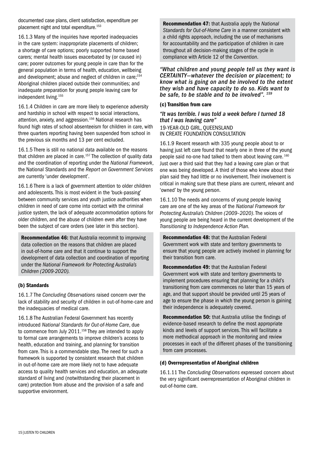documented case plans, client satisfaction, expenditure per placement night and total expenditure.153

16.1.3 Many of the inquiries have reported inadequacies in the care system: inappropriate placements of children; a shortage of care options; poorly supported home based carers; mental health issues exacerbated by (or caused in) care; poorer outcomes for young people in care than for the general population in terms of health, education, wellbeing and development; abuse and neglect of children in care;<sup>154</sup> Aboriginal children placed outside their communities; and inadequate preparation for young people leaving care for independent living.155

16.1.4 Children in care are more likely to experience adversity and hardship in school with respect to social interactions, attention, anxiety, and aggression.<sup>156</sup> National research has found high rates of school absenteeism for children in care, with three quarters reporting having been suspended from school in the previous six months and 13 per cent excluded.

16.1.5 There is still no national data available on the reasons that children are placed in care.<sup>157</sup> The collection of quality data and the coordination of reporting under the *National Framework*, the National Standards and the *Report on Government Services* are currently 'under development'.

16.1.6 There is a lack of government attention to older children and adolescents. This is most evident in the 'buck-passing' between community services and youth justice authorities when children in need of care come into contact with the criminal justice system, the lack of adequate accommodation options for older children, and the abuse of children even after they have been the subject of care orders (see later in this section).

Recommendation 46: that Australia recommit to improving data collection on the reasons that children are placed in out-of-home care and that it continue to support the development of data collection and coordination of reporting under the *National Framework for Protecting Australia's Children (2009-2020).*

#### (b) Standards

16.1.7 The *Concluding Observations* raised concern over the lack of stability and security of children in out-of-home-care and the inadequacies of medical care.

16.1.8 The Australian Federal Government has recently introduced *National Standards for Out-of-Home Care*, due to commence from July 2011.<sup>158</sup> They are intended to apply to formal care arrangements to improve children's access to health, education and training, and planning for transition from care. This is a commendable step. The need for such a framework is supported by consistent research that children in out-of-home care are more likely not to have adequate access to quality health services and education, an adequate standard of living and (notwithstanding their placement in care) protection from abuse and the provision of a safe and supportive environment.

Recommendation 47: that Australia apply the *National Standards for Out-of-Home Care* in a manner consistent with a child rights approach, including the use of mechanisms for accountability and the participation of children in care throughout all decision-making stages of the cycle in compliance with Article 12 of the *Convention*.

*"What children and young people tell us they want is CERTAINTY—whatever the decision or placement; to know what is going on and be involved to the extent they wish and have capacity to do so. Kids want to be safe, to be stable and to be involved". 159*

#### (c) Transition from care

*"It was terrible. I was told a week before I turned 18 that I was leaving care"* 19-year-old girl, Queensland in CREATE Foundation consultation

16.1.9 Recent research with 335 young people about to or having just left care found that nearly one in three of the young people said no-one had talked to them about leaving care. 160 Just over a third said that they had a leaving care plan or that one was being developed. A third of those who knew about their plan said they had little or no involvement. Their involvement is critical in making sure that these plans are current, relevant and 'owned' by the young person.

16.1.10 The needs and concerns of young people leaving care are one of the key areas of the *National Framework for Protecting Australia's Children (2009–2020)*. The voices of young people are being heard in the current development of the *Transitioning to Independence Action Plan.*

Recommendation 48: that the Australian Federal Government work with state and territory governments to ensure that young people are actively involved in planning for their transition from care.

Recommendation 49: that the Australian Federal Government work with state and territory governments to implement procedures ensuring that planning for a child's transitioning from care commences no later than 15 years of age, and that support should be provided until 25 years of age to ensure the phase in which the young person is gaining their independence is adequately covered.

Recommendation 50: that Australia utilise the findings of evidence-based research to define the most appropriate kinds and levels of support services. This will facilitate a more methodical approach in the monitoring and review processes in each of the different phases of the transitioning from care processes.

#### (d) Overrepresentation of Aboriginal children

16.1.11 The *Concluding Observations* expressed concern about the very significant overrepresentation of Aboriginal children in out-of-home care.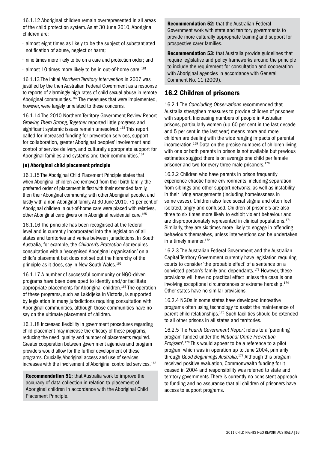16.1.12 Aboriginal children remain overrepresented in all areas of the child protection system. As at 30 June 2010, Aboriginal children are:

- almost eight times as likely to be the subject of substantiated notification of abuse, neglect or harm;
- nine times more likely to be on a care and protection order; and
- $\cdot$  almost 10 times more likely to be in out-of-home care.  $^{161}$

16.1.13 The initial *Northern Territory Intervention* in 2007 was justified by the then Australian Federal Government as a response to reports of alarmingly high rates of child sexual abuse in remote Aboriginal communities. 162 The measures that were implemented, however, were largely unrelated to these concerns.

16.1.14 The 2010 Northern Territory Government Review Report *Growing Them Strong, Together* reported little progress and significant systemic issues remain unresolved.<sup>163</sup> This report called for increased funding for prevention services, support for collaboration, greater Aboriginal peoples' involvement and control of service delivery, and culturally appropriate support for Aboriginal families and systems and their communities.<sup>164</sup>

#### (e) Aboriginal child placement principle

16.1.15 The Aboriginal Child Placement Principle states that when Aboriginal children are removed from their birth family, the preferred order of placement is first with their extended family, then their Aboriginal community, with other Aboriginal people, and lastly with a non-Aboriginal family. At 30 June 2010, 71 per cent of Aboriginal children in out-of-home care were placed with relatives, other Aboriginal care givers or in Aboriginal residential care.165

16.1.16 The principle has been recognised at the federal level and is currently incorporated into the legislation of all states and territories and varies between jurisdictions. In South Australia, for example, the *Children's Protection Act* requires consultation with a 'recognised Aboriginal organisation' on a child's placement but does not set out the hierarchy of the principle as it does, say in New South Wales.<sup>166</sup>

16.1.17 A number of successful community or NGO-driven programs have been developed to identify and/or facilitate appropriate placements for Aboriginal children.<sup>167</sup> The operation of these programs, such as Lakidjeka in Victoria, is supported by legislation in many jurisdictions requiring consultation with Aboriginal communities, although those communities have no say on the ultimate placement of children.

16.1.18 Increased flexibility in government procedures regarding child placement may increase the efficacy of these programs, reducing the need, quality and number of placements required. Greater cooperation between government agencies and program providers would allow for the further development of these programs. Crucially, Aboriginal access and use of services increases with the involvement of Aboriginal controlled services. 168

Recommendation 51: that Australia work to improve the accuracy of data collection in relation to placement of Aboriginal children in accordance with the Aboriginal Child Placement Principle.

Recommendation 52: that the Australian Federal Government work with state and territory governments to provide more culturally appropriate training and support for prospective carer families.

Recommendation 53: that Australia provide guidelines that require legislative and policy frameworks around the principle to include the requirement for consultation and cooperation with Aboriginal agencies in accordance with General Comment No. 11 (2009).

## 16.2 Children of prisoners

16.2.1 The *Concluding Observations* recommended that Australia strengthen measures to provide children of prisoners with support. Increasing numbers of people in Australian prisons, particularly women (up 60 per cent in the last decade and 5 per cent in the last year) means more and more children are dealing with the wide ranging impacts of parental incarceration.169 Data on the precise numbers of children living with one or both parents in prison is not available but previous estimates suggest there is on average one child per female prisoner and two for every three male prisoners.<sup>170</sup>

16.2.2 Children who have parents in prison frequently experience chaotic home environments, including separation from siblings and other support networks, as well as instability in their living arrangements (including homelessness in some cases). Children also face social stigma and often feel isolated, angry and confused. Children of prisoners are also three to six times more likely to exhibit violent behaviour and are disproportionately represented in clinical populations.<sup>171</sup> Similarly, they are six times more likely to engage in offending behaviours themselves, unless interventions can be undertaken in a timely manner.172

16.2.3 The Australian Federal Government and the Australian Capital Territory Government currently have legislation requiring courts to consider 'the probable effect' of a sentence on a convicted person's family and dependants.173 However, these provisions will have no practical effect unless the case is one involving exceptional circumstances or extreme hardship.174 Other states have no similar provisions.

16.2.4 NGOs in some states have developed innovative programs often using technology to assist the maintenance of parent-child relationships.175 Such facilities should be extended to all other prisons in all states and territories.

16.2.5 The *Fourth Government Report* refers to a 'parenting program funded under the *National Crime Prevention Program*'.176 This would appear to be a reference to a pilot program which was in operation up to June 2004, primarily through *Good Beginnings Australia*. 177 Although this program received positive evaluation, Commonwealth funding for it ceased in 2004 and responsibility was referred to state and territory governments. There is currently no consistent approach to funding and no assurance that all children of prisoners have access to support programs.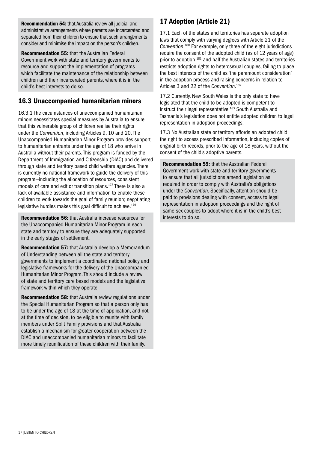Recommendation 54: that Australia review all judicial and administrative arrangements where parents are incarcerated and separated from their children to ensure that such arrangements consider and minimise the impact on the person's children.

Recommendation 55: that the Australian Federal Government work with state and territory governments to resource and support the implementation of programs which facilitate the maintenance of the relationship between children and their incarcerated parents, where it is in the child's best interests to do so.

## 16.3 Unaccompanied humanitarian minors

16.3.1 The circumstances of unaccompanied humanitarian minors necessitates special measures by Australia to ensure that this vulnerable group of children realise their rights under the *Convention*, including Articles 9, 10 and 20. The Unaccompanied Humanitarian Minor Program provides support to humanitarian entrants under the age of 18 who arrive in Australia without their parents. This program is funded by the Department of Immigration and Citizenship (DIAC) and delivered through state and territory based child welfare agencies. There is currently no national framework to guide the delivery of this program—including the allocation of resources, consistent models of care and exit or transition plans.178 There is also a lack of available assistance and information to enable these children to work towards the goal of family reunion; negotiating legislative hurdles makes this goal difficult to achieve.<sup>179</sup>

Recommendation 56: that Australia increase resources for the Unaccompanied Humanitarian Minor Program in each state and territory to ensure they are adequately supported in the early stages of settlement.

Recommendation 57: that Australia develop a Memorandum of Understanding between all the state and territory governments to implement a coordinated national policy and legislative frameworks for the delivery of the Unaccompanied Humanitarian Minor Program. This should include a review of state and territory care based models and the legislative framework within which they operate.

Recommendation 58: that Australia review regulations under the Special Humanitarian Program so that a person only has to be under the age of 18 at the time of application, and not at the time of decision, to be eligible to reunite with family members under Split Family provisions and that Australia establish a mechanism for greater cooperation between the DIAC and unaccompanied humanitarian minors to facilitate more timely reunification of these children with their family.

## 17 Adoption (Article 21)

17.1 Each of the states and territories has separate adoption laws that comply with varying degrees with Article 21 of the *Convention*. 180 For example, only three of the eight jurisdictions require the consent of the adopted child (as of 12 years of age) prior to adoption 181 and half the Australian states and territories restricts adoption rights to heterosexual couples, failing to place the best interests of the child as 'the paramount consideration' in the adoption process and raising concerns in relation to Articles 3 and 22 of the *Convention*. 182

17.2 Currently, New South Wales is the only state to have legislated that the child to be adopted is competent to instruct their legal representative.<sup>183</sup> South Australia and Tasmania's legislation does not entitle adopted children to legal representation in adoption proceedings.

17.3 No Australian state or territory affords an adopted child the right to access prescribed information, including copies of original birth records, prior to the age of 18 years, without the consent of the child's adoptive parents.

Recommendation 59: that the Australian Federal Government work with state and territory governments to ensure that all jurisdictions amend legislation as required in order to comply with Australia's obligations under the *Convention*. Specifically, attention should be paid to provisions dealing with consent, access to legal representation in adoption proceedings and the right of same-sex couples to adopt where it is in the child's best interests to do so.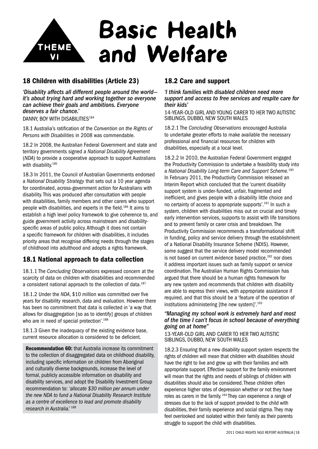

## 18 Children with disabilities (Article 23)

*'Disability affects all different people around the world it's about trying hard and working together so everyone can achieve their goals and ambitions. Everyone deserves a fair chance.'* DANNY, BOY WITH DISABILITIES<sup>184</sup>

18.1 Australia's ratification of the *Convention on the Rights of Persons with Disabilities* in 2008 was commendable.

18.2 In 2008, the Australian Federal Government and state and territory governments signed a *National Disability Agreement* (*NDA*) to provide a cooperative approach to support Australians with disability.<sup>185</sup>

18.3 In 2011, the Council of Australian Governments endorsed a *National Disability Strategy* that sets out a 10 year agenda for coordinated, across-government action for Australians with disability. This was produced after consultation with people with disabilities, family members and other carers who support people with disabilities, and experts in the field.186 It aims to establish a high level policy framework to give coherence to, and guide government activity across mainstream and disabilityspecific areas of public policy. Although it does not contain a specific framework for children with disabilities, it includes priority areas that recognise differing needs through the stages of childhood into adulthood and adopts a rights framework.

## 18.1 National approach to data collection

18.1.1 The *Concluding Observations* expressed concern at the scarcity of data on children with disabilities and recommended a consistent national approach to the collection of data.<sup>187</sup>

18.1.2 Under the *NDA*, \$10 million was committed over five years for disability research, data and evaluation. However there has been no commitment that data is collected in 'a way that allows for disaggregation [so as to identify] groups of children who are in need of special protection'.<sup>188</sup>

18.1.3 Given the inadequacy of the existing evidence base. current resource allocation is considered to be deficient.

Recommendation 60: that Australia increase its commitment to the collection of disaggregated data on childhood disability, including specific information on children from Aboriginal and culturally diverse backgrounds, increase the level of formal, publicly accessible information on disability and disability services, and adopt the Disability Investment Group recommendation to: *'allocate \$30 million per annum under the new NDA to fund a National Disability Research Institute as a centre of excellence to lead and promote disability research in Australia.'* <sup>189</sup>

## 18.2 Care and support

*'I think families with disabled children need more support and access to free services and respite care for their kids'*

14-year-old girl and Young Carer to her two autistic siblings, Dubbo, New South Wales

18.2.1 The *Concluding Observations* encouraged Australia to undertake greater efforts to make available the necessary professional and financial resources for children with disabilities, especially at a local level.

18.2.2 In 2010, the Australian Federal Government engaged the Productivity Commission to undertake a feasibility study into a *National Disability Long-term Care and Support Scheme.*<sup>190</sup> In February 2011, the Productivity Commission released an Interim Report which concluded that the 'current disability support system is under-funded, unfair, fragmented and inefficient, and gives people with a disability little choice and no certainty of access to appropriate supports'.191 In such a system, children with disabilities miss out on crucial and timely early intervention services, supports to assist with life transitions and to prevent family or carer crisis and breakdown. The Productivity Commission recommends a transformational shift in funding, policy and service delivery through the establishment of a National Disability Insurance Scheme (NDIS). However, some suggest that the service delivery model recommended is not based on current evidence based practice,<sup>192</sup> nor does it address important issues such as family support or service coordination. The Australian Human Rights Commission has argued that there should be a human rights framework for any new system and recommends that children with disability are able to express their views, with appropriate assistance if required, and that this should be a 'feature of the operation of institutions administering [the new system]'.<sup>193</sup>

#### *"Managing my school work is extremely hard and most of the time I can't focus in school because of everything going on at home"*

13-year-old girl and carer to her two autistic siblings, Dubbo, New South Wales

18.2.3 Ensuring that a new disability support system respects the rights of children will mean that children with disabilities should have the right to live and grow up with their families and with appropriate support. Effective support for the family environment will mean that the rights and needs of siblings of children with disabilities should also be considered. These children often experience higher rates of depression whether or not they have roles as carers in the family. 194 They can experience a range of stresses due to the lack of support provided to the child with disabilities, their family experience and social stigma. They may feel overlooked and isolated within their family as their parents struggle to support the child with disabilities.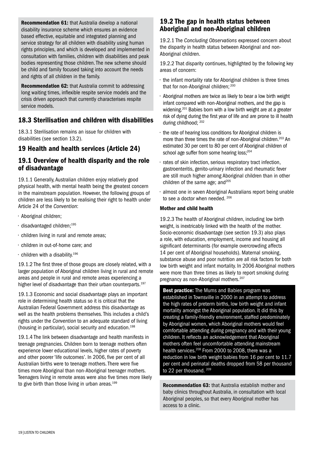Recommendation 61: that Australia develop a national disability insurance scheme which ensures an evidence based effective, equitable and integrated planning and service strategy for all children with disability using human rights principles, and which is developed and implemented in consultation with families, children with disabilities and peak bodies representing those children. The new scheme should be child and family focused taking into account the needs and rights of all children in the family.

Recommendation 62: that Australia commit to addressing long waiting times, inflexible respite service models and the crisis driven approach that currently characterises respite service models.

## 18.3 Sterilisation and children with disabilities

18.3.1 Sterilisation remains an issue for children with disabilities (see section 13.2).

## 19 Health and health services (Article 24)

## 19.1 Overview of health disparity and the role of disadvantage

19.1.1 Generally, Australian children enjoy relatively good physical health, with mental health being the greatest concern in the mainstream population. However, the following groups of children are less likely to be realising their right to health under Article 24 of the *Convention*:

- Aboriginal children;
- disadvantaged children;195
- children living in rural and remote areas;
- children in out-of-home care; and
- $\cdot$  children with a disability.<sup>196</sup>

19.1.2 The first three of those groups are closely related, with a larger population of Aboriginal children living in rural and remote areas and people in rural and remote areas experiencing a higher level of disadvantage than their urban counterparts.<sup>197</sup>

19.1.3 Economic and social disadvantage plays an important role in determining health status so it is critical that the Australian Federal Government address this disadvantage as well as the health problems themselves. This includes a child's rights under the *Convention* to an adequate standard of living (housing in particular), social security and education.198

19.1.4 The link between disadvantage and health manifests in teenage pregnancies. Children born to teenage mothers often experience lower educational levels, higher rates of poverty and other poorer 'life outcomes'. In 2006, five per cent of all Australian births were to teenage mothers. There were five times more Aboriginal than non-Aboriginal teenager mothers. Teenagers living in remote areas were also five times more likely to give birth than those living in urban areas.<sup>199</sup>

## 19.2 The gap in health status between Aboriginal and non-Aboriginal children

19.2.1 The *Concluding Observations* expressed concern about the disparity in health status between Aboriginal and non-Aboriginal children.

19.2.2 That disparity continues, highlighted by the following key areas of concern:

- the infant mortality rate for Aboriginal children is three times that for non-Aboriginal children; 200
- Aboriginal mothers are twice as likely to bear a low birth weight infant compared with non-Aboriginal mothers, and the gap is widening.<sup>201</sup> Babies born with a low birth weight are at a greater risk of dying during the first year of life and are prone to ill health during childhood; 202
- the rate of hearing loss conditions for Aboriginal children is more than three times the rate of non-Aboriginal children.<sup>203</sup> An estimated 30 per cent to 80 per cent of Aboriginal children of school age suffer from some hearing loss;<sup>204</sup>
- rates of skin infection, serious respiratory tract infection, gastroenteritis, genito-urinary infection and rheumatic fever are still much higher among Aboriginal children than in other children of the same age; and<sup>205</sup>
- almost one in seven Aboriginal Australians report being unable to see a doctor when needed. 206

#### Mother and child health

19.2.3 The health of Aboriginal children, including low birth weight, is inextricably linked with the health of the mother. Socio-economic disadvantage (see section 19.3) also plays a role, with education, employment, income and housing all significant determinants (for example overcrowding affects 14 per cent of Aboriginal households). Maternal smoking, substance abuse and poor nutrition are all risk factors for both low birth weight and infant mortality. In 2006 Aboriginal mothers were more than three times as likely to report smoking during pregnancy as non-Aboriginal mothers.<sup>207</sup>

**Best practice:** The Mums and Babies program was established in Townsville in 2000 in an attempt to address the high rates of preterm births, low birth weight and infant mortality amongst the Aboriginal population. It did this by creating a family-friendly environment, staffed predominately by Aboriginal women, which Aboriginal mothers would feel comfortable attending during pregnancy and with their young children. It reflects an acknowledgement that Aboriginal mothers often feel uncomfortable attending mainstream health services.<sup>208</sup> From 2000 to 2008, there was a reduction in low birth weight babies from 16 per cent to 11.7 per cent and perinatal deaths dropped from 58 per thousand to 22 per thousand.<sup>209</sup>

Recommendation 63: that Australia establish mother and baby clinics throughout Australia, in consultation with local Aboriginal peoples, so that every Aboriginal mother has access to a clinic.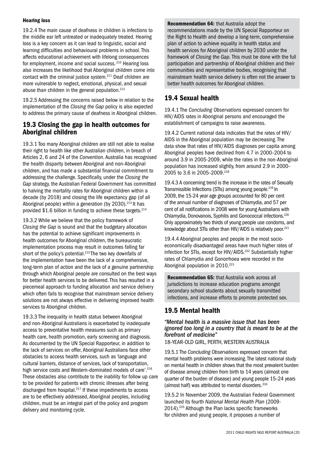#### Hearing loss

19.2.4 The main cause of deafness in children is infections to the middle ear left untreated or inadequately treated. Hearing loss is a key concern as it can lead to linguistic, social and learning difficulties and behavioural problems in school. This affects educational achievement with lifelong consequences for employment, income and social success. 210 Hearing loss also increases the likelihood that Aboriginal children come into contact with the criminal justice system.211 Deaf children are more vulnerable to neglect, emotional, physical, and sexual abuse than children in the general population.<sup>212</sup>

19.2.5 Addressing the concerns raised below in relation to the implementation of the *Closing the Gap* policy is also expected to address the primary cause of deafness in Aboriginal children.

## 19.3 Closing the gap in health outcomes for Aboriginal children

19.3.1 Too many Aboriginal children are still not able to realise their right to health like other Australian children, in breach of Articles 2, 6 and 24 of the *Convention*. Australia has recognised the health disparity between Aboriginal and non-Aboriginal children, and has made a substantial financial commitment to addressing the challenge. Specifically, under the *Closing the Gap* strategy, the Australian Federal Government has committed to halving the mortality rates for Aboriginal children within a decade (by 2018) and closing the life expectancy gap (of all Aboriginal people) within a generation (by  $2030$ ).<sup>213</sup> It has provided  $$1.6$  billion in funding to achieve these targets.<sup>214</sup>

19.3.2 While we believe that the policy framework of *Closing the Gap* is sound and that the budgetary allocation has the potential to achieve significant improvements in health outcomes for Aboriginal children, the bureaucratic implementation process may result in outcomes falling far short of the policy's potential.<sup>215</sup> The two key downfalls of the implementation have been the lack of a comprehensive, long-term plan of action and the lack of a genuine partnership through which Aboriginal people are consulted on the best ways for better health services to be delivered. This has resulted in a piecemeal approach to funding allocation and service delivery which often fails to recognise that mainstream service delivery solutions are not always effective in delivering improved health services to Aboriginal children.

19.3.3 The inequality in health status between Aboriginal and non-Aboriginal Australians is exacerbated by inadequate access to preventative health measures such as primary health care, health promotion, early screening and diagnosis. As documented by the UN Special Rapporteur, in addition to the lack of services on offer, Aboriginal Australians face other obstacles to access health services, such as 'language and cultural barriers, distance of services, lack of transportation, high service costs and Western-dominated models of care'.<sup>216</sup> These obstacles also contribute to the inability for follow up care to be provided for patients with chronic illnesses after being discharged from hospital.217 If these impediments to access are to be effectively addressed, Aboriginal peoples, including children, must be an integral part of the policy and program delivery and monitoring cycle.

Recommendation 64: that Australia adopt the recommendations made by the UN Special Rapporteur on the Right to Health and develop a long-term, comprehensive plan of action to achieve equality in health status and health services for Aboriginal children by 2030 under the framework of *Closing the Gap.* This must be done with the full participation and partnership of Aboriginal children and their communities and representative bodies, recognising that mainstream health service delivery is often not the answer to better health outcomes for Aboriginal children.

## 19.4 Sexual health

19.4.1 The *Concluding Observations* expressed concern for HIV/AIDS rates in Aboriginal persons and encouraged the establishment of campaigns to raise awareness.

19.4.2 Current national data indicates that the rates of HIV/ AIDS in the Aboriginal population may be decreasing. The data show that rates of HIV/AIDS diagnoses per capita among Aboriginal peoples have declined from 4.7 in 2000–2004 to around 3.9 in 2005-2009, while the rates in the non-Aboriginal population has increased slightly, from around 2.9 in 2000– 2005 to 3.6 in 2005-2009.<sup>218</sup>

19.4.3 A concerning trend is the increase in the rates of Sexually Transmissible Infections (STIs) among young people.219 In 2009, the 15-24 year age groups accounted for 80 per cent of the annual number of diagnoses of Chlamydia, and 57 per cent of all notifications in 2008 were for young Australians with Chlamydia, Donovanois, Syphilis and Gonococcal infections.220 Only approximately two thirds of young people use condoms, and knowledge about STIs other than HIV/AIDS is relatively poor.<sup>221</sup>

19.4.4 Aboriginal peoples and people in the most socioeconomically disadvantaged areas have much higher rates of infection for STIs, except for HIV/AIDS.<sup>222</sup> Substantially higher rates of Chlamydia and Gonorrhoea were recorded in the Aboriginal population in 2010.<sup>223</sup>

Recommendation 65: that Australia work across all jurisdictions to increase education programs amongst secondary school students about sexually transmitted infections, and increase efforts to promote protected sex.

## 19.5 Mental health

#### *"Mental health is a massive issue that has been ignored too long in a country that is meant to be at the forefront of medicine"*

18-year-old girl, Perth, Western Australia

19.5.1 The *Concluding Observations* expressed concern that mental health problems were increasing. The latest national study on mental health in children shows that the most prevalent burden of disease among children from birth to 14 years (almost one quarter of the burden of disease) and young people 15–24 years (almost half) was attributed to mental disorders. 224

19.5.2 In November 2009, the Australian Federal Government launched its fourth *National Mental Health Plan* (2009- 2014).225 Although the Plan lacks specific frameworks for children and young people, it proposes a number of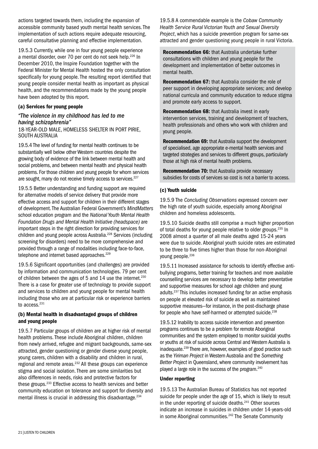actions targeted towards them, including the expansion of accessible community based youth mental health services. The implementation of such actions require adequate resourcing. careful consultative planning and effective implementation.

19.5.3 Currently, while one in four young people experience a mental disorder, over 70 per cent do not seek help.226 In December 2010, the Inspire Foundation together with the Federal Minister for Mental Health hosted the only consultation specifically for young people. The resulting report identified that young people consider mental health as important as physical health, and the recommendations made by the young people have been adopted by this report.

#### (a) Services for young people

#### *"The violence in my childhood has led to me having schizophrenia"*

18-year-old male, homeless shelter in Port Pirie, South Australia

19.5.4 The level of funding for mental health continues to be substantially well below other Western countries despite the growing body of evidence of the link between mental health and social problems, and between mental health and physical health problems. For those children and young people for whom services are sought, many do not receive timely access to services.<sup>227</sup>

19.5.5 Better understanding and funding support are required for alternative models of service delivery that provide more effective access and support for children in their different stages of development. The Australian Federal Government's *MindMatters* school education program and the *National Youth Mental Health Foundation Drugs and Mental Health Initiative (headspace)* are important steps in the right direction for providing services for children and young people across Australia.<sup>228</sup> Services (including screening for disorders) need to be more comprehensive and provided through a range of modalities including face-to-face, telephone and internet based approaches.<sup>229</sup>

19.5.6 Significant opportunities (and challenges) are provided by information and communication technologies. 79 per cent of children between the ages of 5 and 14 use the internet.<sup>230</sup> There is a case for greater use of technology to provide support and services to children and young people for mental health including those who are at particular risk or experience barriers to access.<sup>231</sup>

#### (b) Mental health in disadvantaged groups of children and young people

19.5.7 Particular groups of children are at higher risk of mental health problems. These include Aboriginal children, children from newly arrived, refugee and migrant backgrounds, same-sex attracted, gender questioning or gender diverse young people, young carers, children with a disability and children in rural, regional and remote areas.<sup>232</sup> All these groups can experience stigma and social isolation. There are some similarities but also differences in needs, risks and protective factors for these groups.<sup>233</sup> Effective access to health services and better community education on tolerance and support for diversity and mental illness is crucial in addressing this disadvantage.<sup>234</sup>

19.5.8 A commendable example is the *Cobaw Community Health Service Rural Victorian Youth and Sexual Diversity Project*, which has a suicide prevention program for same-sex attracted and gender questioning young people in rural Victoria.

Recommendation 66: that Australia undertake further consultations with children and young people for the development and implementation of better outcomes in mental health.

Recommendation 67: that Australia consider the role of peer support in developing appropriate services; and develop national curricula and community education to reduce stigma and promote early access to support.

Recommendation 68: that Australia invest in early intervention services, training and development of teachers, health professionals and others who work with children and young people.

Recommendation 69: that Australia support the development of specialised, age appropriate e-mental health services and targeted strategies and services to different groups, particularly those at high risk of mental health problems.

Recommendation 70: that Australia provide necessary subsidies for costs of services so cost is not a barrier to access.

#### (c) Youth suicide

19.5.9 The *Concluding Observations* expressed concern over the high rate of youth suicide, especially among Aboriginal children and homeless adolescents.

19.5.10 Suicide deaths still comprise a much higher proportion of total deaths for young people relative to older groups.<sup>235</sup> In 2008 almost a quarter of all male deaths aged 15-24 years were due to suicide. Aboriginal youth suicide rates are estimated to be three to five times higher than those for non-Aboriginal young people.<sup>236</sup>

19.5.11 Increased assistance for schools to identify effective antibullying programs, better training for teachers and more available counselling services are necessary to develop better preventative and supportive measures for school age children and young adults.237 This includes increased funding for an active emphasis on people at elevated risk of suicide as well as maintained supportive measures—for instance, in the post-discharge phase for people who have self-harmed or attempted suicide.<sup>238</sup>

19.5.12 Inability to access suicide intervention and prevention programs continues to be a problem for remote Aboriginal communities and the system employed to monitor suicidal youths or youths at risk of suicide across Central and Western Australia is inadequate.239 There are, however, examples of good practice such as the *Yiriman Project* in Western Australia and the *Something Better Project* in Queensland, where community involvement has played a large role in the success of the program.<sup>240</sup>

#### Under reporting

19.5.13 The Australian Bureau of Statistics has not reported suicide for people under the age of 15, which is likely to result in the under reporting of suicide deaths.<sup>241</sup> Other sources indicate an increase in suicides in children under 14-years-old in some Aboriginal communities.<sup>242</sup> The Senate Community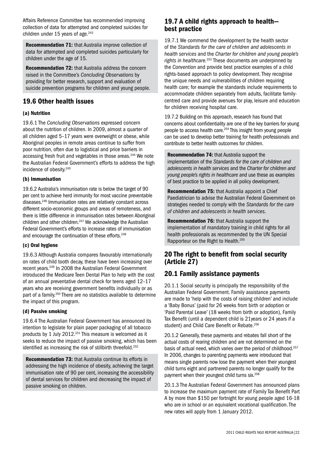Affairs Reference Committee has recommended improving collection of data for attempted and completed suicides for children under 15 years of age. $243$ 

Recommendation 71: that Australia improve collection of data for attempted and completed suicides particularly for children under the age of 15.

Recommendation 72: that Australia address the concern raised in the Committee's *Concluding Observations* by providing for better research, support and evaluation of suicide prevention programs for children and young people.

## 19.6 Other health issues

#### (a) Nutrition

19.6.1 The *Concluding Observations* expressed concern about the nutrition of children. In 2009, almost a quarter of all children aged 5–17 years were overweight or obese, while Aboriginal peoples in remote areas continue to suffer from poor nutrition, often due to logistical and price barriers in accessing fresh fruit and vegetables in those areas.<sup>244</sup> We note the Australian Federal Government's efforts to address the high incidence of obesity.245

#### (b) Immunisation

19.6.2 Australia's immunisation rate is below the target of 90 per cent to achieve herd immunity for most vaccine preventable diseases.246 Immunisation rates are relatively constant across different socio-economic groups and areas of remoteness, and there is little difference in immunisation rates between Aboriginal children and other children.<sup>247</sup> We acknowledge the Australian Federal Government's efforts to increase rates of immunisation and encourage the continuation of these efforts.<sup>248</sup>

#### (c) Oral hygiene

19.6.3 Although Australia compares favourably internationally on rates of child tooth decay, these have been increasing over recent years.249 In 2008 the Australian Federal Government introduced the Medicare Teen Dental Plan to help with the cost of an annual preventative dental check for teens aged 12–17 years who are receiving government benefits individually or as part of a family.250 There are no statistics available to determine the impact of this program.

#### (d) Passive smoking

19.6.4 The Australian Federal Government has announced its intention to legislate for plain paper packaging of all tobacco products by 1 July 2012.<sup>251</sup> This measure is welcomed as it seeks to reduce the impact of passive smoking, which has been identified as increasing the risk of stillbirth threefold.<sup>252</sup>

Recommendation 73: that Australia continue its efforts in addressing the high incidence of obesity, achieving the target immunisation rate of 90 per cent, increasing the accessibility of dental services for children and decreasing the impact of passive smoking on children.

## 19.7 A child rights approach to health best practice

19.7.1 We commend the development by the health sector of the *Standards for the care of children and adolescents in health services* and the *Charter for children and young people's rights in healthcare.*<sup>253</sup> These documents are underpinned by the *Convention* and provide best practice examples of a child rights-based approach to policy development. They recognise the unique needs and vulnerabilities of children requiring health care; for example the standards include requirements to accommodate children separately from adults, facilitate familycentred care and provide avenues for play, leisure and education for children receiving hospital care.

19.7.2 Building on this approach, research has found that concerns about confidentiality are one of the key barriers for young people to access health care.254 This insight from young people can be used to develop better training for health professionals and contribute to better health outcomes for children.

Recommendation 74: that Australia support the implementation of the *Standards for the care of children and adolescents in health services* and the *Charter for children and young people's rights in healthcare* and use these as examples of best practice to be applied in all policy development.

Recommendation 75: that Australia appoint a Chief Paediatrician to advise the Australian Federal Government on strategies needed to comply with the *Standards for the care of children and adolescents in health services*.

Recommendation 76: that Australia support the implementation of mandatory training in child rights for all health professionals as recommended by the UN Special Rapporteur on the Right to Health.255

## 20 The right to benefit from social security (Article 27)

## 20.1 Family assistance payments

20.1.1 Social security is principally the responsibility of the Australian Federal Government. Family assistance payments are made to 'help with the costs of raising children' and include a 'Baby Bonus' (paid for 26 weeks from birth or adoption or 'Paid Parental Leave' (18 weeks from birth or adoption), Family Tax Benefit (until a dependent child is 21years or 24 years if a student) and Child Care Benefit or Rebate.<sup>256</sup>

20.1.2 Generally, these payments and rebates fall short of the actual costs of rearing children and are not determined on the basis of actual need, which varies over the period of childhood.<sup>257</sup> In 2006, changes to parenting payments were introduced that means single parents now lose the payment when their youngest child turns eight and partnered parents no longer qualify for the payment when their youngest child turns six.258

20.1.3 The Australian Federal Government has announced plans to increase the maximum payment rate of Family Tax Benefit Part A by more than \$150 per fortnight for young people aged 16-18 who are in school or an equivalent vocational qualification. The new rates will apply from 1 January 2012.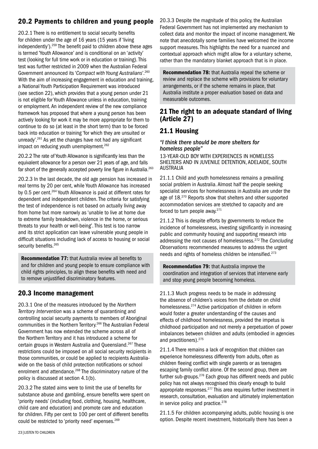## 20.2 Payments to children and young people

20.2.1 There is no entitlement to social security benefits for children under the age of 16 years (15 years if 'living independently').259 The benefit paid to children above these ages is termed 'Youth Allowance' and is conditional on an 'activity' test (looking for full time work or in education or training). This test was further restricted in 2009 when the Australian Federal Government announced its '*Compact with Young Australians'*. 260 With the aim of increasing engagement in education and training, a National Youth Participation Requirement was introduced (see section 22), which provides that a young person under 21 is not eligible for Youth Allowance unless in education, training or employment. An independent review of the new compliance framework has proposed that where a young person has been actively looking for work it may be more appropriate for them to continue to do so (at least in the short term) than to be forced back into education or training 'for which they are unsuited or unready'.261 As yet the changes have not had any significant impact on reducing youth unemployment.<sup>262</sup>

20.2.2 The rate of Youth Allowance is significantly less than the equivalent allowance for a person over 21 years of age, and falls far short of the generally accepted poverty line figure in Australia.<sup>263</sup>

20.2.3 In the last decade, the old age pension has increased in real terms by 20 per cent, while Youth Allowance has increased by 0.5 per cent.<sup>264</sup> Youth Allowance is paid at different rates for dependent and independent children. The criteria for satisfying the test of independence is not based on actually living away from home but more narrowly as 'unable to live at home due to extreme family breakdown, violence in the home, or serious threats to your health or well-being'. This test is too narrow and its strict application can leave vulnerable young people in difficult situations including lack of access to housing or social security benefits.<sup>265</sup>

Recommendation 77: that Australia review all benefits to and for children and young people to ensure compliance with child rights principles, to align these benefits with need and to remove unjustified discriminatory features.

## 20.3 Income management

20.3.1 One of the measures introduced by the *Northern Territory Intervention* was a scheme of quarantining and controlling social security payments to members of Aboriginal communities in the Northern Territory.266 The Australian Federal Government has now extended the scheme across all of the Northern Territory and it has introduced a scheme for certain groups in Western Australia and Queensland.267 These restrictions could be imposed on all social security recipients in those communities, or could be applied to recipients Australiawide on the basis of child protection notifications or school enrolment and attendance.<sup>268</sup> The discriminatory nature of the policy is discussed at section 4.1(b).

20.3.2 The stated aims were to limit the use of benefits for substance abuse and gambling, ensure benefits were spent on 'priority needs' (including food, clothing, housing, healthcare, child care and education) and promote care and education for children. Fifty per cent to 100 per cent of different benefits could be restricted to 'priority need' expenses.<sup>269</sup>

20.3.3 Despite the magnitude of this policy, the Australian Federal Government has not implemented any mechanism to collect data and monitor the impact of income management. We note that anecdotally some families have welcomed the income support measures. This highlights the need for a nuanced and contextual approach which might allow for a voluntary scheme, rather than the mandatory blanket approach that is in place.

Recommendation 78: that Australia repeal the scheme or review and replace the scheme with provisions for voluntary arrangements, or if the scheme remains in place, that Australia institute a proper evaluation based on data and measurable outcomes.

## 21 The right to an adequate standard of living (Article 27)

## 21.1 Housing

#### *"I think there should be more shelters for homeless people"*

13-year-old boy with experiences in homeless shelters and in juvenile detention, Adelaide, South **AUSTRALIA** 

21.1.1 Child and youth homelessness remains a prevailing social problem in Australia. Almost half the people seeking specialist services for homelessness in Australia are under the age of 18.<sup>270</sup> Reports show that shelters and other supported accommodation services are stretched to capacity and are forced to turn people away.271

21.1.2 This is despite efforts by governments to reduce the incidence of homelessness, investing significantly in increasing public and community housing and supporting research into addressing the root causes of homelessness.272 The *Concluding Observations* recommended measures to address the urgent needs and rights of homeless children be intensified.273

Recommendation 79: that Australia improve the coordination and integration of services that intervene early and stop young people becoming homeless.

21.1.3 Much progress needs to be made in addressing the absence of children's voices from the debate on child homelessness.274 Active participation of children in reform would foster a greater understanding of the causes and effects of childhood homelessness, provided the impetus is childhood participation and not merely a perpetuation of power imbalances between children and adults (embodied in agencies and practitioners).275

21.1.4 There remains a lack of recognition that children can experience homelessness differently from adults, often as children fleeing conflict with single parents or as teenagers escaping family conflict alone. Of the second group, there are further sub-groups.276 Each group has different needs and public policy has not always recognised this clearly enough to build appropriate responses.277 This area requires further investment in research, consultation, evaluation and ultimately implementation in service policy and practice.<sup>278</sup>

21.1.5 For children accompanying adults, public housing is one option. Despite recent investment, historically there has been a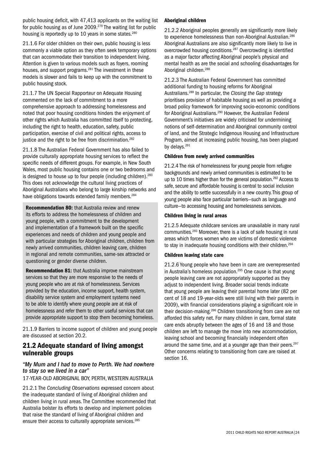public housing deficit, with 47,413 applicants on the waiting list for public housing as of June 2009.279 The waiting list for public housing is reportedly up to 10 years in some states.<sup>280</sup>

21.1.6 For older children on their own, public housing is less commonly a viable option as they often seek temporary options that can accommodate their transition to independent living. Attention is given to various models such as foyers, rooming houses, and support programs.<sup>281</sup> The investment in these models is slower and fails to keep up with the commitment to public housing stock.

21.1.7 The UN Special Rapporteur on Adequate Housing commented on the lack of commitment to a more comprehensive approach to addressing homelessness and noted that poor housing conditions hinders the enjoyment of other rights which Australia has committed itself to protecting, including the right to health, education, safety, public participation, exercise of civil and political rights, access to justice and the right to be free from discrimination.<sup>282</sup>

21.1.8 The Australian Federal Government has also failed to provide culturally appropriate housing services to reflect the specific needs of different groups. For example, in New South Wales, most public housing contains one or two bedrooms and is designed to house up to four people (including children).<sup>283</sup> This does not acknowledge the cultural living practices of Aboriginal Australians who belong to large kinship networks and have obligations towards extended family members.<sup>284</sup>

Recommendation 80: that Australia review and renew its efforts to address the homelessness of children and young people, with a commitment to the development and implementation of a framework built on the specific experiences and needs of children and young people and with particular strategies for Aboriginal children, children from newly arrived communities, children leaving care, children in regional and remote communities, same-sex attracted or questioning or gender diverse children.

Recommendation 81: that Australia improve mainstream services so that they are more responsive to the needs of young people who are at risk of homelessness. Services provided by the education, income support, health system, disability service system and employment systems need to be able to identify where young people are at risk of homelessness and refer them to other useful services that can provide appropriate support to stop them becoming homeless.

21.1.9 Barriers to income support of children and young people are discussed at section 20.2.

## 21.2 Adequate standard of living amongst vulnerable groups

#### *"My Mum and I had to move to Perth. We had nowhere to stay so we lived in a car"*

17-year-old Aboriginal boy, Perth, Western Australia

21.2.1 The *Concluding Observations* expressed concern about the inadequate standard of living of Aboriginal children and children living in rural areas. The Committee recommended that Australia bolster its efforts to develop and implement policies that raise the standard of living of Aboriginal children and ensure their access to culturally appropriate services.<sup>285</sup>

#### Aboriginal children

21.2.2 Aboriginal peoples generally are significantly more likely to experience homelessness than non-Aboriginal Australian.<sup>286</sup> Aboriginal Australians are also significantly more likely to live in overcrowded housing conditions.287 Overcrowding is identified as a major factor affecting Aboriginal people's physical and mental health as are the social and schooling disadvantages for Aboriginal children.288

21.2.3 The Australian Federal Government has committed additional funding to housing reforms for Aboriginal Australians.289 In particular, the *Closing the Gap* strategy prioritises provision of habitable housing as well as providing a broad policy framework for improving socio-economic conditions for Aboriginal Australians.<sup>290</sup> However, the Australian Federal Government's initiatives are widely criticised for undermining notions of self-determination and Aboriginal community control of land, and the Strategic Indigenous Housing and Infrastructure Program, aimed at increasing public housing, has been plagued by delays.<sup>291</sup>

#### Children from newly arrived communities

21.2.4 The risk of homelessness for young people from refugee backgrounds and newly arrived communities is estimated to be up to 10 times higher than for the general population.<sup>292</sup> Access to safe, secure and affordable housing is central to social inclusion and the ability to settle successfully in a new country. This group of young people also face particular barriers—such as language and culture—to accessing housing and homelessness services.

#### Children living in rural areas

21.2.5 Adequate childcare services are unavailable in many rural communities.293 Moreover, there is a lack of safe housing in rural areas which forces women who are victims of domestic violence to stay in inadequate housing conditions with their children.<sup>294</sup>

#### Children leaving state care

21.2.6 Young people who have been in care are overrepresented in Australia's homeless population.<sup>295</sup> One cause is that young people leaving care are not appropriately supported as they adjust to independent living. Broader social trends indicate that young people are leaving their parental home later (82 per cent of 18 and 19-year-olds were still living with their parents in 2009), with financial considerations playing a significant role in their decision-making.296 Children transitioning from care are not afforded this safety net. For many children in care, formal state care ends abruptly between the ages of 16 and 18 and those children are left to manage the move into new accommodation, leaving school and becoming financially independent often around the same time, and at a younger age than their peers. $297$ Other concerns relating to transitioning from care are raised at section 16.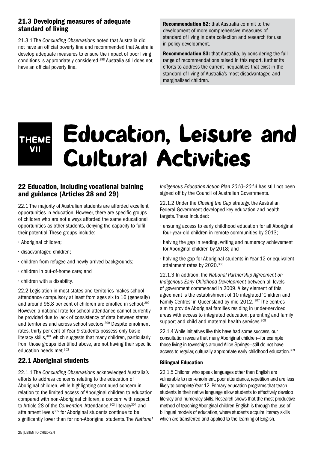## 21.3 Developing measures of adequate standard of living

21.3.1 The *Concluding Observations* noted that Australia did not have an official poverty line and recommended that Australia develop adequate measures to ensure the impact of poor living conditions is appropriately considered.298 Australia still does not have an official poverty line.

Recommendation 82: that Australia commit to the development of more comprehensive measures of standard of living in data collection and research for use in policy development.

Recommendation 83: that Australia, by considering the full range of recommendations raised in this report, further its efforts to address the current inequalities that exist in the standard of living of Australia's most disadvantaged and marginalised children.

## Education, Leisure and Cultural Activities Theme vII

## 22 Education, including vocational training and guidance (Articles 28 and 29)

22.1 The majority of Australian students are afforded excellent opportunities in education. However, there are specific groups of children who are not always afforded the same educational opportunities as other students, denying the capacity to fulfil their potential. These groups include:

- Aboriginal children;
- disadvantaged children;
- children from refugee and newly arrived backgrounds;
- children in out-of-home care; and
- children with a disability.

22.2 Legislation in most states and territories makes school attendance compulsory at least from ages six to 16 (generally) and around 98.8 per cent of children are enrolled in school.<sup>299</sup> However, a national rate for school attendance cannot currently be provided due to lack of consistency of data between states and territories and across school sectors.<sup>300</sup> Despite enrolment rates, thirty per cent of Year 9 students possess only basic literacy skills, $301$  which suggests that many children, particularly from those groups identified above, are not having their specific education needs met.302

## 22.1 Aboriginal students

22.1.1 The *Concluding Observations* acknowledged Australia's efforts to address concerns relating to the education of Aboriginal children, while highlighting continued concern in relation to the limited access of Aboriginal children to education compared with non-Aboriginal children, a concern with respect to Article 28 of the *Convention*. Attendance,<sup>303</sup> literacy<sup>304</sup> and attainment levels<sup>305</sup> for Aboriginal students continue to be significantly lower than for non-Aboriginal students. The *National*  *Indigenous Education Action Plan 2010–2014* has still not been signed off by the Council of Australian Governments.

22.1.2 Under the *Closing the Gap* strategy, the Australian Federal Government developed key education and health targets. These included:

- ensuring access to early childhood education for all Aboriginal four-year-old children in remote communities by 2013;
- halving the gap in reading, writing and numeracy achievement for Aboriginal children by 2018; and
- halving the gap for Aboriginal students in Year 12 or equivalent attainment rates by 2020.306

22.1.3 In addition, the *National Partnership Agreement on Indigenous Early Childhood Development* between all levels of government commenced in 2009. A key element of this agreement is the establishment of 10 integrated 'Children and Family Centres' in Queensland by mid-2012. 307 The centres aim to provide Aboriginal families residing in under-serviced areas with access to integrated education, parenting and family support and child and maternal health services.<sup>308</sup>

22.1.4 While initiatives like this have had some success, our consultation reveals that many Aboriginal children—for example those living in townships around Alice Springs—still do not have access to regular, culturally appropriate early childhood education.<sup>309</sup>

#### Bilingual Education

22.1.5 Children who speak languages other than English are vulnerable to non-enrolment, poor attendance, repetition and are less likely to complete Year 12. Primary education programs that teach students in their native language allow students to effectively develop literacy and numeracy skills. Research shows that the most productive method of teaching Aboriginal children English is through the use of bilingual models of education, where students acquire literacy skills which are transferred and applied to the learning of English.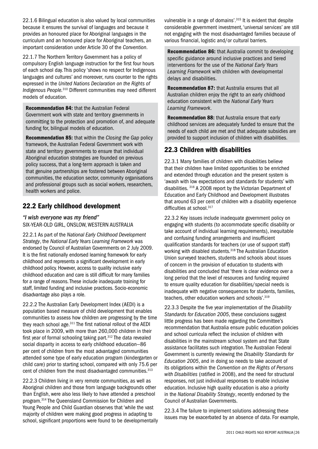22.1.6 Bilingual education is also valued by local communities because it ensures the survival of languages and because it provides an honoured place for Aboriginal languages in the curriculum and an honoured place for Aboriginal teachers, an important consideration under Article 30 of the *Convention*.

22.1.7 The Northern Territory Government has a policy of compulsory English language instruction for the first four hours of each school day. This policy 'shows no respect for Indigenous languages and cultures' and moreover, runs counter to the rights expressed in the *United Nations Declaration on the Rights of Indigenous People.*310 Different communities may need different models of education.

Recommendation 84: that the Australian Federal Government work with state and territory governments in committing to the protection and promotion of, and adequate funding for, bilingual models of education.

Recommendation 85: that within the *Closing the Gap* policy framework, the Australian Federal Government work with state and territory governments to ensure that individual Aboriginal education strategies are founded on previous policy success, that a long-term approach is taken and that genuine partnerships are fostered between Aboriginal communities, the education sector, community organisations and professional groups such as social workers, researchers, health workers and police.

## 22.2 Early childhood development

*"I wish everyone was my friend"* six-year-old girl, Onslow, Western Australia

22.2.1 As part of the *National Early Childhood Development Strategy*, the *National Early Years Learning Framework* was endorsed by Council of Australian Governments on 2 July 2009. It is the first nationally endorsed learning framework for early childhood and represents a significant development in early childhood policy. However, access to quality inclusive early childhood education and care is still difficult for many families for a range of reasons. These include inadequate training for staff, limited funding and inclusive practices. Socio-economic disadvantage also plays a role.

22.2.2 The Australian Early Development Index (AEDI) is a population based measure of child development that enables communities to assess how children are progressing by the time they reach school age.311 The first national rollout of the AEDI took place in 2009, with more than 260,000 children in their first year of formal schooling taking part. $312$  The data revealed social disparity in access to early childhood education—86 per cent of children from the most advantaged communities attended some type of early education program (kindergarten or child care) prior to starting school, compared with only 75.6 per cent of children from the most disadvantaged communities.<sup>313</sup>

22.2.3 Children living in very remote communities, as well as Aboriginal children and those from language backgrounds other than English, were also less likely to have attended a preschool program.314 The Queensland Commission for Children and Young People and Child Guardian observes that 'while the vast majority of children were making good progress in adapting to school, significant proportions were found to be developmentally vulnerable in a range of domains'.<sup>315</sup> It is evident that despite considerable government investment, 'universal services' are still not engaging with the most disadvantaged families because of various financial, logistic and/or cultural barriers.

Recommendation 86: that Australia commit to developing specific guidance around inclusive practices and tiered interventions for the use of the *National Early Years Learning Framework* with children with developmental delays and disabilities.

Recommendation 87: that Australia ensures that all Australian children enjoy the right to an early childhood education consistent with the *National Early Years Learning Framework*.

Recommendation 88: that Australia ensure that early childhood services are adequately funded to ensure that the needs of each child are met and that adequate subsidies are provided to support inclusion of children with disabilities.

## 22.3 Children with disabilities

22.3.1 Many families of children with disabilities believe that their children have limited opportunities to be enriched and extended through education and the present system is 'awash with low expectations and standards for students' with disabilities. 316 A 2008 report by the Victorian Department of Education and Early Childhood and Development illustrates that around 63 per cent of children with a disability experience difficulties at school.<sup>317</sup>

22.3.2 Key issues include inadequate government policy on engaging with students (to accommodate specific disability or take account of individual learning requirements), inequitable and confusing funding arrangements and insufficient qualification standards for teachers (or use of support staff) working with disabled students.<sup>318</sup> The Australian Education Union surveyed teachers, students and schools about issues of concern in the provision of education to students with disabilities and concluded that 'there is clear evidence over a long period that the level of resources and funding required to ensure quality education for disabilities/special needs is inadequate with negative consequences for students, families, teachers, other education workers and schools'.319

22.3.3 Despite the five year implementation of the *Disability Standards for Education 2005*, these conclusions suggest little progress has been made regarding the Committee's recommendation that Australia ensure public education policies and school curricula reflect the inclusion of children with disabilities in the mainstream school system and that State assistance facilitates such integration. The Australian Federal Government is currently reviewing the *Disability Standards for Education 2005*, and in doing so needs to take account of its obligations within the *Convention on the Rights of Persons with Disabilities* (ratified in 2008), and the need for structural responses, not just individual responses to enable inclusive education. Inclusive high quality education is also a priority in the *National Disability Strategy*, recently endorsed by the Council of Australian Governments.

22.3.4 The failure to implement solutions addressing these issues may be exacerbated by an absence of data. For example,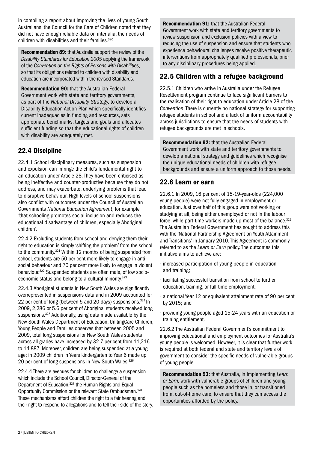in compiling a report about improving the lives of young South Australians, the Council for the Care of Children noted that they did not have enough reliable data on inter alia, the needs of children with disabilities and their families.320

Recommendation 89: that Australia support the review of the *Disability Standards for Education 2005* applying the framework of the *Convention on the Rights of Persons with Disabilities*, so that its obligations related to children with disability and education are incorporated within the revised Standards.

Recommendation 90: that the Australian Federal Government work with state and territory governments, as part of the *National Disability Strategy,* to develop a Disability Education Action Plan which specifically identifies current inadequacies in funding and resources, sets appropriate benchmarks, targets and goals and allocates sufficient funding so that the educational rights of children with disability are adequately met.

## 22.4 Discipline

22.4.1 School disciplinary measures, such as suspension and expulsion can infringe the child's fundamental right to an education under Article 28. They have been criticised as being ineffective and counter-productive because they do not address, and may exacerbate, underlying problems that lead to disruptive behaviour. High levels of school suspensions also conflict with outcomes under the Council of Australian Governments *National Education Agreement*, for example *'*that schooling promotes social inclusion and reduces the educational disadvantage of children, especially Aboriginal children*'.*

22.4.2 Excluding students from school and denying them their right to education is simply 'shifting the problem' from the school to the community.<sup>321</sup> Within 12 months of being suspended from school, students are 50 per cent more likely to engage in antisocial behaviour and 70 per cent more likely to engage in violent behaviour.<sup>322</sup> Suspended students are often male, of low socioeconomic status and belong to a cultural minority.<sup>323</sup>

22.4.3 Aboriginal students in New South Wales are significantly overrepresented in suspensions data and in 2009 accounted for 22 per cent of long (between 5 and 20 days) suspensions.<sup>324</sup> In 2009, 2,286 or 5.6 per cent of Aboriginal students received long suspensions.<sup>325</sup> Additionally, using data made available by the New South Wales Department of Education, UnitingCare Children, Young People and Families observes that between 2005 and 2009, total long suspensions for New South Wales students across all grades have increased by 32.7 per cent from 11,216 to 14,887. Moreover, children are being suspended at a young age; in 2009 children in Years kindergarten to Year 6 made up 20 per cent of long suspensions in New South Wales.<sup>326</sup>

22.4.4 There are avenues for children to challenge a suspension which include the School Council, Director-General of the Department of Education,<sup>327</sup> the Human Rights and Equal Opportunity Commission or the relevant State Ombudsman.328 These mechanisms afford children the right to a fair hearing and their right to respond to allegations and to tell their side of the story.

Recommendation 91: that the Australian Federal Government work with state and territory governments to review suspension and exclusion policies with a view to reducing the use of suspension and ensure that students who experience behavioural challenges receive positive therapeutic interventions from appropriately qualified professionals, prior to any disciplinary procedures being applied.

## 22.5 Children with a refugee background

22.5.1 Children who arrive in Australia under the Refugee Resettlement program continue to face significant barriers to the realisation of their right to education under Article 28 of the *Convention*. There is currently no national strategy for supporting refugee students in school and a lack of uniform accountability across jurisdictions to ensure that the needs of students with refugee backgrounds are met in schools.

Recommendation 92: that the Australian Federal Government work with state and territory governments to develop a national strategy and guidelines which recognise the unique educational needs of children with refugee backgrounds and ensure a uniform approach to those needs.

## 22.6 Learn or earn

22.6.1 In 2009, 16 per cent of 15-19-year-olds (224,000 young people) were not fully engaged in employment or education. Just over half of this group were not working or studying at all, being either unemployed or not in the labour force, while part-time workers made up most of the balance.<sup>329</sup> The Australian Federal Government has sought to address this with the 'National Partnership Agreement on Youth Attainment and Transitions' in January 2010. This Agreement is commonly referred to as the *Learn or Earn* policy. The outcomes this initiative aims to achieve are:

- increased participation of young people in education and training;
- facilitating successful transition from school to further education, training, or full-time employment;
- a national Year 12 or equivalent attainment rate of 90 per cent by 2015; and
- providing young people aged 15-24 years with an education or training entitlement.

22.6.2 The Australian Federal Government's commitment to improving educational and employment outcomes for Australia's young people is welcomed. However, it is clear that further work is required at both federal and state and territory levels of government to consider the specific needs of vulnerable groups of young people.

Recommendation 93: that Australia, in implementing *Learn or Earn,* work with vulnerable groups of children and young people such as the homeless and those in, or transitioned from, out-of-home care, to ensure that they can access the opportunities afforded by the policy.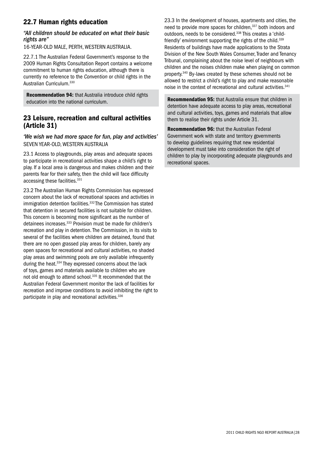## 22.7 Human rights education

#### *"All children should be educated on what their basic rights are"*

16-year-old male, Perth, Western Australia.

22.7.1 The Australian Federal Government's response to the 2009 Human Rights Consultation Report contains a welcome commitment to human rights education, although there is currently no reference to the *Convention* or child rights in the Australian Curriculum. 330

Recommendation 94: that Australia introduce child rights education into the national curriculum.

## 23 Leisure, recreation and cultural activities (Article 31)

*'We wish we had more space for fun, play and activities'* seven year-old, Western Australia

23.1 Access to playgrounds, play areas and adequate spaces to participate in recreational activities shape a child's right to play. If a local area is dangerous and makes children and their parents fear for their safety, then the child will face difficulty accessing these facilities.<sup>331</sup>

23.2 The Australian Human Rights Commission has expressed concern about the lack of recreational spaces and activities in immigration detention facilities.<sup>332</sup> The Commission has stated that detention in secured facilities is not suitable for children. This concern is becoming more significant as the number of detainees increases.<sup>333</sup> Provision must be made for children's recreation and play in detention. The Commission, in its visits to several of the facilities where children are detained, found that there are no open grassed play areas for children, barely any open spaces for recreational and cultural activities, no shaded play areas and swimming pools are only available infrequently during the heat.<sup>334</sup> They expressed concerns about the lack of toys, games and materials available to children who are not old enough to attend school.335 It recommended that the Australian Federal Government monitor the lack of facilities for recreation and improve conditions to avoid inhibiting the right to participate in play and recreational activities.<sup>336</sup>

23.3 In the development of houses, apartments and cities, the need to provide more spaces for children,<sup>337</sup> both indoors and outdoors, needs to be considered.338 This creates a 'childfriendly' environment supporting the rights of the child.<sup>339</sup> Residents of buildings have made applications to the Strata Division of the New South Wales Consumer, Trader and Tenancy Tribunal, complaining about the noise level of neighbours with children and the noises children make when playing on common property.340 By-laws created by these schemes should not be allowed to restrict a child's right to play and make reasonable noise in the context of recreational and cultural activities.<sup>341</sup>

Recommendation 95: that Australia ensure that children in detention have adequate access to play areas, recreational and cultural activities, toys, games and materials that allow them to realise their rights under Article 31.

Recommendation 96: that the Australian Federal Government work with state and territory governments to develop guidelines requiring that new residential development must take into consideration the right of children to play by incorporating adequate playgrounds and recreational spaces.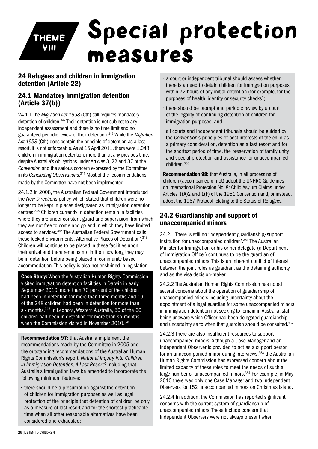## Special protection measures Theme vIII

## 24 Refugees and children in immigration detention (Article 22)

## 24.1 Mandatory immigration detention (Article 37(b))

24.1.1 The *Migration Act 1958* (Cth) still requires mandatory detention of children.342 Their detention is not subject to any independent assessment and there is no time limit and no guaranteed periodic review of their detention. 343 While the *Migration Act 1958* (Cth) does contain the principle of detention as a last resort, it is not enforceable. As at 15 April 2011, there were 1,048 children in immigration detention, more than at any previous time, despite Australia's obligations under Articles 3, 22 and 37 of the *Convention* and the serious concern expressed by the Committee in its *Concluding Observations*. 344 Most of the recommendations made by the Committee have not been implemented.

24.1.2 In 2008, the Australian Federal Government introduced the *New Directions* policy, which stated that children were no longer to be kept in places designated as immigration detention centres.345 Children currently in detention remain in facilities where they are under constant guard and supervision, from which they are not free to come and go and in which they have limited access to services.346 The Australian Federal Government calls these locked environments, 'Alternative Places of Detention'.<sup>347</sup> Children will continue to be placed in these facilities upon their arrival and there remains no limit on how long they may be in detention before being placed in community based accommodation. This policy is also not enshrined in legislation.

**Case Study:** When the Australian Human Rights Commission visited immigration detention facilities in Darwin in early September 2010, more than 70 per cent of the children had been in detention for more than three months and 19 of the 248 children had been in detention for more than six months.<sup>348</sup> In Leonora, Western Australia, 50 of the 66 children had been in detention for more than six months when the Commission visited in November 2010.<sup>349</sup>

Recommendation 97: that Australia implement the recommendations made by the Committee in 2005 and the outstanding recommendations of the Australian Human Rights Commission's report, *National Inquiry into Children in Immigration Detention, A Last Resort?* including that Australia's immigration laws be amended to incorporate the following minimum features:

• there should be a presumption against the detention of children for immigration purposes as well as legal protection of the principle that detention of children be only as a measure of last resort and for the shortest practicable time when all other reasonable alternatives have been considered and exhausted;

- a court or independent tribunal should assess whether there is a need to detain children for immigration purposes within 72 hours of any initial detention (for example, for the purposes of health, identity or security checks);
- there should be prompt and periodic review by a court of the legality of continuing detention of children for immigration purposes; and
- all courts and independent tribunals should be guided by the *Convention*'s principles of best interests of the child as a primary consideration, detention as a last resort and for the shortest period of time, the preservation of family unity and special protection and assistance for unaccompanied children.350

Recommendation 98: that Australia, in all processing of children (accompanied or not) adopt the UNHRC Guidelines on International Protection No. 8: Child Asylum Claims under Articles 1(A)2 and 1(F) of the 1951 Convention and, or instead, adopt the 1967 Protocol relating to the Status of Refugees.

## 24.2 Guardianship and support of unaccompanied minors

24.2.1 There is still no 'independent guardianship/support institution for unaccompanied children'.351 The Australian Minister for Immigration or his or her delegate (a Department of Immigration Officer) continues to be the guardian of unaccompanied minors. This is an inherent conflict of interest between the joint roles as guardian, as the detaining authority and as the visa decision-maker.

24.2.2 The Australian Human Rights Commission has noted several concerns about the operation of guardianship of unaccompanied minors including uncertainty about the appointment of a legal guardian for some unaccompanied minors in immigration detention not seeking to remain in Australia, staff being unaware which Officer had been delegated guardianship and uncertainty as to when that guardian should be consulted.<sup>352</sup>

24.2.3 There are also insufficient resources to support unaccompanied minors. Although a Case Manager and an Independent Observer is provided to act as a support person for an unaccompanied minor during interviews,<sup>353</sup> the Australian Human Rights Commission has expressed concern about the limited capacity of these roles to meet the needs of such a large number of unaccompanied minors.<sup>354</sup> For example, in May 2010 there was only one Case Manager and two Independent Observers for 152 unaccompanied minors on Christmas Island.

24.2.4 In addition, the Commission has reported significant concerns with the current system of guardianship of unaccompanied minors. These include concern that Independent Observers were not always present when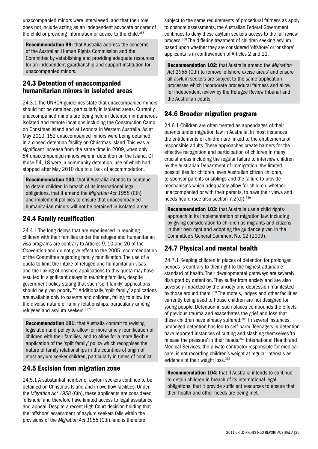unaccompanied minors were interviewed, and that their role does not include acting as an independent advocate or carer of the child or providing information or advice to the child.<sup>355</sup>

Recommendation 99: that Australia address the concerns of the Australian Human Rights Commission and the Committee by establishing and providing adequate resources for an independent guardianship and support institution for unaccompanied minors.

## 24.3 Detention of unaccompanied humanitarian minors in isolated areas

24.3.1 The UNHCR guidelines state that unaccompanied minors should not be detained, particularly in isolated areas. Currently, unaccompanied minors are being held in detention in numerous isolated and remote locations including the Construction Camp on Christmas Island and at Leonora in Western Australia. As at May 2010, 152 unaccompanied minors were being detained in a closed detention facility on Christmas Island. This was a significant increase from the same time in 2009, when only 54 unaccompanied minors were in detention on the island. Of those 54, 18 were in community detention, use of which had stopped after May 2010 due to a lack of accommodation.

Recommendation 100: that if Australia intends to continue to detain children in breach of its international legal obligations, that it amend the *Migration Act 1958* (Cth) and implement policies to ensure that unaccompanied humanitarian minors will not be detained in isolated areas.

## 24.4 Family reunification

24.4.1 The long delays that are experienced in reuniting children with their families under the refugee and humanitarian visa programs are contrary to Articles 9, 10 and 20 of the *Convention* and do not give effect to the 2005 recommendation of the Committee regarding family reunification. The use of a quota to limit the intake of refugee and humanitarian visas and the linking of onshore applications to this quota may have resulted in significant delays in reuniting families, despite government policy stating that such 'split family' applications should be given priority.<sup>356</sup> Additionally, 'split family' applications are available only to parents and children, failing to allow for the diverse nature of family relationships, particularly among refugees and asylum seekers. 357

Recommendation 101: that Australia commit to revising legislation and policy to allow for more timely reunification of children with their families, and to allow for a more flexible application of the 'split family' policy which recognises the nature of family relationships in the countries of origin of most asylum seeker children, particularly in times of conflict.

## 24.5 Excision from migration zone

24.5.1 A substantial number of asylum seekers continue to be detained on Christmas Island and in overflow facilities. Under the *Migration Act 1958* (Cth), these applicants are considered 'offshore' and therefore have limited access to legal assistance and appeal. Despite a recent High Court decision holding that the 'offshore' assessment of asylum seekers falls within the provisions of the *Migration Act 1958* (Cth), and is therefore

subject to the same requirements of procedural fairness as apply to onshore assessments, the Australian Federal Government continues to deny these asylum seekers access to the full review process.358 The differing treatment of children seeking asylum based upon whether they are considered 'offshore' or 'onshore' applicants is in contravention of Articles 2 and 22.

Recommendation 102: that Australia amend the *Migration Act 1958* (Cth) to remove 'offshore excise areas' and ensure all asylum seekers are subject to the same application processes which incorporate procedural fairness and allow for independent review by the Refugee Review Tribunal and the Australian courts.

## 24.6 Broader migration program

24.6.1 Children are often treated as appendages of their parents under migration law in Australia. In most instances the entitlements of children are linked to the entitlements of responsible adults. These approaches create barriers for the effective recognition and participation of children in many crucial areas including the regular failure to interview children by the Australian Department of Immigration, the limited possibilities for children, even Australian citizen children, to sponsor parents or siblings and the failure to provide mechanisms which adequately allow for children, whether unaccompanied or with their parents, to have their views and needs heard (see also section 7.2(d)).<sup>359</sup>

Recommendation 103: that Australia use a child rightsapproach in its implementation of migration law, including by giving consideration to children as migrants and citizens in their own right and adopting the guidance given in the Committee's General Comment No. 12 (2009).

## 24.7 Physical and mental health

24.7.1 Keeping children in places of detention for prolonged periods is contrary to their right to the highest attainable standard of health. Their developmental pathways are severely disrupted by detention. They suffer from anxiety and are also adversely impacted by the anxiety and depression manifested by those around them.<sup>360</sup> The motels, lodges and other facilities currently being used to house children are not designed for young people. Detention in such places compounds the effects of previous trauma and exacerbates the grief and loss that these children have already suffered.<sup>361</sup> In several instances, prolonged detention has led to self-harm. Teenagers in detention have reported instances of cutting and slashing themselves 'to release the pressure' in their heads.<sup>362</sup> International Health and Medical Services, the private contractor responsible for medical care, is not recording children's weight at regular intervals as evidence of their weight loss.<sup>363</sup>

Recommendation 104: that if Australia intends to continue to detain children in breach of its international legal obligations, that it provide sufficient resources to ensure that their health and other needs are being met.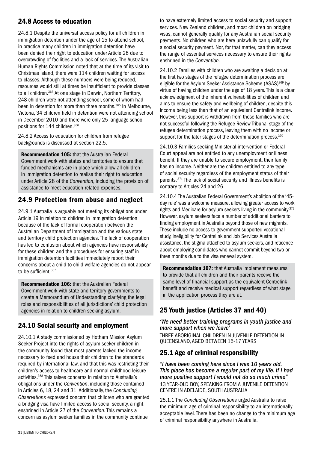## 24.8 Access to education

24.8.1 Despite the universal access policy for all children in immigration detention under the age of 15 to attend school, in practice many children in immigration detention have been denied their right to education under Article 28 due to overcrowding of facilities and a lack of services. The Australian Human Rights Commission noted that at the time of its visit to Christmas Island, there were 114 children waiting for access to classes. Although these numbers were being reduced, resources would still at times be insufficient to provide classes to all children.<sup>364</sup> At one stage in Darwin, Northern Territory, 248 children were not attending school, some of whom had been in detention for more than three months.<sup>365</sup> In Melbourne. Victoria, 34 children held in detention were not attending school in December 2010 and there were only 25 language school positions for 144 children.366

24.8.2 Access to education for children from refugee backgrounds is discussed at section 22.5.

Recommendation 105: that the Australian Federal Government work with states and territories to ensure that funded mechanisms are in place which allow all children in immigration detention to realise their right to education under Article 28 of the *Convention*, including the provision of assistance to meet education-related expenses.

## 24.9 Protection from abuse and neglect

24.9.1 Australia is arguably not meeting its obligations under Article 19 in relation to children in immigration detention because of the lack of formal cooperation between the Australian Department of Immigration and the various state and territory child protection agencies. The lack of cooperation has led to confusion about which agencies have responsibility for these children and the procedures for ensuring staff in immigration detention facilities immediately report their concerns about a child to child welfare agencies do not appear to be sufficient.<sup>367</sup>

Recommendation 106: that the Australian Federal Government work with state and territory governments to create a Memorandum of Understanding clarifying the legal roles and responsibilities of all jurisdictions' child protection agencies in relation to children seeking asylum.

## 24.10 Social security and employment

24.10.1 A study commissioned by Hotham Mission Asylum Seeker Project into the rights of asylum seeker children in the community found that most parents lacked the income necessary to feed and house their children to the standards required by international law, and that this was restricting their children's access to healthcare and normal childhood leisure activities.368 This raises concerns in relation to Australia's obligations under the *Convention*, including those contained in Articles 6, 18, 24 and 31. Additionally, the *Concluding Observations* expressed concern that children who are granted a bridging visa have limited access to social security, a right enshrined in Article 27 of the *Convention.* This remains a concern as asylum seeker families in the community continue

to have extremely limited access to social security and support services. New Zealand children, and most children on bridging visas, cannot generally qualify for any Australian social security payments. No children who are here unlawfully can qualify for a social security payment. Nor, for that matter, can they access the range of essential services necessary to ensure their rights enshrined in the *Convention*.

24.10.2 Families with children who are awaiting a decision at the first two stages of the refugee determination process are eligible for the Asylum Seeker Assistance Scheme (ASAS)<sup>369</sup> by virtue of having children under the age of 18 years. This is a clear acknowledgment of the inherent vulnerabilities of children and aims to ensure the safety and wellbeing of children, despite this income being less than that of an equivalent Centrelink income. However, this support is withdrawn from those families who are not successful following the Refugee Review Tribunal stage of the refugee determination process, leaving them with no income or support for the later stages of the determination process.<sup>370</sup>

24.10.3 Families seeking Ministerial intervention or Federal Court appeal are not entitled to any unemployment or illness benefit. If they are unable to secure employment, their family has no income. Neither are the children entitled to any type of social security regardless of the employment status of their parents. 371 The lack of social security and illness benefits is contrary to Articles 24 and 26.

24.10.4 The Australian Federal Government's abolition of the '45 day rule' was a welcome measure, allowing greater access to work rights and Medicare for asylum seekers living in the community.<sup>372</sup> However, asylum seekers face a number of additional barriers to finding employment in Australia beyond those of new migrants. These include no access to government supported vocational study, ineligibility for Centrelink and Job Services Australia assistance, the stigma attached to asylum seekers, and reticence about employing candidates who cannot commit beyond two or three months due to the visa renewal system.

Recommendation 107: that Australia implement measures to provide that all children and their parents receive the same level of financial support as the equivalent Centrelink benefit and receive medical support regardless of what stage in the application process they are at.

## 25 Youth justice (Articles 37 and 40)

*'We need better training programs in youth justice and more support when we leave'* three Aboriginal children in juvenile detention in Queensland, aged between 15-17 years

## 25.1 Age of criminal responsibility

*"I have been coming here since I was 10 years old. This place has become a regular part of my life. If I had more positive support I would not do so much crime"* 13 year-old boy, speaking from a juvenile detention centre in Adelaide, South Australia

25.1.1 The *Concluding Observations* urged Australia to raise the minimum age of criminal responsibility to an internationally acceptable level. There has been no change to the minimum age of criminal responsibility anywhere in Australia.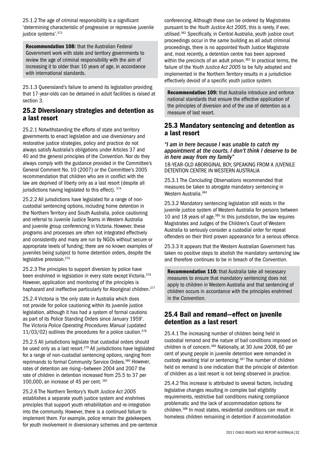25.1.2 The age of criminal responsibility is a significant 'determining characteristic of progressive or repressive juvenile justice systems'.<sup>373</sup>

Recommendation 108: that the Australian Federal Government work with state and territory governments to review the age of criminal responsibility with the aim of increasing it to older than 10 years of age, in accordance with international standards.

25.1.3 Queensland's failure to amend its legislation providing that 17-year-olds can be detained in adult facilities is raised at section 3.

#### 25.2 Diversionary strategies and detention as a last resort

25.2.1 Notwithstanding the efforts of state and territory governments to enact legislation and use diversionary and restorative justice strategies, policy and practice do not always satisfy Australia's obligations under Articles 37 and 40 and the general principles of the *Convention*. Nor do they always comply with the guidance provided in the Committee's General Comment No. 10 (2007) or the Committee's 2005 recommendation that children who are in conflict with the law are deprived of liberty only as a last resort (despite all jurisdictions having legislated to this effect). 374

25.2.2 All jurisdictions have legislated for a range of noncustodial sentencing options, including home detention in the Northern Territory and South Australia, police cautioning and referral to Juvenile Justice Teams in Western Australia and juvenile group conferencing in Victoria. However, these programs and processes are often not integrated effectively and consistently and many are run by NGOs without secure or appropriate levels of funding; there are no known examples of juveniles being subject to home detention orders, despite the legislative provision. 375

25.2.3 The principles to support diversion by police have been enshrined in legislation in every state except Victoria.<sup>376</sup> However, application and monitoring of the principles is haphazard and ineffective particularly for Aboriginal children.<sup>377</sup>

25.2.4 Victoria is 'the only state in Australia which does not provide for police cautioning within its juvenile justice legislation, although it has had a system of formal cautions as part of its Police Standing Orders since January 1959'. The *Victoria Police Operating Procedures Manual* (updated  $11/03/02$ ) outlines the procedures for a police caution.<sup>378</sup>

25.2.5 All jurisdictions legislate that custodial orders should be used only as a last resort.379 All jurisdictions have legislated for a range of non-custodial sentencing options, ranging from reprimands to formal Community Service Orders.380 However, rates of detention are rising—between 2004 and 2007 the rate of children in detention increased from 25.5 to 37 per 100,000, an increase of 45 per cent. 381

25.2.6 The Northern Territory's *Youth Justice Act 2005* establishes a separate youth justice system and enshrines principles that support youth rehabilitation and re-integration into the community. However, there is a continued failure to implement them. For example, police remain the gatekeepers for youth involvement in diversionary schemes and pre-sentence conferencing. Although these can be ordered by Magistrates pursuant to the *Youth Justice Act 2005*, this is rarely, if ever, utilised.382 Specifically, in Central Australia, youth justice court proceedings occur in the same building as all adult criminal proceedings, there is no appointed Youth Justice Magistrate and, most recently, a detention centre has been approved within the precincts of an adult prison.<sup>383</sup> In practical terms, the failure of the *Youth Justice Act 2005* to be fully adopted and implemented in the Northern Territory results in a jurisdiction effectively devoid of a specific youth justice system.

Recommendation 109: that Australia introduce and enforce national standards that ensure the effective application of the principles of diversion and of the use of detention as a measure of last resort.

## 25.3 Mandatory sentencing and detention as a last resort

*"I am in here because I was unable to catch my appointment at the courts. I don't think I deserve to be in here away from my family"*

18-year-old Aboriginal boy, speaking from a juvenile detention centre in Western Australia

25.3.1 The *Concluding Observations* recommended that measures be taken to abrogate mandatory sentencing in Western Australia.384

25.3.2 Mandatory sentencing legislation still exists in the juvenile justice system of Western Australia for persons between 10 and 18 years of age.385 In this jurisdiction, the law requires Magistrates and Judges of the Children's Court of Western Australia to seriously consider a custodial order for repeat offenders on their third proven appearance for a serious offence.

25.3.3 It appears that the Western Australian Government has taken no positive steps to abolish the mandatory sentencing law and therefore continues to be in breach of the *Convention*.

Recommendation 110: that Australia take all necessary measures to ensure that mandatory sentencing does not apply to children in Western Australia and that sentencing of children occurs in accordance with the principles enshrined in the *Convention*.

## 25.4 Bail and remand—effect on juvenile detention as a last resort

25.4.1 The increasing number of children being held in custodial remand and the nature of bail conditions imposed on children is of concern.<sup>386</sup> Nationally, at 30 June 2008, 60 per cent of young people in juvenile detention were remanded in custody awaiting trial or sentencing.<sup>387</sup> The number of children held on remand is one indication that the principle of detention of children as a last resort is not being observed in practice.

25.4.2 This increase is attributed to several factors, including legislative changes resulting in complex bail eligibility requirements, restrictive bail conditions making compliance problematic and the lack of accommodation options for children.388 In most states, residential conditions can result in homeless children remaining in detention if accommodation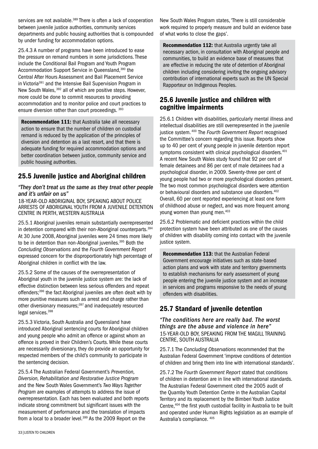services are not available.<sup>389</sup> There is often a lack of cooperation between juvenile justice authorities, community services departments and public housing authorities that is compounded by under funding for accommodation options.

25.4.3 A number of programs have been introduced to ease the pressure on remand numbers in some jurisdictions. These include the Conditional Bail Program and Youth Program Accommodation Support Service in Queensland,390 the Central After Hours Assessment and Bail Placement Service in Victoria<sup>391</sup> and the Intensive Bail Supervision Program in New South Wales, 392 all of which are positive steps. However, more could be done to commit resources to providing accommodation and to monitor police and court practices to ensure diversion rather than court proceedings. 393

Recommendation 111: that Australia take all necessary action to ensure that the number of children on custodial remand is reduced by the application of the principles of diversion and detention as a last resort, and that there is adequate funding for required accommodation options and better coordination between justice, community service and public housing authorities.

## 25.5 Juvenile justice and Aboriginal children

#### *"They don't treat us the same as they treat other people and it's unfair on us"*

18-year-old Aboriginal boy, speaking about police arrests of Aboriginal youth from a juvenile detention centre in Perth, Western Australia

25.5.1 Aboriginal juveniles remain substantially overrepresented in detention compared with their non-Aboriginal counterparts.<sup>394</sup> At 30 June 2008, Aboriginal juveniles were 24 times more likely to be in detention than non-Aboriginal juveniles.<sup>395</sup> Both the *Concluding Observations* and the *Fourth Government Report* expressed concern for the disproportionately high percentage of Aboriginal children in conflict with the law.

25.5.2 Some of the causes of the overrepresentation of Aboriginal youth in the juvenile justice system are: the lack of effective distinction between less serious offenders and repeat offenders;<sup>396</sup> the fact Aboriginal juveniles are often dealt with by more punitive measures such as arrest and charge rather than other diversionary measures;<sup>397</sup> and inadequately resourced legal services.398

25.5.3 Victoria, South Australia and Queensland have introduced Aboriginal sentencing courts for Aboriginal children and young people who admit an offence or against whom an offence is proved in their Children's Courts. While these courts are necessarily diversionary, they do provide an opportunity for respected members of the child's community to participate in the sentencing decision.

25.5.4 The Australian Federal Government's *Prevention, Diversion, Rehabilitation and Restorative Justice Program* and the New South Wales Government's *Two Ways Together Program* are examples of attempts to address the issue of overrepresentation. Each has been evaluated and both reports indicate strong commitment but significant issues with the measurement of performance and the translation of impacts from a local to a broader level.<sup>399</sup> As the 2009 Report on the

New South Wales Program states, 'There is still considerable work required to properly measure and build an evidence base of what works to close the gaps'.

Recommendation 112: that Australia urgently take all necessary action, in consultation with Aboriginal people and communities, to build an evidence base of measures that are effective in reducing the rate of detention of Aboriginal children including considering inviting the ongoing advisory contribution of international experts such as the UN Special Rapporteur on Indigenous Peoples.

## 25.6 Juvenile justice and children with cognitive impairments

25.6.1 Children with disabilities, particularly mental illness and intellectual disabilities are still overrepresented in the juvenile justice system. 400 The *Fourth Government Report* recognised the Committee's concern regarding this issue. Reports show up to 40 per cent of young people in juvenile detention report symptoms consistent with clinical psychological disorders.<sup>401</sup> A recent New South Wales study found that 92 per cent of female detainees and 86 per cent of male detainees had a psychological disorder, in 2009. Seventy-three per cent of young people had two or more psychological disorders present. The two most common psychological disorders were attention or behavioural disorders and substance use disorders.<sup>402</sup> Overall, 60 per cent reported experiencing at least one form of childhood abuse or neglect, and was more frequent among young women than young men.403

25.6.2 Problematic and deficient practices within the child protection system have been attributed as one of the causes of children with disability coming into contact with the juvenile justice system.

Recommendation 113: that the Australian Federal Government encourage initiatives such as state-based action plans and work with state and territory governments to establish mechanisms for early assessment of young people entering the juvenile justice system and an increase in services and programs responsive to the needs of young offenders with disabilities.

## 25.7 Standard of juvenile detention

*"The conditions here are really bad. The worst things are the abuse and violence in here"* 15-year-old boy, speaking from the Magill Training Centre, South Australia

25.7.1 The *Concluding Observations* recommended that the Australian Federal Government 'improve conditions of detention of children and bring them into line with international standards'.

25.7.2 The *Fourth Government Report* stated that conditions of children in detention are in line with international standards. The Australian Federal Government cited the 2005 audit of the Quamby Youth Detention Centre in the Australian Capital Territory and its replacement by the Bimberi Youth Justice Centre,404 the first youth custodial facility in Australia to be built and operated under Human Rights legislation as an example of Australia's compliance. 405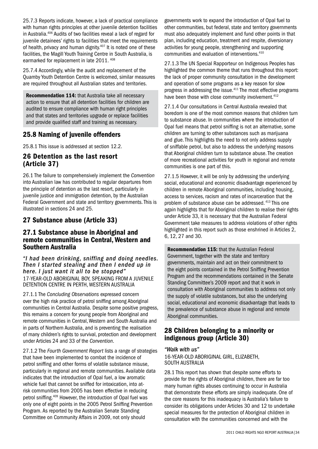25.7.3 Reports indicate, however, a lack of practical compliance with human rights principles at other juvenile detention facilities in Australia.406 Audits of two facilities reveal a lack of regard for juvenile detainees' rights to facilities that meet the requirements of health, privacy and human dignity.<sup>407</sup> It is noted one of these facilities, the Magill Youth Training Centre in South Australia, is earmarked for replacement in late 2011. 408

25.7.4 Accordingly, while the audit and replacement of the Quamby Youth Detention Centre is welcomed, similar measures are required throughout all Australian states and territories.

Recommendation 114: that Australia take all necessary action to ensure that all detention facilities for children are audited to ensure compliance with human right principles and that states and territories upgrade or replace facilities and provide qualified staff and training as necessary.

## 25.8 Naming of juvenile offenders

25.8.1 This issue is addressed at section 12.2.

## 26 Detention as the last resort (Article 37)

26.1 The failure to comprehensively implement the *Convention*  into Australian law has contributed to regular departures from the principle of detention as the last resort, particularly in juvenile justice and immigration detention, by the Australian Federal Government and state and territory governments. This is illustrated in sections 24 and 25.

## 27 Substance abuse (Article 33)

## 27.1 Substance abuse in Aboriginal and remote communities in Central, Western and Southern Australia

*"I had been drinking, sniffing and doing needles. Then I started stealing and then I ended up in here. I just want it all to be stopped"* 17-year-old Aboriginal boy, speaking from a juvenile detention centre in Perth, Western Australia

27.1.1 The *Concluding Observations* expressed concern over the high risk practice of petrol sniffing among Aboriginal communities in Central Australia. Despite some positive progress, this remains a concern for young people from Aboriginal and remote communities in Central, Western and South Australia and in parts of Northern Australia, and is preventing the realisation of many children's rights to survival, protection and development under Articles 24 and 33 of the *Convention*.

27.1.2 The *Fourth Government Report* lists a range of strategies that have been implemented to combat the incidence of petrol sniffing and other forms of volatile substance misuse, particularly in regional and remote communities. Available data indicates that the introduction of Opal fuel, a low aromatic vehicle fuel that cannot be sniffed for intoxication, into atrisk communities from 2005 has been effective in reducing petrol sniffing.409 However, the introduction of Opal fuel was only one of eight points in the 2005 Petrol Sniffing Prevention Program. As reported by the Australian Senate Standing Committee on Community Affairs in 2009, not only should

governments work to expand the introduction of Opal fuel to other communities, but federal, state and territory governments must also adequately implement and fund other points in that plan, including education, treatment and respite, diversionary activities for young people, strengthening and supporting communities and evaluation of interventions.410

27.1.3 The UN Special Rapporteur on Indigenous Peoples has highlighted the common theme that runs throughout this report: the lack of proper community consultation in the development and operation of some programs as a key reason for slow progress in addressing the issue.411 The most effective programs have been those with close community involvement.<sup>412</sup>

27.1.4 Our consultations in Central Australia revealed that boredom is one of the most common reasons that children turn to substance abuse. In communities where the introduction of Opal fuel means that petrol sniffing is not an alternative, some children are turning to other substances such as marijuana and glue. This highlights the need to not only address supply of sniffable petrol, but also to address the underlying reasons that Aboriginal children turn to substance abuse. The creation of more recreational activities for youth in regional and remote communities is one part of this.

27.1.5 However, it will be only by addressing the underlying social, educational and economic disadvantage experienced by children in remote Aboriginal communities, including housing, access to services, racism and rates of incarceration that the problem of substance abuse can be addressed. 413 This one again highlights that for Aboriginal children to realise their rights under Article 33, it is necessary that the Australian Federal Government take measures to address violations of other rights highlighted in this report such as those enshrined in Articles 2, 6, 12, 27 and 30.

Recommendation 115: that the Australian Federal Government, together with the state and territory governments, maintain and act on their commitment to the eight points contained in the Petrol Sniffing Prevention Program and the recommendations contained in the Senate Standing Committee's 2009 report and that it work in consultation with Aboriginal communities to address not only the supply of volatile substances, but also the underlying social, educational and economic disadvantage that leads to the prevalence of substance abuse in regional and remote Aboriginal communities.

## 28 Children belonging to a minority or indigenous group (Article 30)

*"Walk with us"* 16-year-old Aboriginal girl, Elizabeth, South Australia

28.1 This report has shown that despite some efforts to provide for the rights of Aboriginal children, there are far too many human rights abuses continuing to occur in Australia that demonstrate these efforts are simply inadequate. One of the core reasons for this inadequacy is Australia's failure to consider its obligations under Articles 30 and 12 to undertake special measures for the protection of Aboriginal children in consultation with the communities concerned and with the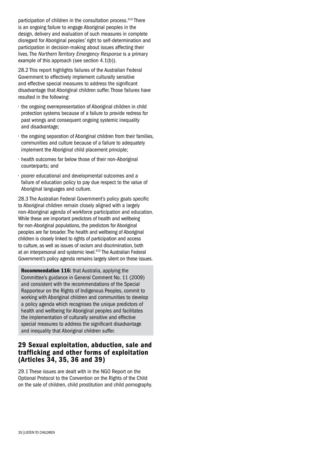participation of children in the consultation process.<sup>414</sup> There is an ongoing failure to engage Aboriginal peoples in the design, delivery and evaluation of such measures in complete disregard for Aboriginal peoples' right to self-determination and participation in decision-making about issues affecting their lives. The *Northern Territory Emergency Response* is a primary example of this approach (see section 4.1(b)).

28.2 This report highlights failures of the Australian Federal Government to effectively implement culturally sensitive and effective special measures to address the significant disadvantage that Aboriginal children suffer. Those failures have resulted in the following:

- the ongoing overrepresentation of Aboriginal children in child protection systems because of a failure to provide redress for past wrongs and consequent ongoing systemic inequality and disadvantage;
- the ongoing separation of Aboriginal children from their families, communities and culture because of a failure to adequately implement the Aboriginal child placement principle;
- health outcomes far below those of their non-Aboriginal counterparts; and
- poorer educational and developmental outcomes and a failure of education policy to pay due respect to the value of Aboriginal languages and culture.

28.3 The Australian Federal Government's policy goals specific to Aboriginal children remain closely aligned with a largely non-Aboriginal agenda of workforce participation and education. While these are important predictors of health and wellbeing for non-Aboriginal populations, the predictors for Aboriginal peoples are far broader. The health and wellbeing of Aboriginal children is closely linked to rights of participation and access to culture, as well as issues of racism and discrimination, both at an interpersonal and systemic level.415 The Australian Federal Government's policy agenda remains largely silent on these issues.

Recommendation 116: that Australia, applying the Committee's guidance in General Comment No. 11 (2009) and consistent with the recommendations of the Special Rapporteur on the Rights of Indigenous Peoples, commit to working with Aboriginal children and communities to develop a policy agenda which recognises the unique predictors of health and wellbeing for Aboriginal peoples and facilitates the implementation of culturally sensitive and effective special measures to address the significant disadvantage and inequality that Aboriginal children suffer.

## 29 Sexual exploitation, abduction, sale and trafficking and other forms of exploitation (Articles 34, 35, 36 and 39)

29.1 These issues are dealt with in the NGO Report on the Optional Protocol to the Convention on the Rights of the Child on the sale of children, child prostitution and child pornography.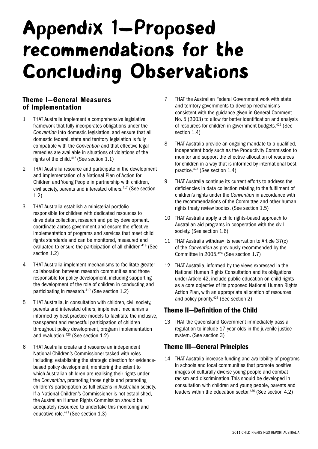## Appendix 1—Proposed recommendations for the Concluding Observations

## Theme I—General Measures of Implementation

- 1 THAT Australia implement a comprehensive legislative framework that fully incorporates obligations under the *Convention* into domestic legislation, and ensure that all domestic federal, state and territory legislation is fully compatible with the *Convention* and that effective legal remedies are available in situations of violations of the rights of the child.416 (See section 1.1)
- 2 THAT Australia resource and participate in the development and implementation of a National Plan of Action for Children and Young People in partnership with children, civil society, parents and interested others.<sup>417</sup> (See section 1.2)
- 3 THAT Australia establish a ministerial portfolio responsible for children with dedicated resources to drive data collection, research and policy development, coordinate across government and ensure the effective implementation of programs and services that meet child rights standards and can be monitored, measured and evaluated to ensure the participation of all children.<sup>418</sup> (See section 1.2)
- 4 THAT Australia implement mechanisms to facilitate greater collaboration between research communities and those responsible for policy development, including supporting the development of the role of children in conducting and participating in research.<sup>419</sup> (See section 1.2)
- 5 THAT Australia, in consultation with children, civil society, parents and interested others, implement mechanisms informed by best practice models to facilitate the inclusive, transparent and respectful participation of children throughout policy development, program implementation and evaluation.420 (See section 1.2)
- 6 THAT Australia create and resource an independent National Children's Commissioner tasked with roles including: establishing the strategic direction for evidencebased policy development, monitoring the extent to which Australian children are realising their rights under the *Convention*, promoting those rights and promoting children's participation as full citizens in Australian society. If a National Children's Commissioner is not established, the Australian Human Rights Commission should be adequately resourced to undertake this monitoring and educative role.421 (See section 1.3)
- 7 THAT the Australian Federal Government work with state and territory governments to develop mechanisms consistent with the guidance given in General Comment No. 5 (2003) to allow for better identification and analysis of resources for children in government budgets.422 (See section 1.4)
- 8 THAT Australia provide an ongoing mandate to a qualified, independent body such as the Productivity Commission to monitor and support the effective allocation of resources for children in a way that is informed by international best practice.423 (See section 1.4)
- 9 THAT Australia continue its current efforts to address the deficiencies in data collection relating to the fulfilment of children's rights under the *Convention* in accordance with the recommendations of the Committee and other human rights treaty review bodies. (See section 1.5)
- 10 THAT Australia apply a child rights-based approach to Australian aid programs in cooperation with the civil society. (See section 1.6)
- 11 THAT Australia withdraw its reservation to Article 37(c) of the *Convention* as previously recommended by the Committee in 2005.424 (See section 1.7)
- 12 THAT Australia, informed by the views expressed in the National Human Rights Consultation and its obligations under Article 42, include public education on child rights as a core objective of its proposed National Human Rights Action Plan, with an appropriate allocation of resources and policy priority.425 (See section 2)

## Theme II—Definition of the Child

13 THAT the Queensland Government immediately pass a regulation to include 17-year-olds in the juvenile justice system. (See section 3)

## Theme III—General Principles

14 THAT Australia increase funding and availability of programs in schools and local communities that promote positive images of culturally diverse young people and combat racism and discrimination. This should be developed in consultation with children and young people, parents and leaders within the education sector. $426$  (See section 4.2)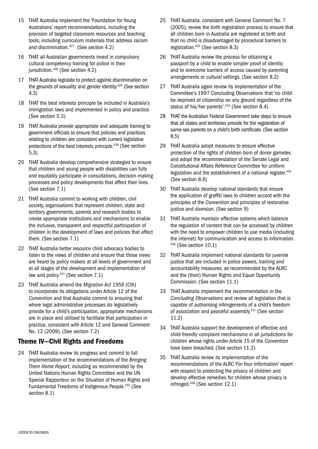- 15 THAT Australia implement the 'Foundation for Young Australians' report recommendations, including the provision of targeted classroom resources and teaching tools, including curriculum materials that address racism and discrimination.427 (See section 4.2)
- 16 THAT all Australian governments invest in compulsory cultural competency training for police in their jurisdiction.<sup>428</sup> (See section 4.2)
- 17 THAT Australia legislate to protect against discrimination on the grounds of sexuality and gender identity.429 (See section 4.3)
- 18 THAT the best interests principle be included in Australia's immigration laws and implemented in policy and practice. (See section 5.3)
- 19 THAT Australia provide appropriate and adequate training to government officials to ensure that policies and practices relating to children are consistent with current legislative protections of the best interests principle.430 (See section 5.3)
- 20 THAT Australia develop comprehensive strategies to ensure that children and young people with disabilities can fully and equitably participate in consultations, decision-making processes and policy developments that affect their lives. (See section 7.1)
- 21 THAT Australia commit to working with children, civil society, organisations that represent children, state and territory governments, parents and research bodies to create appropriate institutions and mechanisms to enable the inclusive, transparent and respectful participation of children in the development of laws and policies that affect them. (See section 7.1)
- 22 THAT Australia better resource child advocacy bodies to listen to the views of children and ensure that those views are heard by policy makers at all levels of government and at all stages of the development and implementation of law and policy.431 (See section 7.1)
- 23 THAT Australia amend the *Migration Act 1958* (Cth) to incorporate its obligations under Article 12 of the *Convention* and that Australia commit to ensuring that where legal administrative processes do legislatively provide for a child's participation, appropriate mechanisms are in place and utilised to facilitate that participation in practice, consistent with Article 12 and General Comment No. 12 (2009). (See section 7.2)

## Theme IV—Civil Rights and Freedoms

24 THAT Australia review its progress and commit to full implementation of the recommendations of the *Bringing Them Home Report*, including as recommended by the United Nations Human Rights Committee and the UN Special Rapporteur on the Situation of Human Rights and Fundamental Freedoms of Indigenous People.432 (See section 8.1)

- 25 THAT Australia, consistent with General Comment No. 7 (2005), review the birth registration process to ensure that all children born in Australia are registered at birth and that no child is disadvantaged by procedural barriers to registration.433 (See section 8.3)
- 26 THAT Australia review the process for obtaining a passport by a child to enable simpler proof of identity and to overcome barriers of access caused by parenting arrangements or cultural settings. (See section 8.2)
- 27 THAT Australia again review its implementation of the Committee's 1997 Concluding Observations that 'no child be deprived of citizenship on any ground regardless of the status of his/her parents'.434 (See section 8.4)
- 28 THAT the Australian Federal Government take steps to ensure that all states and territories provide for the registration of same-sex parents on a child's birth certificate. (See section 8.5)
- 29 THAT Australia adopt measures to ensure effective protection of the rights of children born of donor gametes and adopt the recommendation of the Senate Legal and Constitutional Affairs Reference Committee for uniform legislation and the establishment of a national register.<sup>435</sup> (See section 8.6)
- 30 THAT Australia develop national standards that ensure the application of graffiti laws to children accord with the principles of the *Convention* and principles of restorative justice and diversion. (See section 9)
- 31 THAT Australia maintain effective systems which balance the regulation of content that can be accessed by children with the need to empower children to use media (including the internet) for communication and access to information. 436 (See section 10.1)
- 32 THAT Australia implement national standards for juvenile justice that are included in police powers, training and accountability measures, as recommended by the ALRC and the (then) Human Rights and Equal Opportunity Commission. (See section 11.1)
- 33 THAT Australia implement the recommendation in the *Concluding Observations* and review all legislation that is capable of authorising infringements of a child's freedom of association and peaceful assembly.<sup>437</sup> (See section 11.2)
- 34 THAT Australia support the development of effective and child-friendly complaint mechanisms in all jurisdictions for children whose rights under Article 15 of the *Convention*  have been breached. (See section 11.2)
- 35 THAT Australia review its implementation of the recommendations of the ALRC *'For Your Information'* report with respect to protecting the privacy of children and develop effective remedies for children whose privacy is infringed.438 (See section 12.1)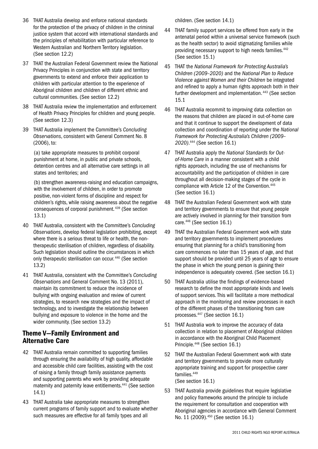- 36 THAT Australia develop and enforce national standards for the protection of the privacy of children in the criminal justice system that accord with international standards and the principles of rehabilitation with particular reference to Western Australian and Northern Territory legislation. (See section 12.2)
- 37 THAT the Australian Federal Government review the National Privacy Principles in conjunction with state and territory governments to extend and enforce their application to children with particular attention to the experience of Aboriginal children and children of different ethnic and cultural communities. (See section 12.2)
- 38 THAT Australia review the implementation and enforcement of Health Privacy Principles for children and young people. (See section 12.3)
- 39 THAT Australia implement the Committee's *Concluding Observations*, consistent with General Comment No. 8 (2006), to:

 (a) take appropriate measures to prohibit corporal punishment at home, in public and private schools, detention centres and all alternative care settings in all states and territories; and

 (b) strengthen awareness-raising and education campaigns, with the involvement of children, in order to promote positive, non-violent forms of discipline and respect for children's rights, while raising awareness about the negative consequences of corporal punishment. 439 (See section 13.1)

- 40 THAT Australia, consistent with the Committee's *Concluding Observations*, develop federal legislation prohibiting, except where there is a serious threat to life or health, the nontherapeutic sterilisation of children, regardless of disability. Such legislation should outline the circumstances in which only therapeutic sterilisation can occur. 440 (See section 13.2)
- 41 THAT Australia, consistent with the Committee's *Concluding Observations* and General Comment No. 13 (2011), maintain its commitment to reduce the incidence of bullying with ongoing evaluation and review of current strategies, to research new strategies and the impact of technology, and to investigate the relationship between bullying and exposure to violence in the home and the wider community. (See section 13.2)

## Theme V—Family Environment and Alternative Care

- 42 THAT Australia remain committed to supporting families through ensuring the availability of high quality, affordable and accessible child care facilities, assisting with the cost of raising a family through family assistance payments and supporting parents who work by providing adequate maternity and paternity leave entitlements.441 (See section 14.1)
- 43 THAT Australia take appropriate measures to strengthen current programs of family support and to evaluate whether such measures are effective for all family types and all

children. (See section 14.1)

- 44 THAT family support services be offered from early in the antenatal period within a universal service framework (such as the health sector) to avoid stigmatizing families while providing necessary support to high needs families.<sup>442</sup> (See section 15.1)
- 45 THAT the *National Framework for Protecting Australia's Children (2009–2020)* and the *National Plan to Reduce Violence against Women and their Children* be integrated and refined to apply a human rights approach both in their further development and implementation. 443 (See section 15.1
- 46 THAT Australia recommit to improving data collection on the reasons that children are placed in out-of-home care and that it continue to support the development of data collection and coordination of reporting under the *National Framework for Protecting Australia's Children (2009– 2020)*. 444 (See section 16.1)
- 47 THAT Australia apply the *National Standards for Outof-Home Care* in a manner consistent with a child rights approach, including the use of mechanisms for accountability and the participation of children in care throughout all decision-making stages of the cycle in compliance with Article 12 of the Convention.<sup>445</sup> (See section 16.1)
- 48 THAT the Australian Federal Government work with state and territory governments to ensure that young people are actively involved in planning for their transition from care.446 (See section 16.1)
- 49 THAT the Australian Federal Government work with state and territory governments to implement procedures ensuring that planning for a child's transitioning from care commences no later than 15 years of age, and that support should be provided until 25 years of age to ensure the phase in which the young person is gaining their independence is adequately covered. (See section 16.1)
- 50 THAT Australia utilise the findings of evidence-based research to define the most appropriate kinds and levels of support services. This will facilitate a more methodical approach in the monitoring and review processes in each of the different phases of the transitioning from care processes.447 (See section 16.1)
- 51 THAT Australia work to improve the accuracy of data collection in relation to placement of Aboriginal children in accordance with the Aboriginal Child Placement Principle.448 (See section 16.1)
- 52 THAT the Australian Federal Government work with state and territory governments to provide more culturally appropriate training and support for prospective carer families.449 (See section 16.1)
- 53 THAT Australia provide guidelines that require legislative and policy frameworks around the principle to include the requirement for consultation and cooperation with Aboriginal agencies in accordance with General Comment No. 11 (2009).<sup>450</sup> (See section 16.1)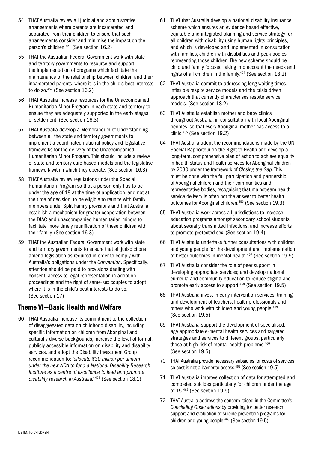- 54 THAT Australia review all judicial and administrative arrangements where parents are incarcerated and separated from their children to ensure that such arrangements consider and minimise the impact on the person's children.451 (See section 16.2)
- 55 THAT the Australian Federal Government work with state and territory governments to resource and support the implementation of programs which facilitate the maintenance of the relationship between children and their incarcerated parents, where it is in the child's best interests to do so. $452$  (See section 16.2)
- 56 THAT Australia increase resources for the Unaccompanied Humanitarian Minor Program in each state and territory to ensure they are adequately supported in the early stages of settlement. (See section 16.3)
- 57 THAT Australia develop a Memorandum of Understanding between all the state and territory governments to implement a coordinated national policy and legislative frameworks for the delivery of the Unaccompanied Humanitarian Minor Program. This should include a review of state and territory care based models and the legislative framework within which they operate. (See section 16.3)
- 58 THAT Australia review regulations under the Special Humanitarian Program so that a person only has to be under the age of 18 at the time of application, and not at the time of decision, to be eligible to reunite with family members under Split Family provisions and that Australia establish a mechanism for greater cooperation between the DIAC and unaccompanied humanitarian minors to facilitate more timely reunification of these children with their family. (See section 16.3)
- 59 THAT the Australian Federal Government work with state and territory governments to ensure that all jurisdictions amend legislation as required in order to comply with Australia's obligations under the *Convention*. Specifically, attention should be paid to provisions dealing with consent, access to legal representation in adoption proceedings and the right of same-sex couples to adopt where it is in the child's best interests to do so. (See section 17)

## Theme VI—Basic Health and Welfare

60 THAT Australia increase its commitment to the collection of disaggregated data on childhood disability, including specific information on children from Aboriginal and culturally diverse backgrounds, increase the level of formal, publicly accessible information on disability and disability services, and adopt the Disability Investment Group recommendation to: *'allocate \$30 million per annum under the new NDA to fund a National Disability Research Institute as a centre of excellence to lead and promote disability research in Australia.'* 453 (See section 18.1)

- 61 THAT that Australia develop a national disability insurance scheme which ensures an evidence based effective, equitable and integrated planning and service strategy for all children with disability using human rights principles, and which is developed and implemented in consultation with families, children with disabilities and peak bodies representing those children. The new scheme should be child and family focused taking into account the needs and rights of all children in the family.<sup>454</sup> (See section 18.2)
- 62 THAT Australia commit to addressing long waiting times, inflexible respite service models and the crisis driven approach that currently characterises respite service models. (See section 18.2)
- 63 THAT Australia establish mother and baby clinics throughout Australia, in consultation with local Aboriginal peoples, so that every Aboriginal mother has access to a clinic.455 (See section 19.2)
- 64 THAT Australia adopt the recommendations made by the UN Special Rapporteur on the Right to Health and develop a long-term, comprehensive plan of action to achieve equality in health status and health services for Aboriginal children by 2030 under the framework of *Closing the Gap*. This must be done with the full participation and partnership of Aboriginal children and their communities and representative bodies, recognising that mainstream health service delivery is often not the answer to better health outcomes for Aboriginal children.<sup>456</sup> (See section 19.3)
- 65 THAT Australia work across all jurisdictions to increase education programs amongst secondary school students about sexually transmitted infections, and increase efforts to promote protected sex. (See section 19.4)
- 66 THAT Australia undertake further consultations with children and young people for the development and implementation of better outcomes in mental health.457 (See section 19.5)
- 67 THAT Australia consider the role of peer support in developing appropriate services; and develop national curricula and community education to reduce stigma and promote early access to support.458 (See section 19.5)
- 68 THAT Australia invest in early intervention services, training and development of teachers, health professionals and others who work with children and young people.<sup>459</sup> (See section 19.5)
- 69 THAT Australia support the development of specialised, age appropriate e-mental health services and targeted strategies and services to different groups, particularly those at high risk of mental health problems.<sup>460</sup> (See section 19.5)
- 70 THAT Australia provide necessary subsidies for costs of services so cost is not a barrier to access.<sup>461</sup> (See section 19.5)
- 71 THAT Australia improve collection of data for attempted and completed suicides particularly for children under the age of 15.462 (See section 19.5)
- 72 THAT Australia address the concern raised in the Committee's *Concluding Observations* by providing for better research, support and evaluation of suicide prevention programs for children and young people.<sup>463</sup> (See section 19.5)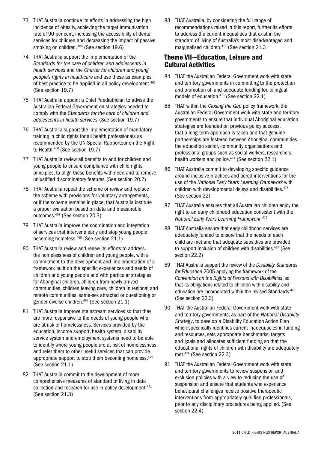- 73 THAT Australia continue its efforts in addressing the high incidence of obesity, achieving the target immunisation rate of 90 per cent, increasing the accessibility of dental services for children and decreasing the impact of passive smoking on children. 464 (See section 19.6)
- 74 THAT Australia support the implementation of the *Standards for the care of children and adolescents in health services* and the *Charter for children and young people's rights in healthcare* and use these as examples of best practice to be applied in all policy development.<sup>465</sup> (See section 19.7)
- 75 THAT Australia appoint a Chief Paediatrician to advise the Australian Federal Government on strategies needed to comply with the *Standards for the care of children and adolescents in health services*.(See section 19.7)
- 76 THAT Australia support the implementation of mandatory training in child rights for all health professionals as recommended by the UN Special Rapporteur on the Right to Health.466 (See section 19.7)
- 77 THAT Australia review all benefits to and for children and young people to ensure compliance with child rights principles, to align these benefits with need and to remove unjustified discriminatory features.(See section 20.2)
- 78 THAT Australia repeal the scheme or review and replace the scheme with provisions for voluntary arrangements, or if the scheme remains in place, that Australia institute a proper evaluation based on data and measurable outcomes.467 (See section 20.3)
- 79 THAT Australia improve the coordination and integration of services that intervene early and stop young people becoming homeless.468 (See section 21.1)
- 80 THAT Australia review and renew its efforts to address the homelessness of children and young people, with a commitment to the development and implementation of a framework built on the specific experiences and needs of children and young people and with particular strategies for Aboriginal children, children from newly arrived communities, children leaving care, children in regional and remote communities, same-sex attracted or questioning or gender diverse children.469 (See section 21.1)
- 81 THAT Australia improve mainstream services so that they are more responsive to the needs of young people who are at risk of homelessness. Services provided by the education, income support, health system, disability service system and employment systems need to be able to identify where young people are at risk of homelessness and refer them to other useful services that can provide appropriate support to stop them becoming homeless.<sup>470</sup> (See section 21.1)
- 82 THAT Australia commit to the development of more comprehensive measures of standard of living in data collection and research for use in policy development.<sup>471</sup> (See section 21.3)

83 THAT Australia, by considering the full range of recommendations raised in this report, further its efforts to address the current inequalities that exist in the standard of living of Australia's most disadvantaged and marginalised children.<sup>472</sup> (See section 21.3

## Theme VII—Education, Leisure and Cultural Activities

- 84 THAT the Australian Federal Government work with state and territory governments in committing to the protection and promotion of, and adequate funding for, bilingual models of education.473 (See section 22.1)
- 85 THAT within the *Closing the Gap* policy framework, the Australian Federal Government work with state and territory governments to ensure that individual Aboriginal education strategies are founded on previous policy success, that a long-term approach is taken and that genuine partnerships are fostered between Aboriginal communities, the education sector, community organisations and professional groups such as social workers, researchers, health workers and police. $474$  (See section 22.1)
- 86 THAT Australia commit to developing specific guidance around inclusive practices and tiered interventions for the use of the *National Early Years Learning Framework* with children with developmental delays and disabilities.<sup>475</sup> (See section 22)
- 87 THAT Australia ensures that all Australian children enjoy the right to an early childhood education consistent with the *National Early Years Learning Framework*. 476
- 88 THAT Australia ensure that early childhood services are adequately funded to ensure that the needs of each child are met and that adequate subsidies are provided to support inclusion of children with disabilities.<sup>477</sup> (See section 22.2)
- 89 THAT Australia support the review of the *Disability Standards for Education* 2005 applying the framework of the *Convention on the Rights of Persons with Disabilities*, so that its obligations related to children with disability and education are incorporated within the revised Standards.<sup>478</sup> (See section 22.3)
- 90 THAT the Australian Federal Government work with state and territory governments, as part of the *National Disability Strategy*, to develop a Disability Education Action Plan which specifically identifies current inadequacies in funding and resources, sets appropriate benchmarks, targets and goals and allocates sufficient funding so that the educational rights of children with disability are adequately met.479 (See section 22.3)
- 91 THAT the Australian Federal Government work with state and territory governments to review suspension and exclusion policies with a view to reducing the use of suspension and ensure that students who experience behavioural challenges receive positive therapeutic interventions from appropriately qualified professionals, prior to any disciplinary procedures being applied. (See section 22.4)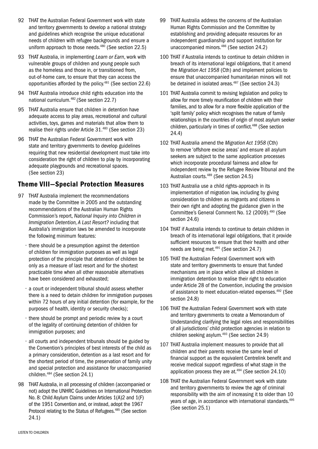- 92 THAT the Australian Federal Government work with state and territory governments to develop a national strategy and guidelines which recognise the unique educational needs of children with refugee backgrounds and ensure a uniform approach to those needs.<sup>480</sup> (See section 22.5)
- 93 THAT Australia, in implementing *Learn or Earn*, work with vulnerable groups of children and young people such as the homeless and those in, or transitioned from, out-of-home care, to ensure that they can access the opportunities afforded by the policy.481 (See section 22.6)
- 94 THAT Australia introduce child rights education into the national curriculum.482 (See section 22.7)
- 95 THAT Australia ensure that children in detention have adequate access to play areas, recreational and cultural activities, toys, games and materials that allow them to realise their rights under Article 31.483 (See section 23)
- 96 THAT the Australian Federal Government work with state and territory governments to develop guidelines requiring that new residential development must take into consideration the right of children to play by incorporating adequate playgrounds and recreational spaces. (See section 23)

## Theme VIII—Special Protection Measures

- 97 THAT Australia implement the recommendations made by the Committee in 2005 and the outstanding recommendations of the Australian Human Rights Commission's report, *National Inquiry into Children in Immigration Detention, A Last Resort?* including that Australia's immigration laws be amended to incorporate the following minimum features:
	- there should be a presumption against the detention of children for immigration purposes as well as legal protection of the principle that detention of children be only as a measure of last resort and for the shortest practicable time when all other reasonable alternatives have been considered and exhausted;
	- a court or independent tribunal should assess whether there is a need to detain children for immigration purposes within 72 hours of any initial detention (for example, for the purposes of health, identity or security checks);
	- there should be prompt and periodic review by a court of the legality of continuing detention of children for immigration purposes; and
	- all courts and independent tribunals should be guided by the Convention's principles of best interests of the child as a primary consideration, detention as a last resort and for the shortest period of time, the preservation of family unity and special protection and assistance for unaccompanied children.484 (See section 24.1)
- 98 THAT Australia, in all processing of children (accompanied or not) adopt the UNHRC Guidelines on International Protection No. 8: Child Asylum Claims under Articles 1(A)2 and 1(F) of the 1951 Convention and, or instead, adopt the 1967 Protocol relating to the Status of Refugees.<sup>485</sup> (See section 24.1)
- 99 THAT Australia address the concerns of the Australian Human Rights Commission and the Committee by establishing and providing adequate resources for an independent guardianship and support institution for unaccompanied minors.<sup>486</sup> (See section 24.2)
- 100 THAT if Australia intends to continue to detain children in breach of its international legal obligations, that it amend the *Migration Act 1958* (Cth) and implement policies to ensure that unaccompanied humanitarian minors will not be detained in isolated areas.<sup>487</sup> (See section 24.3)
- 101 THAT Australia commit to revising legislation and policy to allow for more timely reunification of children with their families, and to allow for a more flexible application of the 'split family' policy which recognises the nature of family relationships in the countries of origin of most asylum seeker children, particularly in times of conflict.<sup>488</sup> (See section 24.4)
- 102 THAT Australia amend the *Migration Act 1958* (Cth) to remove 'offshore excise areas' and ensure all asylum seekers are subject to the same application processes which incorporate procedural fairness and allow for independent review by the Refugee Review Tribunal and the Australian courts.489 (See section 24.5)
- 103 THAT Australia use a child rights-approach in its implementation of migration law, including by giving consideration to children as migrants and citizens in their own right and adopting the guidance given in the Committee's General Comment No. 12 (2009).490 (See section 24.6)
- 104 THAT if Australia intends to continue to detain children in breach of its international legal obligations, that it provide sufficient resources to ensure that their health and other needs are being met.491 (See section 24.7)
- 105 THAT the Australian Federal Government work with state and territory governments to ensure that funded mechanisms are in place which allow all children in immigration detention to realise their right to education under Article 28 of the *Convention*, including the provision of assistance to meet education-related expenses.492 (See section 24.8)
- 106 THAT the Australian Federal Government work with state and territory governments to create a Memorandum of Understanding clarifying the legal roles and responsibilities of all jurisdictions' child protection agencies in relation to children seeking asylum.493 (See section 24.9)
- 107 THAT Australia implement measures to provide that all children and their parents receive the same level of financial support as the equivalent Centrelink benefit and receive medical support regardless of what stage in the application process they are at.494 (See section 24.10)
- 108 THAT the Australian Federal Government work with state and territory governments to review the age of criminal responsibility with the aim of increasing it to older than 10 years of age, in accordance with international standards.<sup>495</sup> (See section 25.1)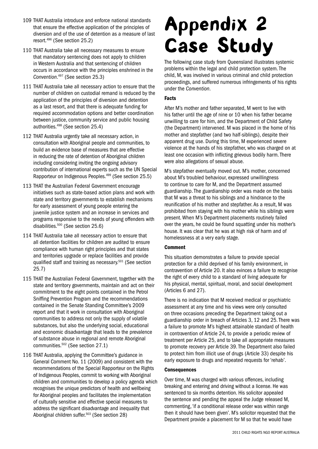- 109 THAT Australia introduce and enforce national standards that ensure the effective application of the principles of diversion and of the use of detention as a measure of last resort.496 (See section 25.2)
- 110 THAT Australia take all necessary measures to ensure that mandatory sentencing does not apply to children in Western Australia and that sentencing of children occurs in accordance with the principles enshrined in the *Convention*. 497 (See section 25.3)
- 111 THAT Australia take all necessary action to ensure that the number of children on custodial remand is reduced by the application of the principles of diversion and detention as a last resort, and that there is adequate funding for required accommodation options and better coordination between justice, community service and public housing authorities.498 (See section 25.4)
- 112 THAT Australia urgently take all necessary action, in consultation with Aboriginal people and communities, to build an evidence base of measures that are effective in reducing the rate of detention of Aboriginal children including considering inviting the ongoing advisory contribution of international experts such as the UN Special Rapporteur on Indigenous Peoples.499 (See section 25.5)
- 113 THAT the Australian Federal Government encourage initiatives such as state-based action plans and work with state and territory governments to establish mechanisms for early assessment of young people entering the juvenile justice system and an increase in services and programs responsive to the needs of young offenders with disabilities.500 (See section 25.6)
- 114 THAT Australia take all necessary action to ensure that all detention facilities for children are audited to ensure compliance with human right principles and that states and territories upgrade or replace facilities and provide qualified staff and training as necessary.501 (See section 25.7)
- 115 THAT the Australian Federal Government, together with the state and territory governments, maintain and act on their commitment to the eight points contained in the Petrol Sniffing Prevention Program and the recommendations contained in the Senate Standing Committee's 2009 report and that it work in consultation with Aboriginal communities to address not only the supply of volatile substances, but also the underlying social, educational and economic disadvantage that leads to the prevalence of substance abuse in regional and remote Aboriginal communities.502 (See section 27.1)
- 116 THAT Australia, applying the Committee's guidance in General Comment No. 11 (2009) and consistent with the recommendations of the Special Rapporteur on the Rights of Indigenous Peoples, commit to working with Aboriginal children and communities to develop a policy agenda which recognises the unique predictors of health and wellbeing for Aboriginal peoples and facilitates the implementation of culturally sensitive and effective special measures to address the significant disadvantage and inequality that Aboriginal children suffer.503 (See section 28)

# Appendix 2 Case Study

The following case study from Queensland illustrates systemic problems within the legal and child protection system. The child, M, was involved in various criminal and child protection proceedings, and suffered numerous infringements of his rights under the *Convention*.

#### Facts

After M's mother and father separated, M went to live with his father until the age of nine or 10 when his father became unwilling to care for him, and the Department of Child Safety (the Department) intervened. M was placed in the home of his mother and stepfather (and two half-siblings), despite their apparent drug use. During this time, M experienced severe violence at the hands of his stepfather, who was charged on at least one occasion with inflicting grievous bodily harm. There were also allegations of sexual abuse.

M's stepfather eventually moved out. M's mother, concerned about M's troubled behaviour, expressed unwillingness to continue to care for M, and the Department assumed guardianship. The guardianship order was made on the basis that M was a threat to his siblings and a hindrance to the reunification of his mother and stepfather. As a result, M was prohibited from staying with his mother while his siblings were present. When M's Department placements routinely failed over the years, he could be found squatting under his mother's house. It was clear that he was at high risk of harm and of homelessness at a very early stage.

#### Comment

This situation demonstrates a failure to provide special protection for a child deprived of his family environment, in contravention of Article 20. It also evinces a failure to recognise the right of every child to a standard of living adequate for his physical, mental, spiritual, moral, and social development (Articles 6 and 27).

There is no indication that M received medical or psychiatric assessment at any time and his views were only consulted on three occasions preceding the Department taking out a guardianship order in breach of Articles 3, 12 and 25. There was a failure to promote M's highest attainable standard of health in contravention of Article 24, to provide a periodic review of treatment per Article 25, and to take all appropriate measures to promote recovery per Article 39. The Department also failed to protect him from illicit use of drugs (Article 33) despite his early exposure to drugs and repeated requests for 'rehab'.

#### **Consequences**

Over time, M was charged with various offences, including breaking and entering and driving without a license. He was sentenced to six months detention. His solicitor appealed the sentence and pending the appeal the Judge released M, commenting, 'if a conditional release order was within range then it should have been given'. M's solicitor requested that the Department provide a placement for M so that he would have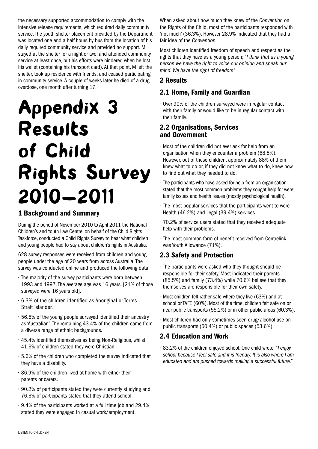the necessary supported accommodation to comply with the intensive release requirements, which required daily community service. The youth shelter placement provided by the Department was located one and a half hours by bus from the location of his daily required community service and provided no support. M stayed at the shelter for a night or two, and attended community service at least once, but his efforts were hindered when he lost his wallet (containing his transport card). At that point, M left the shelter, took up residence with friends, and ceased participating in community service. A couple of weeks later he died of a drug overdose, one month after turning 17.

# Appendix 3 Results of Child Rights Survey 2010—2011

## 1 Background and Summary

During the period of November 2010 to April 2011 the National Children's and Youth Law Centre, on behalf of the Child Rights Taskforce, conducted a Child Rights Survey to hear what children and young people had to say about children's rights in Australia.

628 survey responses were received from children and young people under the age of 20 years from across Australia. The survey was conducted online and produced the following data:

- The majority of the survey participants were born between 1993 and 1997. The average age was 16 years. [21% of those surveyed were 16 years old].
- 6.3% of the children identified as Aboriginal or Torres Strait Islander.
- 56.6% of the young people surveyed identified their ancestry as 'Australian'. The remaining 43.4% of the children came from a diverse range of ethnic backgrounds.
- 45.4% identified themselves as being Non-Religious, whilst 41.6% of children stated they were Christian.
- 5.6% of the children who completed the survey indicated that they have a disability.
- 86.9% of the children lived at home with either their parents or carers.
- 90.2% of participants stated they were currently studying and 76.6% of participants stated that they attend school.
- 9.4% of the participants worked at a full time job and 29.4% stated they were engaged in casual work/employment.

When asked about how much they knew of the *Convention* on the Rights of the Child, most of the participants responded with 'not much' (36.3%). However 28.9% indicated that they had a fair idea of the *Convention*.

Most children identified freedom of speech and respect as the rights that they have as a young person; "*I think that as a young person we have the right to voice our opinion and speak our mind. We have the right of freedom*"

## 2 Results

## 2.1 Home, Family and Guardian

• Over 90% of the children surveyed were in regular contact with their family or would like to be in regular contact with their family.

## 2.2 Organisations, Services and Government

- Most of the children did not ever ask for help from an organisation when they encounter a problem (68.8%). However, out of these children, approximately 88% of them knew what to do or, if they did not know what to do, knew how to find out what they needed to do.
- The participants who have asked for help from an organisation stated that the most common problems they sought help for were: family issues and health issues (mostly psychological health).
- The most popular services that the participants went to were Health (46.2%) and Legal (39.4%) services.
- 70.2% of service users stated that they received adequate help with their problems.
- The most common form of benefit received from Centrelink was Youth Allowance (71%).

## 2.3 Safety and Protection

- The participants were asked who they thought should be responsible for their safety. Most indicated their parents (85.5%) and family (73.4%) while 70.6% believe that they themselves are responsible for their own safety.
- Most children felt rather safe where they live (63%) and at school or TAFE (60%). Most of the time, children felt safe on or near public transports (55.2%) or in other public areas (60.3%).
- Most children had only sometimes seen drug/alcohol use on public transports (50.4%) or public spaces (53.6%).

## 2.4 Education and Work

• 83.2% of the children enjoyed school. One child wrote: "*I enjoy school because I feel safe and it is friendly. It is also where I am educated and am pushed towards making a successful future."*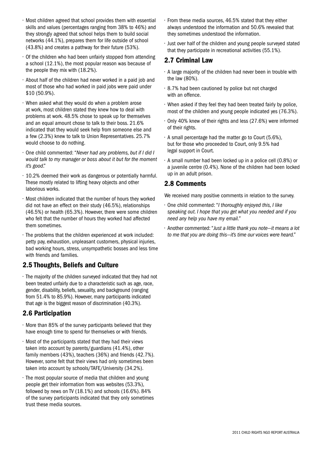- Most children agreed that school provides them with essential skills and values (percentages ranging from 38% to 46%) and they strongly agreed that school helps them to build social networks (44.1%), prepares them for life outside of school (43.8%) and creates a pathway for their future (53%).
- Of the children who had been unfairly stopped from attending a school (12.1%), the most popular reason was because of the people they mix with (18.2%).
- About half of the children had never worked in a paid job and most of those who had worked in paid jobs were paid under \$10 (50.9%).
- When asked what they would do when a problem arose at work, most children stated they knew how to deal with problems at work. 48.5% chose to speak up for themselves and an equal amount chose to talk to their boss. 21.6% indicated that they would seek help from someone else and a few (2.3%) knew to talk to Union Representatives. 25.7% would choose to do nothing.
- One child commented: "*Never had any problems, but if I did I would talk to my manager or boss about it but for the moment it's good*."
- 10.2% deemed their work as dangerous or potentially harmful. These mostly related to lifting heavy objects and other laborious works.
- Most children indicated that the number of hours they worked did not have an effect on their study (46.5%), relationships (46.5%) or health (65.3%). However, there were some children who felt that the number of hours they worked had affected them sometimes.
- The problems that the children experienced at work included: petty pay, exhaustion, unpleasant customers, physical injuries, bad working hours, stress, unsympathetic bosses and less time with friends and families.

## 2.5 Thoughts, Beliefs and Culture

• The majority of the children surveyed indicated that they had not been treated unfairly due to a characteristic such as age, race, gender, disability, beliefs, sexuality, and background (ranging from 51.4% to 85.9%). However, many participants indicated that age is the biggest reason of discrimination (40.3%).

## 2.6 Participation

- More than 85% of the survey participants believed that they have enough time to spend for themselves or with friends.
- Most of the participants stated that they had their views taken into account by parents/guardians (41.4%), other family members (43%), teachers (36%) and friends (42.7%). However, some felt that their views had only sometimes been taken into account by schools/TAFE/University (34.2%).
- The most popular source of media that children and young people get their information from was websites (53.3%), followed by news on TV (18.1%) and schools (16.6%). 84% of the survey participants indicated that they only sometimes trust these media sources.
- From these media sources, 46.5% stated that they either always understood the information and 50.6% revealed that they sometimes understood the information.
- Just over half of the children and young people surveyed stated that they participate in recreational activities (55.1%).

## 2.7 Criminal Law

- A large majority of the children had never been in trouble with the law (80%).
- 8.7% had been cautioned by police but not charged with an offence.
- When asked if they feel they had been treated fairly by police, most of the children and young people indicated yes (76.3%).
- Only 40% knew of their rights and less (27.6%) were informed of their rights.
- A small percentage had the matter go to Court (5.6%), but for those who proceeded to Court, only 9.5% had legal support in Court.
- A small number had been locked up in a police cell (0.8%) or a juvenile centre (0.4%). None of the children had been locked up in an adult prison.

## 2.8 Comments

We received many positive comments in relation to the survey.

- One child commented: "*I thoroughly enjoyed this, I like speaking out. I hope that you get what you needed and if you need any help you have my email."*
- Another commented: "*Just a little thank you note—it means a lot to me that you are doing this—it's time our voices were heard."*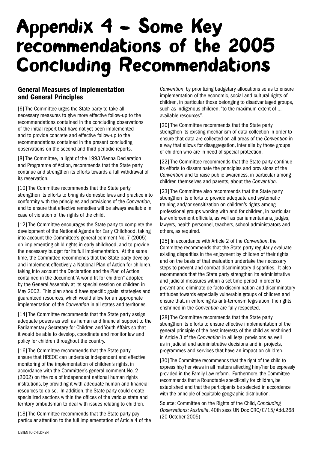## Appendix 4 – Some Key recommendations of the 2005 Concluding Recommendations

## General Measures of Implementation and General Principles

[6] The Committee urges the State party to take all necessary measures to give more effective follow-up to the recommendations contained in the concluding observations of the initial report that have not yet been implemented and to provide concrete and effective follow-up to the recommendations contained in the present concluding observations on the second and third periodic reports.

[8] The Committee, in light of the 1993 Vienna Declaration and Programme of Action, recommends that the State party continue and strengthen its efforts towards a full withdrawal of its reservation.

[10] The Committee recommends that the State party strengthen its efforts to bring its domestic laws and practice into conformity with the principles and provisions of the *Convention*, and to ensure that effective remedies will be always available in case of violation of the rights of the child.

[12] The Committee encourages the State party to complete the development of the National Agenda for Early Childhood, taking into account the Committee's general comment No. 7 (2005) on implementing child rights in early childhood, and to provide the necessary budget for its full implementation. At the same time, the Committee recommends that the State party develop and implement effectively a National Plan of Action for children, taking into account the Declaration and the Plan of Action contained in the document "A world fit for children" adopted by the General Assembly at its special session on children in May 2002. This plan should have specific goals, strategies and guaranteed resources, which would allow for an appropriate implementation of the *Convention* in all states and territories.

[14] The Committee recommends that the State party assign adequate powers as well as human and financial support to the Parliamentary Secretary for Children and Youth Affairs so that it would be able to develop, coordinate and monitor law and policy for children throughout the country.

[16] The Committee recommends that the State party ensure that HREOC can undertake independent and effective monitoring of the implementation of children's rights, in accordance with the Committee's general comment No. 2 (2002) on the role of independent national human rights institutions, by providing it with adequate human and financial resources to do so. In addition, the State party could create specialized sections within the offices of the various state and territory ombudsman to deal with issues relating to children.

[18] The Committee recommends that the State party pay particular attention to the full implementation of Article 4 of the *Convention*, by prioritizing budgetary allocations so as to ensure implementation of the economic, social and cultural rights of children, in particular those belonging to disadvantaged groups, such as indigenous children, "to the maximum extent of … available resources".

[20] The Committee recommends that the State party strengthen its existing mechanism of data collection in order to ensure that data are collected on all areas of the *Convention* in a way that allows for disaggregation, inter alia by those groups of children who are in need of special protection.

[22] The Committee recommends that the State party continue its efforts to disseminate the principles and provisions of the *Convention* and to raise public awareness, in particular among children themselves and parents, about the *Convention*.

[23] The Committee also recommends that the State party strengthen its efforts to provide adequate and systematic training and/or sensitization on children's rights among professional groups working with and for children, in particular law enforcement officials, as well as parliamentarians, judges, lawyers, health personnel, teachers, school administrators and others, as required.

[25] In accordance with Article 2 of the *Convention*, the Committee recommends that the State party regularly evaluate existing disparities in the enjoyment by children of their rights and on the basis of that evaluation undertake the necessary steps to prevent and combat discriminatory disparities. It also recommends that the State party strengthen its administrative and judicial measures within a set time period in order to prevent and eliminate de facto discrimination and discriminatory attitudes towards especially vulnerable groups of children and ensure that, in enforcing its anti-terrorism legislation, the rights enshrined in the *Convention* are fully respected.

[28] The Committee recommends that the State party strengthen its efforts to ensure effective implementation of the general principle of the best interests of the child as enshrined in Article 3 of the *Convention* in all legal provisions as well as in judicial and administrative decisions and in projects, programmes and services that have an impact on children.

[30] The Committee recommends that the right of the child to express his/her views in all matters affecting him/her be expressly provided in the Family Law reform. Furthermore, the Committee recommends that a Roundtable specifically for children, be established and that the participants be selected in accordance with the principle of equitable geographic distribution.

Source: Committee on the Rights of the Child, *Concluding Observations: Australia*, 40th sess UN Doc CRC/C/15/Add.268 (20 October 2005)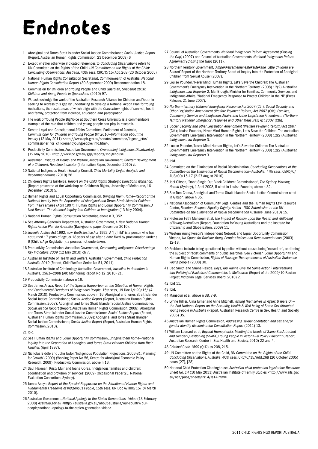# Endnotes

- 1 Aboriginal and Torres Strait Islander Social Justice Commissioner, *Social Justice Report*  (Report, Australian Human Rights Commission, 23 December 2009) 6*.*
- 2 Except whether otherwise indicated references to *Concluding Observations* refers to UN Committee on the Rights of the Child, *UN Committee on the Rights of the Child: Concluding Observations, Australia*, 40th sess, CRC/C/15/Add.268 (20 October 2005).
- 3 National Human Rights Consultation Secretariat, Commonwealth of Australia, *National Human Rights Consultation Report* (30 September 2009) Recommendation 18.
- 4 Commission for Children and Young People and Child Guardian, *Snapshot 2010: Children and Young People in Queensland* (2010) 97.
- 5 We acknowledge the work of the Australian Research Alliance for Children and Youth in seeking to redress this gap by undertaking to develop a National Action Plan for Young Australians, the result areas of which align with the *Convention* rights of survival, health and family, protection from violence, education and participation.
- 6 The work of Young People Big Voice at Southern Cross University is a commendable example of the role that children and young people can play in research.
- 7 Senate Legal and Constitutional Affairs Committee, Parliament of Australia, *Commissioner for Children and Young People Bill 2010—Information about the Inquiry* (13 May 2011) <http://www.aph.gov.au/senate/committee/legcon\_ctte/ commissioner\_for\_childrenandyoungpeople/info.htm>.
- 8 Productivity Commission, Australian Government, *Overcoming Indigenous Disadvantage*  (12 May 2010) *<*http://www.pc.gov.au/gsp/reports/Indigenous>.
- 9 Australian Institute of Health and Welfare, Australian Government, *Shelter: Development of a Children's Headline Indicator* (Information Paper, December 2010) vi.
- 10 National Indigenous Health Equality Council, *Child Mortality Target: Analysis and Recommendations* (2010) 26.
- 11 Children's Rights Taskforce, *Report on the Child Rights Strategic Directions Workshop*, (Report presented at the Workshop on Children's Rights, University of Melbourne, 16 December 2010) 5.
- 12 Human Rights and Equal Opportunity Commission, *Bringing Them Home—Report of the National Inquiry into the Separation of Aboriginal and Torres Strait Islander Children from Their Families* (April 1997); Human Rights and Equal Opportunity Commission, *A Last Resort—The National Inquiry into Children in Immigration* (13 May 2004).
- 13 National Human Rights Consultation Secretariat, above n 3, 352.
- 14 See Attorney-General's Department, Australian Government, *A New National Human Rights Action Plan for Australia* (Background paper, December 2010).
- 15 *Juvenile Justice Act* 1992, now *Youth Justice Act* 1992: A "[c]hild" is a person who has not turned 17 years of age, or 18 years of age after a date fixed by proclamation under s 6 (Child's Age Regulation), a process not undertaken.
- 16 Productivity Commission, Australian Government, *Overcoming Indigenous Disadvantage Key Indicators 2009* (12 May 2010) ch 7.
- 17 Australian Institute of Health and Welfare, Australian Government, *Child Protection Australia 2010* (Report, Child Welfare Series No 51, 2011).
- 18 Australian Institute of Criminology, Australian Government, *Juveniles in detention in Australia, 1981—2008* (AIC Monitoring Report No 12, 2010) 21.
- 19 Productivity Commission, above n 16.
- 20 See James Anaya, *Report of the Special Rapporteur on the Situation of Human Rights and Fundamental Freedoms of Indigenous People*, 15th sess, UN Doc A/HRC/15/ (4 March 2010); Productivity Commission, above n 16; Aboriginal and Torres Strait Islander Social Justice Commissioner, *Social Justice Report* (Report, Australian Human Rights Commission, 2007); Aboriginal and Torres Strait Islander Social Justice Commissioner, *Social Justice Report* (Report, Australian Human Rights Commission, 2008); Aboriginal and Torres Strait Islander Social Justice Commissioner, *Social Justice Report* (Report, Australian Human Rights Commission, 2009); Aboriginal and Torres Strait Islander Social Justice Commissioner, *Social Justice Report* (Report, Australian Human Rights Commission, 2010).
- 21 Ibid.
- 22 See Human Rights and Equal Opportunity Commission, *Bringing them home—National Inquiry into the Separation of Aboriginal and Torres Strait Islander Children from Their Families* (April 1997).
- 23 Nicholas Biddle and John Taylor, 'Indigenous Population Projections, 2006-31: Planning for Growth' (2009) (Working Paper No 56, Centre for Aboriginal Economic Policy Research, 2009); Productivity Commission, above n 16.
- 24 Saul Flaxman, Kristy Muir and Ioana Oprea, 'Indigenous families and children: coordination and provision of services' (2009) (Occasional Paper 23, National Evaluation Consortium, Sydney).
- 25 James Anaya, *Report of the Special Rapporteur on the Situation of Human Rights and Fundamental Freedoms of Indigenous People*, 15th sess, UN Doc A/HRC/15/ (4 March 2010).
- 26 Australian Government, *National Apology to the Stolen Generations—Video* (13 February 2008) *Australia.gov.au* <http://australia.gov.au/about-australia/our-country/ourpeople/national-apology-to-the-stolen-generation-video>.
- 27 Council of Australian Governments, *National Indigenous Reform Agreement (Closing the Gap)* (2007) and Council of Australian Governments, *National Indigenous Reform Agreement (Closing the Gap)* (2011).
- 28 Northern Territory Government, '*AmpeAkelyernemaneMekeMekarle* '*Little Children are*  Sacred' Report of the Northern Territory Board of Inquiry into the Protection of Aboriginal Children from Sexual Abuse' (2007).
- 29 Louise Pounder, 'Never Mind Human Rights, Let's Save the Children: The Australian Government's Emergency Intervention in the Northern Territory' (2008) 12(2) *Australian Indigenous Law Reporter* 2; Mal Brough, Minister for Families, Community Services and Indigenous Affairs, 'National Emergency Response to Protect Children in the NT' (Press Release, 21 June 2007).
- 30 *Northern Territory National Emergency Response Act 2007* (Cth); *Social Security and Other Legislation Amendment (Welfare Payment Reform) Act 2007* (Cth); *Families, Community Service and Indigenous Affairs and Other Legislation Amendment (Northern Territory National Emergency Response and Other Measures) Act 2007* (Cth).
- 31 *Social Security and other Legislation Amendment (Welfare Payment Reform) Act 2007*  (Cth); Louise Pounder, 'Never Mind Human Rights, Let's Save the Children: The Australian Government's Emergency Intervention in the Northern Territory' (2008) 12(2) *Australian Indigenous Law Reporter* 3.
- 32 Louise Pounder, 'Never Mind Human Rights, Let's Save the Children: The Australian Government's Emergency Intervention in the Northern Territory' (2008) 12(2) *Australian Indigenous Law Reporter* 3.

33 Ibid.

- 34 Committee on the Elimination of Racial Discrimination, *Concluding Observations of the Committee on the Elimination of Racial Discrimination—Australia,* 77th sess, CERD/C/ AUS/CO/15-17 (2-27 August 2010).
- 35 Joel Gibson, 'Don't Single Out Black Children: Commissioner', *The Sydney Morning Herald* (Sydney), 1 April 2008, 5 cited in Louise Pounder, above n 32.
- 36 See Tom Calma, Aboriginal and Torres Strait Islander Social Justice Commissioner cited in Gibson, above n 35.
- 37 National Association of Community Legal Centres and the Human Rights Law Resource Centre, *Freedom Respect Equality Dignity: Action—NGO Submission to the UN Committee on the Elimination of Racial Discrimination Australia* (June 2010) 15.
- 38 Professor Fethi Mansouri et al, *The Impact of Racism upon the Health and Wellbeing of Young Australians* (Report, Foundation for Young Australians and the Institute for Citizenship and Globalization, 2009) 11.
- 39 Western Young Person's Independent Network and Equal Opportunity Commission Victoria, *No Space for Racism: Young People's Voices and Recommendations* (2003) 12-18.
- 40 Problems include being questioned by police without cause, being 'moved on', and being the subject of racist comments or public searches. See Victorian Equal Opportunity and Human Rights Commission, *Rights of Passage: The experiences of Australian-Sudanese young* people (2008) 30.
- 41 Bec Smith and Shane Reside, *Boys, You Wanna Give Me Some Action? Interventions into Policing of Racialised Communities in Melbourne* (Report of the 2009/10 Racism Project, Victorian Legal Services Board, 2010) 2.

- 44 Mansouri et al, above n 38, 7-9.
- 45 Lynne Hillier, Alina Turner and Anne Mitchell, *Writing Themselves In Again: 6 Years On the 2nd National Report on the Sexuality, Health & Well-being of Same Sex Attracted Young People in Australia* (Report, Australian Research Centre in Sex, Health and Society, 2005) 35.
- 46 Australian Human Rights Commission, *Addressing sexual orientation and sex and/or gender identity discrimination Consultation Report* (2011) 13.
- 47 William Leonard et al, *Beyond Homophobia: Meeting the Needs of Same Sex Attracted and Gender Questioning (SSAGQ) Young People in Victoria—a Policy Blueprint* (Report, Australian Research Centre in Sex, Health and Society, 2010) 22 and 4.
- 48 *Criminal Code 1899* (QLD) ss 208, 215.
- 49 UN Committee on the Rights of the Child, *UN Committee on the Rights of the Child: Concluding Observations, Australia*, 40th sess, CRC/C/15/Add.268 (20 October 2005) paras [27], [28].
- 50 National Child Protection Clearinghouse, *Australian child protection legislation: Resource Sheet No. 14* (10 May 2011) Australian Institute of Family Studies <http://www.aifs.gov. au/nch/pubs/sheets/rs14/rs14.html>.

<sup>42</sup> Ibid 11.

<sup>43</sup> Ibid.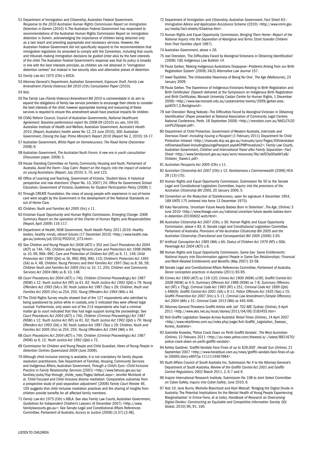- 51 Department of Immigration and Citizenship, Australian Federal Government, *Response to the 2010 Australian Human Rights Commission Report on Immigration Detention in Darwin* (2010) 4. The Australian Federal Government has responded to recommendations of the Australian Human Rights Commission Report on immigration detention in Darwin, acknowledging the importance of children being detained only as a last resort and providing appropriate and necessary services. However, the Australian Federal Government did not specifically respond to the recommendation that immigration legislation be amended to comply with the Convention, including that courts and tribunals making immigration decisions be guided (inter alia) by the best interests of the child. The Australian Federal Government's response was that its policy is broadly in line with the best interests principle, as children are not detained in "immigration detention centres" but instead in low security sites and alternative places of detention.
- 52 *Family Law Act 1975* (Cth) s 60CA.
- 53 Attorney-General's Department, Australian Government, *Exposure Draft, Family Law Amendment (Family Violence) Bill 2010 (Cth) Consultation Paper* (2010).

54 Ibid.

- 55 The *Family Law (Family Violence) Amendment Bill 2010* is commendable in its aim to expand the obligations of family law service providers to encourage their clients to consider the best interests of the child; however appropriate training and resourcing of these services is required to ensure this amendment would have practical impacts for children.
- 56 COAG Reform Council, Council of Australian Governments, *National Healthcare Agreement: Baseline performance report for 2008-09* (2010) xvi, xxiv, 104-05; Australian Institute of Health and Welfare, Australian Government, *Australia's Health 2010*, (Report, Australia's health series No 12, 23 June 2010), 300. Australian Government, *Closing the Gap: Prime Minister's Report 2010* (Report No 2, 2010) 16-17.
- 57 Australian Government, *White Paper on Homelessness: The Road Home* (December 2008) 9.
- 58 Australian Government, *The Australian Youth Forum: A new era in youth consultation* (Discussion paper, 2008) 3.
- 59 House Standing Committee on Family, Community, Housing and Youth, Parliament of Australia, *Avoid the Harm—Stay Calm: Report on the Inquiry into the impact of violence on young Australians* (Report, July 2010) 3, 70, and 123.
- 60 Office of Learning and Teaching, Government of Victoria, 'Student Voice: A historical perspective and new directions' (Paper No. 10, 2007) 24; Office for Government School Education, Government of Victoria, *Guidelines for Student Participation Policy* (2008) 1.
- 61 Through CREATE Foundation, the views of young people with experience in out-of-home care were sought by the Government in the development of the National Standards on out of Home Care.
- 62 *Children, Youth and Families Act 2005* (Vic) s 11.
- 63 Victorian Equal Opportunity and Human Rights Commission, *Emerging Change: 2008 Summary Report on the operation of the Charter of Human Rights and Responsibilities*  (Report, April 2009) 116-117.
- 64 Department of Health, NSW Government, *Youth Health Policy 2011-2016: Healthy bodies, healthy minds, vibrant futures* (17 December 2010) *<*http://www.health.nsw. gov.au/policies/pd/2010/PD2010\_073.html*>.*
- 65 See *Children and Young People Act 2008* (ACT) s 352 and *Court Procedures Act 2004* (ACT) ss 74A, 74G; *Children and Young Persons (Care and Protection) Act 1998* (NSW) ss 10, 99, 99A—99C*; Care and Protection of Children Act* (NT) ss 9, 11, 146; *Child Protection Act 1999* (Qld) ss 5E, 99O, 99Q, 99U, 110; *Children's Protection Act 1993* (SA) ss 4, 48; *Children, Young Persons and their Families Act 1997* (Tas) ss 8, 56, 59; *Children Youth and Families Act 2005* (Vic) ss 10, 11, 255*; Children and Community Services Act 2004* (WA) ss 8, 10, 148.
- 66 *Court Procedures Act 2004* (ACT) s 74G; *Children (Criminal Proceedings) Act 1987* (NSW) s 12; *Youth Justice Act* (NT) ss 61, 62; *Youth Justice Act 1992* (Qld) s 79; *Young Offenders Act 1993* (SA) s 30; Youth Justice Act 1997 (Tas) s 29; *Children, Youth and Families Act 2005* (Vic) ss 254, 255; *Young Offenders Act 1994* (WA) s 44.
- 67 The Child Rights Survey results showed that of the 127 respondents who admitted to being questioned by police while in custody, only 5 indicated they were offered legal counsel. Furthermore, only seven out of the 214 respondents who had a criminal matter go to court indicated that they had legal support during the proceedings. See *Court Procedures Act 2004* (ACT) s 74G; *Children (Criminal Proceedings) Act 1987* (NSW) s 12; *Youth Justice Act* (NT) ss 61, 62; *Youth Justice Act 1992* (Qld) s 79; *Young Offenders Act 1993* (SA) s 30; Youth Justice Act 1997 (Tas) s 29; *Children, Youth and Families Act 2005* (Vic) ss 254, 255; *Young Offenders Act 1994* (WA) s 44.
- 68 *Court Procedures Act 2004* (ACT) s 74A; *Children (Criminal Proceedings) Act 1987* (NSW) ss 6, 12; *Youth Justice Act 1992* (Qld) s 72.
- 69 Commission for Children and Young People and Child Guardian, *Views of Young People in Detention Centres Queensland 2009* (June 2009).
- 70 Although child-inclusive training is available, it is not mandatory for family dispute resolution practitioners. See Department of Families, Housing, Community Services and Indigenous Affairs, Australian Government, *Through a Child's Eyes—Child Inclusive Practice in Family Relationship Services* (2001) <http://www.fahcsia.gov.au/sa/ families/pubs/frsp-through\_childs\_eyes/Pages/default.aspx>; Jennifer McIntosh et al, 'Child Focused and Child Inclusive divorce mediation: Comparative outcomes from a prospective study of post-separation adjustment' (2008) *Family Court Review* 46, 105 suggests that child inclusive mediation practices and the sharing of insights from children provide benefits for all affected family members.
- 71 *Family Law Act 1975* (Cth) s 68LA. See also Family Law Courts, Australian Government, *Guidelines for Independent Children's Lawyers* (6 December 2007) <http://www. familylawcourts.gov.au>; See Senate Legal and Constitutional Affairs References Committee, Parliament of Australia, *Access to Justice* (2009) [3.37]-[3.48].
- 72 Department of Immigration and Citizenship, Australian Government, *Fact Sheet 63— Immigration Advice and Application Assistance Scheme* (2010) <http://www.immi.gov. au/media/fact-sheets/63advice.htm>.
- 73 Human Rights and Equal Opportunity Commission, *Bringing Them Home—Report of the National Inquiry into the Separation of Aboriginal and Torres Strait Islander Children from Their Families* (April 1997).
- 74 Australian Government, above n 26.
- 75 Joel Orenstein, 'The Difficulties Faced by Aboriginal Victorians in Obtaining Identification' (2008) 7(8) *Indigenous Law Bulletin* 14.
- 76 Paula Gerber, 'Making Indigenous Australians Disappear—Problems Arising from our Birth Registration System' (2009) 34(3) *Alternative Law Journal* 157.
- 77 Jewel Topsfield, 'The Unbearable Heaviness of Being No One', *The Age* (Melbourne), 23 January 2009.
- 78 Paula Gerber, 'The Experience of Indigenous Victorians Relating to Birth Registration and Birth Certificates' (Speech delivered at the Symposium on Indigenous Birth Registration and Birth Certificates, Monash University Castan Centre for Human Rights, 1 December 2009) <http://www.law.monash.edu.au/castancentre/events/2009/gerber-pres. ppt#257,2,Background>.
- 79 Joel Orenstein 'Being Nobody—The Difficulties Faced by Aboriginal Victorian in Obtaining Identification' (Paper presented at National Association of Community Legal Centres National Conference, Perth, 18 September 2009) <http://orenstein.com.au/NACLC%20 conf%20paper.pdf>.
- 80 Department of Child Protection, Government of Western Australia, *Interstate and Overseas Travel—Including Issuing a Passport* (1 February 2011) Department for Child Protection Intranet <http://manuals.dcp.wa.gov.au/manuals/cpm/Pages/04Interstatea ndOverseasTravel-IncludingIssuingaPassport.aspx#CPMProcedure2>; Family Law Courts, Australian Government, *Children and International Travel after Family Separation—Fact Sheet* <http://www.familycourt.gov.au/wps/wcm/resources/file/ebf53a00adbf1a8/ Children\_Travelv1.pdf>.
- 81 *Australian Passports Act 2005* (Cth) s 11.
- 82 *Australian Citizenship Act 2007* (Cth) s 12; *Koroitamana v Commonwealth* [2006] HCA 28 [13]-[15].
- 83 Human Rights and Equal Opportunity Commission, Submission No 50 to the Senate Legal and Constitutional Legislation Committee, *Inquiry into the provisions of the Australian Citizenship Bill 2005,* 20 January 2006, 5.
- 84 *Convention on the Reduction of Statelessness*, open for signature 4 December 1954, 189 UNTS 175 (entered into force 13 December 1975).
- 85 Yuko Narushima, 'Uncertain Future Awaits Babies Born in Detention', *The Age*, (Online) 3 June 2010 <http://www.theage.com.au/national/uncertain-future-awaits-babies-bornin-detention-20100602-wzrb.html>.
- 86 *Australian Citizenship Act 2007* (Cth), s 36; Human Rights and Equal Opportunity Commission, above n 83, 6; Senate Legal and Constitutional Legislation Committee, Parliament of Australia, *Provisions of the Australian Citizenship Bill 2005 and the Australian Citizenship (Transitional and Consequential) Bill 2005* (2006) 3.93.
- 87 *Artificial Conception Act 1985* (WA) s 6A; *Status of Children Act 1979* (NT) s 5DA; *Parentage Act 2004* (ACT) s 8.
- 88 Human Rights and Equal Opportunity Commission, *Same-Sex: Same Entitlements: National Inquiry into Discrimination against People in Same-Sex Relationships: Financial and Work-Related Entitlements and Benefits* (May 2007) 33-58.
- 89 Senate Legal and Constitutional Affairs References Committee, Parliament of Australia, *Donor conception practices in Australia* (2011) 93-95.
- 90 *Crimes Act 1900* (ACT) ss 119-120; *Crimes Act 1900* (NSW) s195; *Graffiti Control Act 2008* (NSW) ss 4-5; *Summary Offences Act 1988* (NSW) ss 7-8; *Summary Offences Act* (NT) s 75(g); *Criminal Code Act 1983* (NT) s 251; *Criminal Code Act 1899* (Qld) s 469(9); *Graffiti Control Act 2001* (SA) s 9-11; *Police Offences Act 1935* (Tas) s 15; *Graffiti Prevention Act 2007* (Vic) s 5-11; *Criminal Law Amendment (Simple Offences) Act 2004* (WA) s 31; *Criminal Code 1913* (WA) ss 445-446.
- 91 'Attorney-General Threatens Graffiti Artists with Jail' *702 ABC Sydney* (Online), 6 April 2011 <http://www.abc.net.au/local/stories/2011/04/06/3183455.htm>.
- 92 'Anti-Graffiti Legislation Sweeps Across Australia' *Retail Times* (Online), 14 April 2007 <http://www.retailtimes.com.au/index.php/page/Anti-Graffiti\_Legislation\_Sweeps\_ Across\_Australia>.
- 93 Gabrielle Knowles, 'Police Crack Down on Perth Graffiti Vandals', *The West Australian*  (Online), 12 February 2011 <http://au.news.yahoo.com/thewest/a/-/latest/8821670/ police-crack-down-on-perth-graffiti-vandals>.
- 94 Ashley Gardiner, 'Graffiti Vandals Face Fines of up to \$26,000', *Herald Sun* (Online), 21 September 2007 <http://www.heraldsun.com.au/news/graffiti-vandals-face-fines-of-upto-26000/story-e6frf7jo-1111114467984>.
- 95 Youth Affairs Council of South Australia Inc, Submission No 4 to the Attorney-General's Department of South Australia, *Review of the Graffiti Control Act 2001 and Graffiti Control Regulations 2002* March 2011, 2, 6-7 and 9.
- 96 Inspire International Research Institute, Submission No 108 to Joint Select Committee on Cyber-Safety, *Inquiry into Cyber-Safety*, June 2010, 6.
- 97 Ibid 10; Jane Burns, Michelle Blanchard and Atari Metcalf, 'Bridging the Digital Divide in Australia: The Potential Implications for the Mental Health of Young People Experiencing Marginalisation' in Enrice Ferro, et al (eds), *Handbook of Research on Overcoming Digital Divides: Constructing an Equitable and Competitive Information Society* (IGI Global, 2010) 90, 91, 100.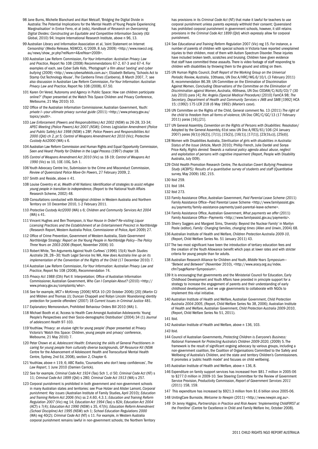- 98 Jane Burns, Michelle Blanchard and Atari Metcalf, 'Bridging the Digital Divide in Australia: The Potential Implications for the Mental Health of Young People Experiencing Marginalisation' in Enrice Ferro, et al (eds), *Handbook of Research on Overcoming Digital Divides: Constructing an Equitable and Competitive Information Society* (IGI Global, 2010) 94; Inspire International Research Institute, above n 96, 13.
- 99 Australian Library and Information Association et al, 'Joint Statement on Internet Censorship' (Media Release, NSWCCL 4/2009, 8 July 2009) <http://www.nswccl.org. au/news/show\_pr.php?relNum=4&relYear=2009>.
- 100 Australian Law Reform Commission, *For Your Information: Australian Privacy Law and Practice*, Report No 108 (2008) Recommendations 67-2, 67-3 and 67-4. For examples of each, see Cyber Safe Kids, *'Photograph' a film about 'sexting' and cyber bullying* (2009) <http://www.cybersafekids.com.au>; Elizabeth Bellamy, 'Schools Act to Stamp Out Technology Abuse', *The Canberra Times* (Canberra), 8 March 2007, 7; see also discussion in Australian Law Reform Commission, *For Your Information: Australian Privacy Law and Practice*, Report No 108 (2008), 67.50.
- 101 Karen Orr Vered, 'Autonomy and Agency in Public Space: How can children participate online?' (Paper presented at the Watch This Space Children and Privacy Conference, Melbourne, 21 May 2010) 10.
- 102 Office of the Australian Information Commissioner, Australian Government, *Youth: private I—your ultimate privacy survival guide* (2011) <http://www.privacy.gov.au/ topics/youth>.
- 103 *Law Enforcement (Powers and Responsibilities) Act 2002* (NSW) ss 26-28, 33-34; *APEC Meeting (Police Powers) Act 2007 (NSW); Crimes Legislation Amendment (Police and Public Safety) Act 1998* (NSW) s 28F; *Police Powers and Responsibilities Act 2000 (Qld) ch 2, pt 5; Control of Weapons Amendment Act 2010* (Vic); *Protective Custody Act2000* (WA) s 6.
- 104 Australian Law Reform Commission and Human Rights and Equal Opportunity Commission, *Seen and Heard: Priority for Children in the Legal Process* (1997) chapter 18.
- 105 *Control of Weapons Amendment Act 2010* (Vic) ss 18-19; *Control of Weapons Act 1990* (Vic) ss 10, 10E-10G, Sch 1.
- 106 Youth Advocacy Centre Inc, Submission to the Crime and Misconduct Commission, *Review of Queensland Police Move-On Powers*, 27 February 2009, 2.
- 107 Smith and Reside, above n 41.
- 108 Louise Coventry et al, *Wealth of All Nations: Identification of strategies to assist refugee young people in transition to independence,* (Report to the National Youth Affairs Research Scheme, 2002) 48.
- 109 Consultations conducted with Aboriginal children in Western Australia and Northern Territory on 10 December 2010, 1-2 February 2011.
- 110 *Protective Custody Act2000* (WA) s 6; *Children and Community Services Act 2004*  $(WA)$  s 41.
- 111 Vincent Hughes and Ben Thompson, *Is Your House in Order? Re-visiting Liquor Licensing Practices and the Establishment of an Entertainment Precinct in Northbridge* (Research Report, Western Australia Police, Commissioner of Police, April 2009) 27.
- 112 Office of Crime Prevention, Government of Western Australia, *State Government Northbridge Strategy: Report on the Young People in Northbridge Policy—The Policy Three Years on 2003-2006* (Report, November 2006) 10.
- 113 Robert White, 'Ten Arguments Against Youth Curfews' (1996) 15(4) *Youth Studies Australia* 28, 28—30; Youth Legal Service Inc WA, *How does Australia line up on its implementation of the Convention of the Rights of the Child (17 December 2010) 7.*
- 114 Australian Law Reform Commission, *For Your Information: Australian Privacy Law and Practice*, Report No 108 (2008), Recommendation 74.
- 115 *Privacy Act 1988* (Cth) Part II: Interpretation; Office of Australian Information Commissioner, Australian Government, *Who Can I Complain About?* (2010) <http:// www.privacy.gov.au/complaints/who>*.*
- 116 See for example, *MCT v McKinney* [2006] NTCA 10 (20 October 2006) [20] (Martin CJ and Mildren and Thomas JJ); Duncan Chappell and Robyn Lincoln 'Abandoning identity protection for juvenile offenders' (2007) 18 *Current Issues in Criminal Justice* 481.
- 117 Explanatory Memorandum, Prohibited Behaviour Orders Bill 2010 (WA) 1.
- 118 Michael Booth et al, 'Access to Health Care Amongst Australian Adolescents: Young People's Perspectives and their Socio-demographic Distribution' (2004) 34 (1) *Journal of adolescent Health* 97-103.
- 119 Youthlaw, 'Privacy: an elusive right for young people' (Paper presented at Privacy Victoria's 'Watch this Space: Children, young people and privacy' conference, Melbourne, 21 May 2010) 7.
- 120 Peter Chown et al, *Adolescent Health: Enhancing the skills of General Practitioners in caring for young people from culturally diverse backgrounds, GP Resource Kit* (NSW Centre for the Advancement of Adolescent Health and Transcultural Mental Health Centre, Sydney, 2nd Ed, 2008), section 2, Chapter 6.
- 121 Youthlaw, above n 119, 6; ABC Radio, 'Counsellors who don't keep confidences', *The Law Report*, 1 June 2010 (Damien Carrick).
- 122 See for example, *Criminal Code Act 1924* (Tas) Sch 1, cl 50; *Criminal Code Act* (NT) s 11; *Criminal Code Act 1899* (Qld) s 280; *Criminal Code Act 1913* (WA) s 257.
- 123 Corporal punishment is prohibited in both government and non-government schools in many Australian states and territories: see Prue Holzer and Alister Lamont, *Corporal punishment: Key issues* (Australian Institute of Family Studies, April 2010); *Education and Training Reform Act 2006* (Vic) ss 2.4.60, 4.3.1; *Education and Training Reform Regulation 2007* (Vic) reg 14; *Education Act 1994* (Tas) s 82A; *Education Act 2004*  (ACT) s 7(4); *Education Act 1990* (NSW) s 35, 47(h); *Education Reform Amendment (School Discipline) Act 1995* (NSW) sch 1; *School Education Regulations 2000*  (WA) reg 40(2); *Criminal Code Act* (NT) s 11. For example, in Western Australia corporal punishment remains lawful in non-government schools; the Northern Territory

has provisions in its *Criminal Code Act* (NT) that make it lawful for teachers to use corporal punishment unless parents expressly withhold their consent; Queensland has prohibited corporal punishment in government schools, however, it still retains provisions in the *Criminal Code Act 1899* (Qld) which expressly allow for corporal punishment.

- 124 See *Educational and Training Reform Regulation* 2007 (Vic) reg 15. For instance, a number of parents of children with special schools in Victoria have reported unexplained injuries to their children, most of them with Autism Spectrum Disorder. These injuries have included broken teeth, scratches and bruising. Children have given evidence that staff have committed these assaults. There is video footage of staff responding to children with disabilities by throwing them to the ground and sitting on them.
- 125 UN Human Rights Council, *Draft Report of the Working Group on the Universal Periodic Review, Australia*, 10thsess, UN Doc A/HRC/WG.6/10/L (3 February 2011) 8, recommendation 86.39; UN Committee on the Elimination of Discrimination Against Women, *Concluding Observations of the Committee on the Elimination of Discrimination against Women, Australia*, 46thsess, UN Doc CEDAW/C/AUS/CO/7 (30 July 2010) para [4]; *Re: Angela (Special Medical Procedure)* [2010] FamCA 98; *The Secretary, Department of Health and Community Services v JWB and SMB* [1992] HCA 15; (1992) 175 LCR 218 (6 May 1992) (*Marion's case*).
- 126 UN Committee on the Rights of the Child, General comment No. 13 (2011) *The right of the child to freedom from all forms of violence*, UN Doc CRC/C/GC/13 (17 February 2011) paras [16],[21].
- 127 UN General Assembly, *Convention on the Rights of Persons with Disabilities*: Resolution/ Adopted by the General Assembly, 61st sess UN Doc A/RES/61/106 (24 January 2007) paras [6(1)]-[6(2)], [7(1)], [15(2)], [16(1)], [17(1)], [23(1b,c)], [25(d)].
- 128 Women with Disabilities Australia, *Sterilisation of girls with disabilities in Australia: Status of the Issue* (Article, March 2010); Phillip French, Julie Dardel and Sonya Price-Kelly, *Rights denied: Towards a national policy agenda about abuse, neglect and exploitation of persons with cognitive impairment* (Report, People with Disability Australia, July 009).
- 129 Child Health Promotion Research Centre, *The Australian Covert Bullying Prevalence Study (ACBPS): Results of a quantitative survey of students and staff (Quantitative* survey, May 2009) 182, 215.
- 130 Ibid 259.

- 132 Ibid 273.
- 133 Family Assistance Office, Australian Government, *Paid Parental Leave Scheme* (2011) Family Assistance Office—Paid Parental Leave Scheme <http://www.familyassist.gov. au/payments/family-assistance-payments/paid-parental-leave-scheme>.
- 134 Family Assistance Office, Australian Government, *What payments we offer* (2011) Family Assistance Office--Payments <http://www.familyassist.gov.au/payments>
- 135 Sherry Saggers and Margaret Sims, 'Diversity: Beyond the Nuclear Family' in Marilyn Poole (editor), *Family: Changing families, changing times* (Allen and Unwin, 2004) 68.
- 136 Australian Institute of Health and Welfare, *Children Protection Australia 2009-10*, (Report, Child Welfare Series No. 51 January 2011) 43.
- 137 The two most significant have been the introduction of tertiary education fees and the creation of the Youth Allowance benefit which pays at lower rates and with stricter criteria for young people than for adults.
- 138 Australian Research Alliance for Children and Youth, *Middle Years Symposium— "Betwixt and Between"* (November 2010), <http://www.aracy.org.au/index. cfm?pageName=Symposium>.
- 139 It is encouraging that governments and the Ministerial Council for Education, Early Childhood Development and Youth Affairs have provided in principle support for a strategy to increase the engagement of parents and their understanding of early childhood development, and we urge governments to collaborate with NGOs to implement this vital initiative.
- 140 Australian Institute of Health and Welfare, Australian Government, *Child Protection Australia 2004-2005*, (Report, Child Welfare Series No 38, 2006); Australian Institute of Health and Welfare, Australian Government, *Child Protection Australia 2009-2010*, (Report, Child Welfare Series No 51, 2011).

142 Australian Institute of Health and Welfare, above n 136, 103.

- 144 Council of Australian Governments, *Protecting Children is Everyone's Business: National Framework for Protecting Australia's Children 2009-2020,* (2009) 5. The framework is the result of significant ongoing advocacy by various groups, including a non-government coalition, the Coalition of Organisations Committed to the Safety and Wellbeing of Australia's Children, and the state and territory Children's Commissioners. It promotes a 'public health model' and focuses on child wellbeing.
- 145 Australian Institute of Health and Welfare, above n 136, 8.
- 146 Expenditure on family support services has increased from \$81.7 million in 2005-06 to \$277.0 million in 2009-10. See Steering Committee for the Review of Government Service Provision, Productivity Commission, *Report of Government Services 2011*  (2011) 158, 159.
- 147 This expenditure has increased by \$921.3 million from \$1.6 billion since 2005-06.
- 148 UnitingCare Burnside, *Welcome to Newpin* (2011) <http://www.newpin.org.au>.
- 149 Dr Jenny Higgins, *Partnerships in Practice and Risk Aware: 'Implementing ChildFIRST at the Frontline'* (Centre for Excellence in Child and Family Welfare Inc, October 2008).

<sup>131</sup> Ibid 184.

<sup>141</sup> Ibid.

*<sup>143</sup>* Ibid.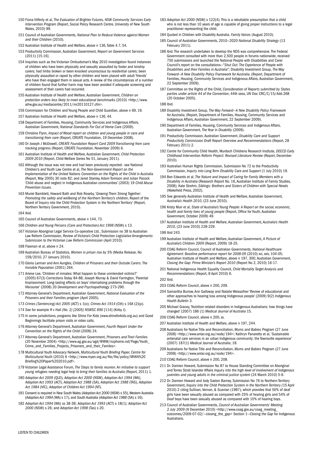- 150 Fiona Hilferty et al, *The Evaluation of Brighter Futures, NSW Community Services Early Intervention Program* (Report, Social Policy Research Centre, University of New South Wales, 2010) 99.
- 151 Council of Australian Governments, *National Plan to Reduce Violence against Women and their Children* (2010)*.*
- 152 Australian Institute of Health and Welfare, above n 136, Table 4.7, 54.
- 153 Productivity Commission, Australian Government, *Report on Government Services* (2011) [15.16].
- 154 Inquiries such as the Victorian Ombudsman's May 2010 investigation found instances of children who have been physically and sexually assaulted by foster and kinship carers; had limbs broken or been knocked unconscious by residential carers; been physically assaulted or raped by other children and been placed with adult 'friends' who have then engaged them in sexual acts. A review of the circumstances of a number of children found that further harm may have been avoided if adequate screening and assessment of their carers had occurred.
- 155 Australian Institute of Health and Welfare, Australian Government, *Children on protection orders less likely to meet educational benchmarks* (2010) <http://www. aihw.gov.au/mediacentre/2011/mr20110127.cfm>.
- 156 Commission for Children and Young People and Child Guardian, above n 69, 19.
- 157 Australian Institute of Health and Welfare, above n 136, 44.
- 158 Department of Families, Housing, Community Services and Indigenous Affairs, Australian Government, *National Standards For Out of Home Care* (2009).
- 159 Christine Flynn, *Impact of Wood report on children and young people in care and transitioning from care* (Report, CREATE Foundation, 19 December 2008).
- 160 Dr Joseph J McDowell, *CREATE Foundation Report Card 2009 Transitioning from care: tracking progress* (Report, CREATE Foundation, November 2009) 6.
- 161 Australian Institute of Health and Welfare, Australian Government, *Child Protection 2009-2010* (Report, Child Welfare Series No 51, January 2011).
- 162 Although the issue was not new and had been previously reported– see National Children's and Youth Law Centre et al, *The Non-Government Report on the Implementation of the United Nations Convention on the Rights of the Child in Australia*  (Report, May 2005) 30 note 82; and Janet Stanley, Adam Tomison and Julian Pocock 'Child abuse and neglect in Indigenous Australian communities' (2003) 19 *Child Abuse Prevention Issues*.
- 163 Muriel Bamblett, Howard Bath and Rob Roseby, '*Growing Them Strong Together: Promoting the safety and wellbeing of the Northern Territory's children*, Report of the Board of Inquiry into the Child Protection System in the Northern Territory' (Report, Northern Territory Government, 2010).
- 164 Ibid.
- 165 Council of Australian Governments, above n 144, 73.
- 166 *Children and Young Persons (Care and Protection) Act 1998* (NSW) s 13.
- 167 Victorian Aboriginal Legal Service Co-operative Ltd., Submission no 38 to Australian Law Reform Commission, *Review of Victoria's Child Protection Legislative Arrangements: Submission to the Victorian Law Reform Commission* (April 2010).
- 168 Flaxman et al, above n 24.
- 169 Australian Bureau of Statistics, *Women in prison rise by 5%* (Media Release, No 159/2010, 27 January 2010).
- 170 Gloria Larman and Ann Aungles, *Children of Prisoners and their Outside Carers: The Invisible Population* (2001) 264.
- 171 Arlene Lee, 'Children of inmates: What happen to these unintended victims?' (2005) 67(3) *Corrections Today* 84-88; Joseph Murray & David Farrington, 'Parental Imprisonment: Long-lasting effects on boys' internalising problems through the lifecourse' (2008) 20 *Development and Psychopathology* 273-290.
- 172 Attorney-General's Department, Australian Government, *National Evaluation of the Prisoners and their Families program* (April 2005).
- 173 *Crimes (Sentencing) Act 2005* (ACT) s 1(o); *Crimes Act 1914* (Cth) s 16A (2)(p).
- 174 See for example *R v Hall (No. 2) [2005] NSWSC 890* [114] (Kirby J).
- 175 In some jurisdictions, programs like Shine For Kids (www.shineforkids.org.au) and Good Beginnings facilitate prison visits or video calls.
- 176 Attorney-General's Department, Australian Government, *Fourth Report Under the Convention on the Rights of the Child* (2008) 24.
- 177 Attorney-General's Department, Australian Government, *Prisoners and Their Families* (20 November 2004) <http://www.ag.gov.au/agd/WWW/ncphome.nsf/Page/Youth\_ Crime\_and\_Families\_Projects\_Prisoners\_and\_their\_Familes>.
- 178 Multicultural Youth Advocacy Network, *Multicultural Youth Briefing Paper, Centre for Multicultural Youth* (2010) 6 <http://www.myan.org.au/file/file/policy/MYAN%20 Briefing%20Paper%202010.pdf>.
- 179 Victorian Legal Assistance Forum, *The Steps to family reunion. An initiative to support young refugees needing legal help to bring their families to Australia* (Report, 2011) 1.
- 180 *Adoption Act 2009* (QLD), *Adoption Act 2000* (NSW), *Adoption Act 1994* (WA), *Adoption Act 1993* (ACT), *Adoption Act 1988* (SA), *Adoption Act 1988* (TAS), *Adoption Act 1984* (VIC), *Adoption of Children Act 1994* (NT).
- 181 Consent is required in New South Wales (*Adoption Act 2000* (NSW) s 55), Western Australia (*Adoption Act 1994 (*WA) s 17), and South Australia (*Adoption Act 1988* (SA) s 16).
- 182 *Adoption Act 1994* (WA) ss 38-39; *Adoption Act 1993* (ACT) s 18(1); *Adoption Act 2000* (NSW) s 26; and *Adoption Act 1998* (Tas) s 20.
- 183 *Adoption Act 2000* (NSW) s 122(4). This is a rebuttable presumption that a child who is not less than 10 years of age is capable of giving proper instructions to a legal practitioner representing the child.
- 184 Quoted in Children with Disability Australia, *Family Voices* (August 2010).
- 185 Council of Australian Governments, 2010—2020 *National Disability Strategy* (13 February 2011).
- 186 Ibid. The research undertaken to develop the NDS was comprehensive. The Federal Government consulted with more than 2,500 people in forums nationwide, received 750 submissions and launched the National People with Disabilities and Carer Council's report on the consultations—"*Shut Out: The Experience of People with Disabilities and their Families in Australia*"; Disability Investment Group, *The Way Forward—A New Disability Policy Framework for Australia*, (Report, Department of Families, Housing, Community Services and Indigenous Affairs, Australian Government, 22 September 2009).
- 187 Committee on the Rights of the Child, *Consideration of Reports submitted by States parties under article 44 of the Convention*, 44th sess, UN Doc CRC/C/15/Add.268 (20 October 2005).
- 188 Ibid.
- 189 Disability Investment Group, *The Way Forward—A New Disability Policy Framework for Australia*, (Report, Department of Families, Housing, Community Services and Indigenous Affairs, Australian Government, 22 September 2009).
- 190 Department of Families, Housing, Community Services and Indigenous Affairs, Australian Government, *The Year in Disability* (2009).
- 191 Productivity Commission, Australian Government, *Disability Care and Support Productivity Commission Draft Report Overview and Recommendations* (Report, 28 February 2011) 2.
- 192 Centre for Community Child Health, Murdoch Childrens Research Institute, *DEECD Early Childhood Intervention Reform Project: Revised Literature Review* (Report, December 2010).
- 193 Australian Human Rights Commission, Submission No 72 to the Productivity Commission, *Inquiry into Long Term Disability Care and Support* (1 July 2010) 19.
- 194 Ben Edwards et al, *The Nature and Impact of Caring for Family Members with a Disability in Australia* (Research Report No. 16, Australian Institute of Family Studies, 2008); Kate Strohm, *Siblings: Brothers and Sisters of Children with Special Needs* (Wakefield Press, 2002).
- 195 See generally Australian Institute of Health and Welfare, Australian Government, *Australia's Health 2010*, (23 June 2010).
- 196 Kristy Muir et al, *State of Australia's Young People: A Report on the social, economic, health and family lives of young people* (Report, Office for Youth, Australian Government, October 2009) 49.
- 197 Australian Institute of Health and Welfare, Australian Government*, Australia's Health 2010*, (23 June 2010) 228-229.

#### 198 Ibid 243.

- 199 Australian Institute of Health and Welfare, Australian Government, *A Picture of Australia's Children 2009* (Report, 2009) 18-25.
- 200 COAG Reform Council, Council of Australian Governments, *National Healthcare Agreement: Baseline performance report for 2008-09* (2010) xvi, xxiv, 104-05; Australian Institute of Health and Welfare, above n 197, 300; Australian Government, *Closing the Gap: Prime Minister's Report 2010* (Report No 2, 2010) 16-17.
- 201 National Indigenous Health Equality Council, *Child Mortality Target Analysis and Recommendations* (Report, 8 April 2010) 6.
- 202 Ibid.
- 203 COAG Reform Council, above n 200, 209.
- 204 Samantha Burrow, Ann Galloway and Natalie Weissofner 'Review of educational and other approaches to hearing loss among Indigenous people' (2009) 9(2) *Indigenous Health Bulletin* 3.
- 205 Michael Gracey, 'Nutrition-related disorders in Indigenous Australians: how things have changed' (2007) 186 (1) *Medical Journal of Australia* 15.
- 206 COAG Reform Council, above n 200, xx.
- 207 Australian Institute of Health and Welfare, above n 197, 244.
- 208 Australians for Native Title and Reconciliation, *Mums and Babies Program* (27 June 2008) <http://www.antar.org.au/node/194>; Kathryn Panaretto et al, 'Sustainable antenatal care services in an urban Indigenous community: the Townsville experience' (2007) 187(1) *Medical Journal of Australia*, 18.
- 209 Australians for Native Title and Reconciliation, *Mums and Babies Program* (27 June 2008) <http://www.antar.org.au/node/194>.
- 210 COAG Reform Council, above n 200, 208.
- 211 Dr. Damien Howard, Submission No 87 to House Standing Committee on Aboriginal and Torres Strait Islander Affairs *Inquiry into the high level of involvement of Indigenous juveniles and young adults in the criminal justice system* (24 March 2010) 5-6.
- 212 Dr. Damien Howard and Jody Saxton Barney, Submission No 76 to Northern Territory Government, *Inquiry into the Child Protection System in the Northern Territory (*15 April 2010) 2 citing Sullivan, Vernon, & Scanlan (1987), which provides that 50% of deaf girls have been sexually abused as compared with 25% of hearing girls and 54% of Deaf boys have been sexually abused as compared with 10% of hearing boys.
- 213 Council of Australian Governments, *Council of Australian Governments' Meeting 2 July 2009* (9 December 2010) <http://www.coag.gov.au/coag\_meeting\_ outcomes/2009-07-02/—closing\_the\_gap> Section 1—*Closing the Gap* for Indigenous Australians.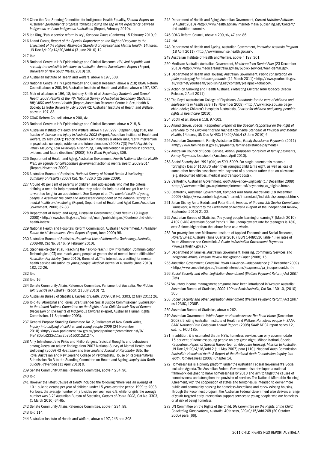- 214 Close the Gap Steering Committee for Indigenous Health Equality, *Shadow Report on Australian governments' progress towards closing the gap in life expectancy between Indigenous and non-Indigenous Australians* (Report, February 2010).
- 215 Ian Ring, 'Public service reform is key', *Canberra Times* (Canberra) 15 February 2010, 9.
- 216 Anand Grover, *Report of the Special Rapporteur on the Right of Everyone to the Enjoyment of the Highest Attainable Standard of Physical and Mental Health*, 14thsess, UN Doc A/HRC/14/20/Add.4 (3 June 2010) 12.
- 217 Ibid.
- 218 National Centre in HIV Epidemiology and Clinical Research, *HIV, viral hepatitis and*  sexually transmissible infections in Australia-Annual Surveillance Report (Report, University of New South Wales, 2010) 19.
- 219 Australian Institute of Health and Welfare, above n 197, 308.
- 220 National Centre in HIV Epidemiology and Clinical Research, above n 218; COAG Reform Council, above n 200, 54; Australian Institute of Health and Welfare, above n 197, 307.
- 221 Muir et al, above n 196, 18; Anthony Smith et al, *Secondary Students and Sexual Health 2008 Results of the 4th National Survey of Australian Secondary Students, HIV/ AIDS and Sexual Health* (Report, Australian Research Centre in Sex, Health & Society, La Trobe University, July 2009) 42; Australian Institute of Health and Welfare, above n 197, 83.
- 222 COAG Reform Council, above n 200, xiv.
- 223 National Centre in HIV Epidemiology and Clinical Research, above n 218, 8.
- 224 Australian Institute of Health and Welfare, above n 197, 299; Stephen Begg et al, *The burden of disease and injury in Australia 2003* (Report, Australian Institute of Health and Welfare, 25 May 2007); Patrick McGorry, Eóin Killackey & Alison Yung, 'Early intervention in psychosis: concepts, evidence and future directions' (2008) 7(3) *World Psychiatry*; Patrick McGorry, Eóin Killackey& Alison Yung, 'Early intervention in psychosis: concepts, evidence and future directions' (2008) 7(3) *World Psychiatry*, 306.
- 225 Department of Health and Aging, Australian Government, *Fourth National Mental Health Plan: an agenda for collaborative government action in mental health 2009-*2014 (Report, November 2009)*.*
- 226 Australian Bureau of Statistics, *National Survey of Mental Health & Wellbeing: Summary of Results* (2007) Cat. No. 4326.0 (25 June 2009).
- 227 Around 40 per cent of parents of children and adolescents who met the criteria defining a need for help reported that they asked for help but did not get it or had to wait too long for an appointment. See Sawyer et al, *The mental health of young people in Australia: The child and adolescent component of the national survey of mental health and wellbeing* (Report, Department of Health and Aged Care, Australian Government, 2000) 32-33.
- 228 Department of Health and Aging, Australian Government, *Child Health* (19 August 2008) <http://www.health.gov.au/internet/main/publishing.nsf/Content/phd-childhealth-index>.
- 229 National Health and Hospitals Reform Commission, Australian Government, *A Healthier Future for All Australians: Final Report* (Report, June 2009) 98.
- 230 Australian Bureau of Statistics, *Household Use of Information Technology, Australia,*  2008-09, Cat No. 8146, (9 February 2010).
- 231 Stephens-Reicher et al, 'Reaching the hard-to-reach: How Information Communication Technologies (ICT) can reach young people at greater risk of mental health difficulties' *Australian Psychiatry* (June 2010); Burns et al, 'The internet as a setting for mental health service utilisation by young people' *Medical Journal of Australia* (June 2010) 182, 22-26.
- 232 Ibid.
- 233 Ibid 16.
- 234 Senate Community Affairs Reference Committee, Parliament of Australia, *The Hidden Toll: Suicide in Australia* (Report, 21 July 2010) 72.
- 235 Australian Bureau of Statistics, *Causes of Death, 200*9, Cat No. 3303, (2 May 2011) 26.
- 236 Ibid 48; Aboriginal and Torres Strait Islander Social Justice Commissioner, *Submission to the United Nations Committee on the Rights of the Child for their Day of General Discussion on the Rights of Indigenous Children* (Report, Australian Human Rights Commission, 11 September 2003).
- 237 General Purpose Standing Committee No. 2, Parliament of New South Wales, *Inquiry into bullying of children and young people 2009* (24 November 2010) <http://www.parliament.nsw.gov.au/prod/parlment/committee.nsf/0/ f4e480bfcd232c11ca2575150012d127>.
- 238 Amy Johnstone, Jane Pirkis and Philip Burgess, 'Suicidal thoughts and behaviours among Australian adults: findings from 2007 National Survey of Mental Health and Wellbeing' (2009) 43 *Australian and New Zealand Journal of Psychiatry* 635; The Royal Australian and New Zealand College of Psychiatrists, House of Representatives Submission No 3 to the Standing Committee on Health and Ageing, *Inquiry into Youth Suicide Prevention* (13 April 2010) 9.
- 239 Senate Community Affairs Reference Committee, above n 234, 90.
- 240 Ibid.
- 241 However the latest *Causes of Death* included the following "There was an average of 10.1 suicide deaths per year of children under 15 years over the period 1999 to 2008. For boys, the average number of [s]uicides per year was 6.9, while for girls the average number was 3.2." Australian Bureau of Statistics, *Causes of Death 2008,* Cat No. 3303, (1 March 2010) 64-65.
- 242 Senate Community Affairs Reference Committee, above n 234, 89.

243 Ibid 114.

244 Australian Institute of Health and Welfare, above n 197, 243 and 303.

- 245 Department of Health and Aging, Australian Government, *Current Nutrition Activities*  (9 August 2010) <http://www.health.gov.au/internet/main/publishing.nsf/Content/ phd-nutrition-current>.
- 246 COAG Reform Council, above n 200, xiv, 47 and 86.
- 247 Ibid.
- 248 Department of Health and Ageing, Australian Government, *Immunise Australia Program* (18 April 2011) <http://www.immunise.health.gov.au>.
- 249 Australian Institute of Health and Welfare, above n 197, 301.
- 250 Medicare Australia, Australian Government, *Medicare Teen Dental Plan* (23 December 2010) <http://www.medicareaustralia.gov.au/public/services/teen-dental.jsp>
- 251 Department of Health and Housing, Australian Government, *Public consultation on plain packaging for tobacco products* (11 March 2011) <http://www.yourhealth.gov. au/internet/yourhealth/publishing.nsf/content/plainpack-tobacco>.
- 252 Action on Smoking and Health Australia, *Protecting Children from Tobacco* (Media Release, 2 April 2011).
- 253 The Royal Australasian College of Physicians, *Standards for the care of children and adolescents in health care*, (18 November 2008) <http://www.racp.edu.au/page/ child-adol>; Children's Hospitals Australasia, *Charter for children and young people's rights in healthcare* (2010).
- 254 Booth et al, above n 118, 97-103.
- 255 Anand Grover, Special Rapporteur, *Report of the Special Rapporteur on the Right of Everyone to the Enjoyment of the Highest Attainable Standard of Physical and Mental Health*, 14thsess, UN Doc A/HRC/14/20/Add.4 (3 June 2010) 6.
- 256 Australian Government, Family Assistance Office, *Family Assistance Payments* (2011) <http://www.familyassist.gov.au/payments/family-assistance-payments>.
- 257 Australian Council of Social Service, *ACOSS proposals for reform of family payments*, *Family Payments factsheet*, (Factsheet, April 2010).
- 258 *Social Security Act 1991* (Cth) *ss 500, 500D*. For single parents this means a fortnightly loss of \$103.70 when their youngest child turns eight, as well as loss of some other benefits associated with payment of a pension rather than an allowance (e.g. discounted utilities, medical and transport costs).
- 259 Centrelink, Australian Government, *Youth Allowance—Eligibility* (17 December 2009) <http://www.centrelink.gov.au/internet/internet.nsf/payments/ya\_eligible.htm>.
- 260 Centrelink, Australian Government, *Compact with Young Australians* (18 December 2009) <http://www.centrelink.gov.au/internet/internet.nsf/individuals/compact.htm>.
- 261 Julian Disney, Anna Buduls and Peter Grant, *Impacts of the new Job Seeker Compliance Framework, A Report to the Parliament of Australia* (Report of the Independent Review, September 2010) 21-22.
- 262 Australian Bureau of Statistics, 'Are young people learning or earning?' (March 2010) 4102.0 *ABS Australian Social Trends* 1. The unemployment rate for teenagers is 18%, over 3 times higher than the labour force as a whole.
- 263 For poverty line see: Melbourne Institute of Applied Economic and Social Research, *Poverty Lines: Australia* (June Quarter 2010) ISSN 14480530 Table 4. For rates of Youth Allowance see Centrelink, *A Guide to Australian Government Payments* <www.centrelink.gov.au>.
- 264 Department of Families, Australian Government, Housing, Community Services and Indigenous Affairs, *Pension Review Background Paper* (2008) 15.
- 265 Australian Government, Centrelink, *Youth Allowance—Independence* (17 December 2009) <http://www.centrelink.gov.au/internet/internet.nsf/payments/ya\_independent.htm>
- 266 *Social Security and other Legislation Amendment (Welfare Payment Reform) Act 2007*  (Cth).
- 267 Voluntary income management programs have been introduced in Western Australia; Australian Bureau of Statistics, *2009-10 Year Book Australia*, Cat No. 1301.0, (2010) 305.
- 268 *Social Security and other Legislation Amendment (Welfare Payment Reform) Act 2007* ss 123UC, 123UE.
- 269 Australian Bureau of Statistics, above n 262.
- 270 Australian Government, *White Paper on Homelessness: The Road Home* (December 2008), 9, citing Australian Institute of Health and Welfare, *Homeless people in SAAP: SAAP National Data Collection Annual Report*, (2008) SAAP NDCA report series 12, cat. no. HOU 185.
- 271 In addition, it is estimated that in NSW, homeless services can only accommodate 15 per cent of homeless young people on any given night: Miloon Kothari, Special Rapporteur, *Report of Special Rapporteur on Adequate Housing: Mission to Australia*, UN Doc A/HRC/4/18/Add.2 (11 May 2007) para [110]; National Youth Commission, *Australia's Homeless Youth: A Report of the National Youth Commission Inquiry into Youth Homelessness* (2008) Chapter 14.
- 272 Homelessness is a priority platform under the Australian Federal Government's Social Inclusion Agenda. The Australian Federal Government also developed a national framework designed to halve homelessness by 2010 and aim to target the causes of homelessness and strengthen the provision of services. The National Affordable Housing Agreement, with the cooperation of states and territories, is intended to deliver more public and community housing for homeless Australians and renew existing housing. Through the Reconnect program, the Australian Federal Government also delivers a range of youth targeted early intervention support services to young people who are homeless or at risk of being homeless.
- 273 UN Committee on the Rights of the Child, *UN Committee on the Rights of the Child: Concluding Observations, Australia*, 40th sess, CRC/C/15/Add.268 (20 October 2005) para [66].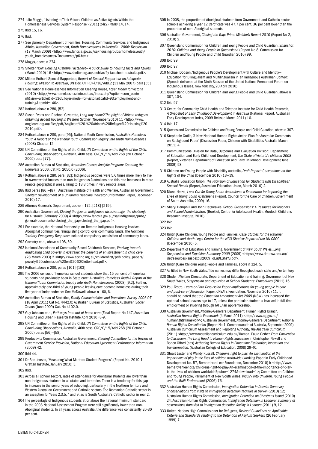- 274 Julie Maggs, 'Listening to Their Voices: Children as Active Agents Within the Homelessness Services System Response' (2011) 24(2) *Parity* 14, 14.
- 275 Ibid 15, 16.

276 Ibid.

- 277 See generally, Department of Families, Housing, Community Services and Indigenous Affairs, Australian Government, *Youth Homelessness in Australia—2006: Discussion* (17 March 2009) <http://www.fahcsia.gov.au/sa/housing/pubs/homelessyouth/ youth\_homelessness/Documents/p6.htm>.
- 278 Maggs, above n 274.
- 279 Shelter NSW, *Housing Australia Factsheet—'A quick guide to housing facts and figures'*  (March 2010) 16 <http://www.shelter.org.au/archive/fly-factsheet-australia.pdf>.
- 280 Miloon Kothari, Special Rapporteur, *Report of Special Rapporteur on Adequate Housing: Mission to Australia*, UN Doc A/HRC/4/18/Add.2 (11 May 2007) para [55].
- 281 See National Homelessness Information Clearing House, *Foyer Model for Victoria* (2010) <http://www.homelessnessinfo.net.au/index.php?option=com\_conte nt&view=article&id=1365:foyer-model-for-victoria&catid=93:employment-andtraining&Itemid=146>.
- 282 Kothari, above n 280, [52].
- 283 Susan Evans and Rachael Gavarotto, *Long way home? The plight of African refugees obtaining decent housing in Western Sydney* (November 2010) 11 <http://www. anglicare.org.au/files/pdf/Anglicare%20-%20African%20Refugee%20Housing%20 2010.pdf>.
- 284 Kothari, above n 280, para [95]; National Youth Commission, *Australia's Homeless Youth A Report of the National Youth Commission Inquiry into Youth Homelessness* (2008) Chapter 12.
- 285 UN Committee on the Rights of the Child, *UN Committee on the Rights of the Child: Concluding Observations, Australia*, 40th sess, CRC/C/15/Add.268 (20 October 2005) para [77].
- 286 Australian Bureau of Statistics, *Australian Census Analytic Program: Counting the Homeless* 2006, Cat No. 2050.0 (2006).
- 287 Kothari, above n 280, para [82]: Indigenous peoples were 5.6 times more likely to live in overcrowded houses than non-Indigenous Australians and this rate increases in more remote geographical areas, rising to 18.8 times in very remote areas.
- 288 Ibid paras [86]—[87]; Australian Institute of Health and Welfare, Australian Government, *Shelter: Development of a Children's Headline Indicator* (Information Paper, December 2010) 17.
- 289 Attorney-General's Department, above n 172, [218]-[219].
- 290 Australian Government, *Closing the gap on Indigenous disadvantage: the challenge for Australia* (February 2009) 4 <http://www.fahcsia.gov.au/sa/Indigenous/pubs/ general/documents/closing\_the\_gap/closing\_the\_gap.pdf>.
- 291 For example, the National Partnership on Remote Indigenous Housing involves Aboriginal communities relinquishing control over community lands. The *Northern Territory Emergency Response* included compulsory acquisition of community lands.
- 292 Coventry et al, above n 108, 50.
- 293 National Association of Community Based Children's Services, *Working towards eradicating child poverty in Australia: the benefits of an Investment in child care* (28 March 2003) 2 <http://www.cccinc.org.au/childrenfirst/pdf/policy\_papers/ poverty%20submission%20on%20%20letterhead.pdf>.
- 294 Kothari, above n 280, paras [101]-[103].
- 295 The 2006 census of homeless school students show that 15 per cent of homeless students had previously been in State care: *Australia's Homeless Youth A Report of the National Youth Commission Inquiry into Youth Homelessness* (2008) [9.2]. Further, approximately one-third of young people leaving care become homeless during their first year of independence: See McDowell, above n 160, 6.
- 296 Australian Bureau of Statistics, *Family Characteristics and Transitions Survey 2006-07* (18 April 2011) Cat No. 4442.0; Australian Bureau of Statistics, *Australian Social Trends* (June 2009) Cat. No 4102.0.
- 297 Guy Johnson et al, *Pathways from out-of-home care* (Final Report No 147, Australian Housing and Urban Research Institute April 2010) 8-9.
- 298 UN Committee on the Rights of the Child, *UN Committee on the Rights of the Child: Concluding Observations, Australia*, 40th sess, CRC/C/15/Add.268 (20 October 2005) paras [56]—[58].
- 299 Productivity Commission, Australian Government, *Steering Committee for the Review of Government Service Provision, National Education Agreement Performance Information*  (2009) 42*.*
- 300 Ibid 44.
- 301 Dr Ben Jensen, 'Measuring What Matters: Student Progress', (Report No. 2010-1, Grattan Institute, January 2010) 3.

302 Ibid.

- 303 Across all school sectors, rates of attendance for Aboriginal students are lower than non-Indigenous students in all states and territories. There is a tendency for this gap to increase in the senior years of schooling, particularly in the Northern Territory and Western Australian Government and Catholic sectors. The Tasmanian Catholic sector is an exception for Years 2,3,5,7 and 9, as is South Australia's Catholic sector in Year 2.
- 304 The percentage of Indigenous students at or above the national minimum standard in the 2008 National Assessment Program were still significantly lower than non-Aboriginal students. In all years across Australia, the difference was consistently 20-30 per cent.
- 305 In 2008, the proportion of Aboriginal students from Government and Catholic sector schools achieving a year 12 Certificate was 47.7 per cent, 36 per cent lower than the proportion of non- Aboriginal students.
- 306 Australian Government, *Closing the Gap: Prime Minister's Report 2010* (Report No 2, 2010) 2.
- 307 Queensland Commission for Children and Young People and Child Guardian, *Snapshot 2010: Children and Young People in Queensland* (Report No 8, Commission for Children and Young People and Child Guardian 2010) 99.

308 Ibid 99.

```
309 Ibid 97.
```
- 310 Michael Dodson, 'Indigenous People's Development with Culture and Identity— Education for Bilingualism and Multilingualism in an Indigenous Australian Context' (Speech delivered at the Ninth Session of the United Nations Permanent Forum on Indigenous Issues, New York City, 20 April 2010).
- 311 Queensland Commission for Children and Young People and Child Guardian, above n 307, 104.

312 Ibid 97.

- 313 Centre for Community Child Health and Telethon Institute for Child Health Research, *A Snapshot of Early Childhood Development in Australia* (National Report, Australian Early Development Index, 2009 Reissue March 2011) 16.
- 314 Ibid 17.
- 315 Queensland Commission for Children and Young People and Child Guardian, above n 307.
- 316 Stephanie Gotlib, 'A New National Human Rights Action Plan for Australia: Comments on Background Paper' (Discussion Paper, Children with Disabilities Australia March  $201114$
- 317 Communications Division for Data, Outcomes and Evaluation Division; Department of Education and Early Childhood Development, *The State of Victoria's children 2008* (Report, Victorian Department of Education and Early Childhood Development June 2009) 93.
- 318 Children and Young People with Disability Australia, *Draft Report: Conventions on the Rights of the Child* (December 2010) 18—19.
- 319 Australia Education Union, *The Provision of Education for Students with Disabilities/ Special Needs* (Report, Australian Education Union, March 2010) 2.
- 320 Diana Hetzel, *Look Out for Young South Australians: a Framework for Improving the Lives of Young South Australians* (Report, Council for the Care of Children, Government of South Australia, 2009) 16.
- 321 Sheryl Hemphill and John Hargreaves, *School Suspensions: A Resource for Teachers and School Administrators* (Booklet, Centre for Adolescent Health, Murdoch Childrens Research Institute, 2010).

- 324 UnitingCare Children, Young People and Families, *Case Studies for the National Children and Youth Legal Centre for the NGO Shadow Report of the UN CROC* (December 2010) 5.
- 325 Department of Education and Training, Government of New South Wales, *Long Suspension and Expulsion Summary 2009* (2009) <https://www.det.nsw.edu.au/ detresources/suspexpul2009\_oEuDLGhsYu.pdf>.
- 326 UnitingCare Children Young People and Families, above n 324, 5.
- 327 As titled in New South Wales. Title names may differ throughout each state and/or territory.
- 328 Student Welfare Directorate, Department of Education and Training, Government of New South Wales, *Suspension and expulsion of School Students: Procedures* (2011) 16.
- 329 Paul Testro, *Learn or Earn Discussion Paper Implications for young people in-care and post-care* (Discussion Paper, CREATE Foundation, November 2010) 11. It should be noted that the *Education Amendment Act 2009* (NSW) has increased the optional school-leavers age to 17, unless the particular student is involved in full-time employment or studying through TAFE/an apprenticeship.
- 330 Australian Government, Attorney-General's Department: Human Rights Branch, *Australian Human Rights Framework* (4 March 2011) <http://www.ag.gov.au/ humanrightsframework>; Australian Government, Attorney-General's Department, *National Human Rights Consultation* (Report No 1, Commonwealth of Australia, September 2009); Australian Curriculum Assessment and Reporting Authority, *The Australia Curriculum*  (2011) <http://www.australiancurriculum.edu.au/Home>; Paula Gerber, *From Convention to Classroom: The Long Road to Human Rights Education* in Christopher Newell and Baden Offord (eds) *Activating Human Rights in Education: Exploration, Innovation and Transformation*, (Australian College of Education, 2008) 29-40.
- 331 Stuart Lester and Wendy Russell, *Children's right to play: An examination of the importance of play in the lives of children worldwide* (Working Paper in Early Childhood Development No. 57, Bernard van Leer Foundation, December 2010) ix <http://www. bernardvanleer.org/Childrens-right-to-play-An-examination-of-the-importance-of-playin-the-lives-of-children-worldwide?pubnr=1274&download=1>; Committee on Children and Young People, Parliament of New South Wales, *Inquiry into Children, Young People and the Built Environment* (2006) 76.
- 332 Australian Human Rights Commission, *Immigration Detention in Darwin: Summary of observations from visits to immigration detention facilities in Darwin* (2010) 12; Australian Human Rights Commission, *Immigration Detention on Christmas Island* (2010) 24; Australian Human Rights Commission, *Immigration Detention in Leonora: Summary of observations from visit to immigration detention facility in Leonora* (2011) 9, 12.
- 333 United Nations High Commissioner for Refugees, *Revised Guidelines on Applicable Criteria and Standards relating to the Detention of Asylum Seekers* (26 February 1999) 7.

<sup>322</sup> Ibid.

<sup>323</sup> Ibid.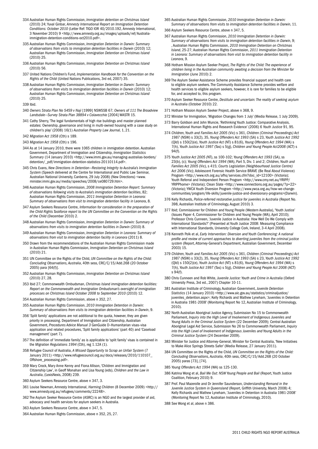- 334 Australian Human Rights Commission, *Immigration detention on Christmas Island* (2010) 24; Yuval Ginbar, *Amnesty International Report on Immigration Detention Conditions: October 2010* (Letter Ref: TIGO IOR 40/2010.192, Amnesty International, 3 November 2010) 9 <http://www.amnesty.org.au/images/uploads/ref/Australiaimmigration-detention-conditions-oct2010.pdf>.
- 335 Australian Human Rights Commission, *Immigration Detention in Darwin: Summary*  of observations from visits to immigration detention facilities in Darwin (2010) 12; Australian Human Rights Commission, *Immigration Detention on Christmas Island*  (2010) 25.
- 336 Australian Human Rights Commission, *Immigration Detention on Christmas Island*  (2010) 56.
- 337 United Nations Children's Fund, *Implementation Handbook for the Convention on the Rights of the Child* (United Nations Publications, 3rd ed, 2007) 35.
- 338 Australian Human Rights Commission, *Immigration Detention in Darwin: Summary*  of observations from visits to immigration detention facilities in Darwin (2010) 12; Australian Human Rights Commission, *Immigration Detention on Christmas Island*  (2010) 25.
- 339 Ibid.
- 340 *Owners Strata Plan No 5459 v Naji* [1999] NSWSSB 67; *Owners of 111 The Broadview Landsdale—Survey Strata Plan 38894 v Colavecchio* [2004] WASTR 15.
- 341 Cathy Sherry, 'The legal fundamentals of high rise buildings and master planned estates: Ownership, governance and living in multi-owned housing with a case study on children's play' (2008) 16(1) *Australian Property Law Journal,* 1, 21.
- 342 *Migration Act 1958* (Cth) s 189.
- 343 *Migration Act 1958* (Cth) s 196.
- 344 As at 14 January 2010, there were 1065 children in immigration detention. Australian Government, Department of Immigration and Citizenship, *Immigration Statistics Summary* (14 January 2010) <http://www.immi.gov.au/managing-australias-borders/ detention/\_pdf/immigration-detention-statistics-20110114.pdf>.
- 345 Chris Evans, *New Directions in Detention—Restoring Integrity to Australia's Immigration System* (Speech delivered at the Centre for International and Public Law Seminar, Australian National University, Canberra, 29 July 2008) (New Directions) <www. minister.immi.gov.au/media/speeches/2008/ce080729.htm>.
- 346 Australian Human Rights Commission, *2008 Immigration Detention Report: Summary of observations following visits to Australia's immigration detention facilities*, 82; Australian Human Rights Commission, *2011 Immigration Detention in Leonora:*  Summary of observations from visit to immigration detention facility in Leonora, 8.
- 347 Asylum Seekers Resource Centre, *Information for consideration in the preparation of the Child Rights Taskforce report to the UN Committee on the Convention on the Rights of the Child* (December 2010) 2.
- 348 Australian Human Rights Commission, *Immigration Detention in Darwin: Summary of observations from visits to immigration detention facilities in Darwin* (2010) 8.
- 349 Australian Human Rights Commission, *Immigration Detention in Leonora: Summary of observations from visit to immigration detention facility in Leonora* (2011) 8.
- 350 Drawn from the recommendations of the Australian Human Rights Commission made in Australian Human Rights Commission, *Immigration Detention on Christmas Island*  (2010) 21.
- 351 UN Committee on the Rights of the Child, *UN Committee on the Rights of the Child: Concluding Observations, Australia*, 40th sess, CRC/C/15/Add.268 (20 October 2005) para [64(f)].
- 352 Australian Human Rights Commission, *Immigration Detention on Christmas Island*  (2010) 27, 28.
- 353 Ibid 27; Commonwealth Ombudsman, *Christmas Island immigration detention facilities: Report on the Commonwealth and Immigration Ombudsman's oversight of immigration processes on Christmas Island October 2008 to September 2010* (2010) 12.
- 354 Australian Human Rights Commission, above n 352, 27.
- 355 Australian Human Rights Commission, *2010 Immigration Detention in Darwin: Summary of observations from visits to immigration detention facilities in Darwin*, 9.
- 356 'Split family' applications are not additional to the quota, however, they are given priority in processing. Department of Immigration and Citizenship, Australian Government, *Procedures Advice Manual 3* GenGuide D–Humanitarian visas–visa application and related procedures, 'Split family applications' (part 40) and 'Caseload management' (part 7).
- 357 The definition of 'immediate family' as is applicable to 'split family' visas is contained in the *Migration Regulations 1994* (Cth), reg 1.12A (1).
- 358 Refugee Council of Australia, *A Missed Opportunity to Scrap an Unfair System* (7 January 2011) <http://www.refugeecouncil.org.au/docs/releases/2010/110107\_ Offshore\_processing.pdf>.
- 359 Mary Crock, Mary Anne Kenny and Fiona Allison, 'Children and Immigration and Citizenship Law', in Geoff Monahan and Lisa Young (eds), *Children and the Law in Australia*, (LexisNexis, 2008) 239.
- 360 Asylum Seekers Resource Centre, above n 347, 3.
- 361 Louise Newman, Amnesty International, *Harming Children* (8 December 2009) <http:// www.amnesty.org.au/refugees/comments/22248>.
- 362 The Asylum Seeker Resource Centre (ASRC) is an NGO and the largest provider of aid, advocacy and health services for asylum seekers in Australia.
- 363 Asylum Seekers Resource Centre, above n 347, 5.
- 364 Australian Human Rights Commission, above n 352, 25, 27.
- 365 Australian Human Rights Commission, *2010 Immigration Detention in Darwin: Summary of observations from visits to immigration detention facilities in Darwin*, 11.
- 366 Asylum Seekers Resource Centre, above n 347, 5.
- 367 Australian Human Rights Commission, *2010 Immigration Detention in Darwin: Summary of observations from visits to immigration detention facilities in Darwin*, 9; , Australian Human Rights Commission, *2010 Immigration Detention on Christmas Island*, 25-27; Australian Human Rights Commission, *2011 Immigration Detention in Leonora: Summary of observations from visit to immigration detention facility in Leonora*, 9.
- 368 Hotham Mission Asylum Seeker Project, *The Rights of the Child: The experience of children living in the Australian community awaiting a decision from the Minister for Immigration* (June 2010) 2.
- 369 The Asylum Seeker Assistance Scheme provides financial support and health care to eligible asylum seekers. The Community Assistance Scheme provides welfare and health services to eligible asylum seekers, however, it is rare for families to be eligible for, and accepted to, this program.
- 370 Asylum Seeker Resource Centre, *Destitute and uncertain: The reality of seeking asylum in Australia* (October 2010) 22.
- 371 Hotham Mission Asylum Seeker Project, above n 368, 9.
- 372 Minister for Immigration, 'Migration Changes from 1 July' (Media Release, 1 July 2009).
- 373 Barry Goldson and John Muncie, 'Rethinking Youth Justice: Comparative Analysis, International Human Rights and Research Evidence' (2006) 6 *Youth Justice* 91, 95.
- 374 *Children, Youth and Families Act 2005* (Vic) s 361, *Children (Criminal Proceedings) Act 1987* (NSW) s 33(2), 35, *Young Offenders Act 1993* (SA) s 23, *Youth Justice Act 1992* (Qld) s 150(2)(e), *Youth Justice Act* (NT) s 81(6), *Young Offenders Act 1994* (WA) s 7(h), *Youth Justice Act 1997* (Tas) s 5(g), *Children and Young People Act2008* (ACT) s 94(f).
- 375 *Youth Justice Act 2005 (*NT), ss 100-102; *Young Offenders Act 1993* (SA), ss 23(b), (c); *Young Offenders Act 1994* (WA), Part 5, Div. 1 and 2; *Children, Youth and Families Act 2005* (Vic), s 415; *Courts Legislation (Neighbourhood Justice Centre) Act 2006* (Vic); Adolescent Forensic Health Service BRAVE (Be Real About Violence) Program <http://www.rch.org.au/afhs/services.cfm?doc\_id=12100> (Victoria); Youth Referral and Independent Person Program <http://www.cmy.net.au/YRIPP/ YRIPPhome> (Victoria); Clean Slate <http://www.connections.org.au/pages/?p=22> (Victoria); YWCA Youth Diversion Program <http://www.ywca.org.au/how-we-changecommunities/program/life-skills/juvenile-justice-and-diversionary-programs>(Darwin).
- 376 Kelly Richards, *Police-referred restorative justice for juveniles in Australia* (Report No. 398, Australian Institute of Criminology, August 2010) 3.
- 377 Ibid; Commissioner for Children and Young People (Western Australia), 'Youth Justice' (Issues Paper 4, Commissioner for Children and Young People (WA), April 2010); Professor Chris Cunneen, 'Juvenile Justice in Australia: How Well Do We Comply with International Standards?' (Presented at Youth Justice 2008: Measuring Compliance with International Standards, University College Cork, Ireland, 3-4 April 2008).
- 378 Kenneth Polk et al, *Early Intervention: Diversion and Youth Conferencing: A national profile and review of current approaches to diverting juveniles from the criminal justice system* (Report, Attorney-General's Department, Australian Government, December 2003) 15.
- 379 *Children, Youth and Families Act 2005* (Vic) s 361, *Children (Criminal Proceedings) Act 1987* (NSW) s 33(2), 35, *Young Offenders Act 1993* (SA) s 23, *Youth Justice Act 1992* (Qld) s 150(2)(e), *Youth Justice Act* (NT) s 81(6), *Young Offenders Act 1994* (WA) s 7(h), *Youth Justice Act 1997* (Tas) s 5(g), *Children and Young People Act 2008* (ACT) s 94(f).
- 380 Chris Cunneen and Rob White, *Juvenile Justice: Youth and Crime in Australia* (Oxford University Press, 3rd ed., 2007) Chapter 10-11.
- 381 Australian Institute of Criminology, Australian Government, *Juvenile Detention Statistics* (14 January 2010) <http://www.aic.gov.au/statistics/criminaljustice/ juveniles\_detention.aspx>; Kelly Richards and Mathew Lyneham, 'Juveniles in Detention in Australia 1981-2008' (Monitoring Report No 12, Australian Institute of Criminology, 2010).
- 382 North Australian Aboriginal Justice Agency, Submission No 15 to Commonwealth Parliament, *Inquiry into the High Level of Involvement of Indigenous Juveniles and Young Adults in the Criminal Justice System* (22 December 2009); Central Australian Aboriginal Legal Aid Service, Submission No 26 to Commonwealth Parliament, *Inquiry into the High Level of Involvement of Indigenous Juveniles and Young Adults in the Criminal Justice System* (24 December 2009).
- 383 Minister for Justice and Attorney-General, Minister for Central Australia, 'New Initiatives to Make Alice Springs Streets Safer' (Media Release, 27 January 2011).
- 384 UN Committee on the Rights of the Child, *UN Committee on the Rights of the Child: Concluding Observations, Australia*, 40th sess, CRC/C/15/Add.268 (20 October 2005) paras [73], [74].
- 385 *Young Offenders Act 1994* (WA) ss 125-130.
- 386 Katrina Wong et al, *Bail Me Out: NSW Young People and Bail* (Report, Youth Justice Coalition, February 2010) 9.
- 387 Prof. Paul Mazerolle and Dr Jennifer Saunderson, *Understanding Remand in the Juvenile Justice System in Queensland* (Report, Griffith University, March 2008) 4; Kelly Richards and Mathew Lyneham, 'Juveniles in Detention in Australia 1981-2008' (Monitoring Report No 12, Australian Institute of Criminology, 2010).
- 388 See Wong et al, above n 386.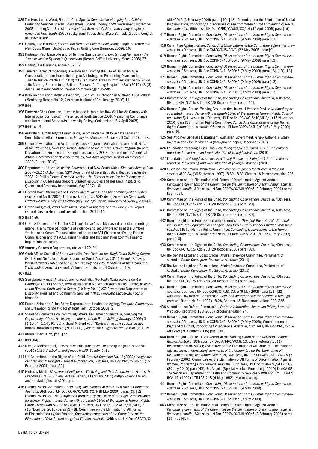- 389 The Hon. James Wood, *Report of the Special Commission of Inquiry into Children Protection Services in New South Wales* (Special Inquiry, NSW Government, November 2008); UnitingCare Burnside, *Locked into Remand: Children and young people on remand in New South Wales* (Background Paper, UnitingCare Burnside, 2009); Wong et al, above n 386.
- 390 UnitingCare Burnside, *Locked into Remand: Children and young people on remand in New South Wales* (Background Paper, Uniting Care Burnside, 2009), 10.
- 391 Professor Paul Mazerolle and Dr Jennifer Saunderson, *Understanding Remand in the Juvenile Justice System in Queensland* (Report, Griffith University, March 2008) 23.
- 392 UnitingCare Burnside, above n 390, 9.
- 393 Jennifer Bargen, 'Embedding Diversion and Limiting the Use of Bail in NSW: A Consideration of the Issues Relating to Achieving and Embedding Diversion into Juvenile Justice Practices' (2010) 21 (3) *Current Issues in Criminal Justice* 467–479; Julie Stubbs, 'Re-examining Bail and Remand for Young People in NSW' (2010) 43 (3) *Australian & New Zealand Journal of Criminology* 485-505.
- 394 Kelly Richards and Mathew Lyneham, 'Juveniles in Detention in Australia 1981-2008' (Monitoring Report No 12, Australian Institute of Criminology, 2010) 11.

395 Ibid.

- 396 Professor Chris Cunneen, 'Juvenile Justice in Australia: How Well Do We Comply with International Standards?' (Presented at Youth Justice 2008: Measuring Compliance with International Standards, University College Cork, Ireland, 3-4 April 2008).
- 397 Ibid 14-15.
- 398 Australian Human Rights Commission, Submission No 70 to Senate Legal and Constitutional Affairs Committee, *Inquiry into Access to Justice* (20 October 2009) 3.
- 399 Office of Evaluation and Audit (Indigenous Programs), Australian Government, *Audit of the Prevention, Diversion, Rehabilitation and Restorative Justice Program* (Report, Department of Finance and Deregulation, January 2008); Department of Aboriginal Affairs, Government of New South Wales, *Two Ways Together: Report on Indicators 2009* (Report, 2010).
- 400 Department of Juvenile Justice, Government of New South Wales, *Disability Access Plan 2007—2011* (Action Plan, NSW Department of Juvenile Justice, Revised September 2008) 2; Phillip French, *Disabled Justice—the Barriers to Justice for Persons with Disability in Queensland* (Report, Disabilities Studies and Research Institute for Queensland Advocacy Incorporated, May 2007) 16.
- 401 Beyond Bars: Alternatives to Custody, *Mental Illness and the criminal justice system* (Fact Sheet No 9, 2007) 1; Dianna Kenny et al, *NSW Young People on Community Orders Health Survey 2003-2006* (Key Findings Report, University of Sydney, 2006) 6.
- 402 Devon Indig et al, *2009 NSW Young People in Custody Health Survey: Full* Report (Report, Justice Health and Juvenile Justice, 2011) 145.
- 403 Ibid 159.
- 404 Cf On 8 December 2010, the A.C.T. Legislative Assembly passed a resolution noting, inter-alia, a number of incidents of violence and security breaches at the Bimberi Youth Justice Centre. The resolution called for the ACT Children and Young People Commissioner and the A.C.T. Human Rights and Discrimination Commissioner to inquire into the centre.
- 405 Attorney-General's Department, above n 172, 24.
- 406 Youth Affairs Council of South Australia, *Fast Facts on the Magill Youth Training Centre* (Fact Sheet No 1, Youth Affairs Council of South Australia, 2011); George Brouwer, *Whistleblowers Protection Act 2001: Investigation into Conditions at the Melbourne Youth Justice Precinct* (Report, Victorian Ombudsman, 4 October 2010).

407 Ibid.

- 408 See generally Youth Affairs Council of Australia, *The Magill Youth Training Centre Campaign* (2011) <http://www.yacsa.com.au>; Bimberi Youth Justice Centre, *Welcome to the Bimberi Youth Justice Centre* (10 May 2011) ACT Government Department of Disability, Housing and Community Services <http://www.dhcs.act.gov.au/ocyfs/ bimberi>.
- 409 Peter d'Abbs and Gillan Shaw, Department of Health and Ageing, *Executive Summary of the 'Evaluation of the Impact of Opal Fuel'* (October 2008) 2.
- 410 Standing Committee on Community Affairs, Parliament of Australia, *Grasping the Opportunity of Opal: Assessing the Impact of the Petrol Sniffing Strategy* (2009) 3 [1.10], 4 [1.14], 91-92; Richard Midford et al, 'Review of volatile substance use among Indigenous people' (2011) 11(1) *Australian Indigenous Health Bulletin* 1, 15.
- 411 Anaya, above n 25, [53]–[55].
- 412 Ibid [64].
- 413 Richard Midford et al, 'Review of volatile substance use among Indigenous people' (2011) 11(1) *Australian Indigenous Health Bulletin* 1, 15.
- 414 UN Committee on the Rights of the Child, *General Comment No.11 (2009) Indigenous children and their rights under the Convention*, 50thsess, UN Doc CRC/C/GC/11 (12 February 2009) para [20].
- 415 Nicholas Biddle, *Measures of Indigenous Wellbeing and Their Determinants Across the Lifecourse* (*CAEPR Online Lecture Series* (3 February 2011) <http://caepr.anu.edu. au/population/lectures2011.php>.
- 416 Human Rights Committee, *Concluding Observations of the Human Rights Committee— Australia*, 95th sess, UN Doc CCPR/C/AUS/CO/5 (9 May 2009) paras [8], [12]; Human Rights Council, *Compilation prepared by the Office of the High Commissioner for Human Rights in accordance with paragraph 15(b) of the annex to Human Rights Council resolution 5/1 on Australia*, 10th sess, UN Doc A/HRC/WG.6/10/AUS/2 (15 November 2010) paras [3]-[8]; Committee on the Elimination of All Forms of Discrimination Against Women, *Concluding comments of the Committee on the Elimination of Discrimination against Women: Australia*, 34th sess, UN Doc CEDAW/C/

AUL/CO/5 (3 February 2006) paras [10]-[12]; Committee on the Elimination of Racial Discrimination, *Concluding Observations of the Committee on the Elimination of Racial Discrimination*, 66th sess, UN Doc CERD/C/AUS/CO/14 (14 April 2005) para [19].

- 417 Human Rights Committee, *Concluding Observations of the Human Rights Committee— Australia*, 95th sess, UN Doc CCPR/C/AUS/CO/5 (9 May 2009) para [13].
- 418 Committee Against Torture, *Concluding Observations of the Committee against Torture— Australia*, 40th sess, UN Doc CAT/C/AUS/CO/3 (22 May 2008) para [9].
- 419 Human Rights Committee, *Concluding Observations of the Human Rights Committee— Australia*, 95th sess, UN Doc CCPR/C/AUS/CO/5 (9 May 2009) para [13].
- 420 Human Rights Committee, *Concluding Observations of the Human Rights Committee— Australia*, 95th sess, UN Doc CCPR/C/AUS/CO/5 (9 May 2009) paras [8], [13]-[16].
- 421 Human Rights Committee, *Concluding Observations of the Human Rights Committee— Australia*, 95th sess, UN Doc CCPR/C/AUS/CO/5 (9 May 2009) para [13].
- 422 Human Rights Committee, *Concluding Observations of the Human Rights Committee— Australia*, 95th sess, UN Doc CCPR/C/AUS/CO/5 (9 May 2009) para [13].
- 423 Committee on the Rights of the Child, *Concluding Observations*: Australia, 40th sess, UN Doc CRC/C/15/Add.268 (20 October 2005) para [14].
- 424 Human Rights Council Working Group on the Universal Periodic Review, *National report submitted in accordance with paragraph 15(a) of the annex to Human Rights Council resolution 5/1—Australia*, 10th sess, UN Doc A/HRC/WG.6/10/AUS/1 (15 November 2010) para [38]; Human Rights Committee, *Concluding Observations of the Human Rights Committee—Australia*, 95th sess, UN Doc CCPR/C/AUS/CO/5 (9 May 2009) para [9].
- 425 See Attorney-General's Department, Australian Government, *A New National Human Rights Action Plan for Australia* (Background paper, December 2010).
- 426 Foundation for Young Australians, *How Young People are Faring 2010—The national report on the learning and work situation of young Australians* (2010).
- 427 Foundation for Young Australians, *How Young People are Faring 2010—The national report on the learning and work situation of young Australians* (2010).
- 428 Australian Law Reform Commission, *Seen and heard: priority for children in the legal process, ALRC 84,* (30 September 1997) 18.80-18.83, Chapter 18 Recommendation 206.
- 429 Committee on the Elimination of All Forms of Discrimination Against Women, *Concluding comments of the Committee on the Elimination of Discrimination against Women: Australia*, 34th sess, UN Doc CEDAW/C/AUL/CO/5 (3 February 2006) paras [35], [37].
- 430 Committee on the Rights of the Child, *Concluding Observations*: Australia, 40th sess, UN Doc CRC/C/15/Add.268 (20 October 2005) para [28].
- 431 Committee on the Rights of the Child, *Concluding Observations*: Australia, 40th sess, UN Doc CRC/C/15/Add.268 (20 October 2005) para [30].
- 432 Human Rights and Equal Opportunity Commission, *'Bringing Them Home'—National Inquiry into the Separation of Aboriginal and Torres Strait Islander Children from their Families* (1995);Human Rights Committee, *Concluding Observations of the Human Rights Committee—Australia*, 95th sess, UN Doc CCPR/C/AUS/CO/5 (9 May 2009) para [10].
- 433 Committee on the Rights of the Child, *Concluding Observations: Australia*, 40th sess, UN Doc CRC/C/15/Add.268 (20 October 2005) para [32].
- 434 The Senate Legal and Constitutional Affairs Reference Committee, Parliament of Australia, *Donor Conception Practice in Australia* (2011).
- 435 The Senate Legal and Constitutional Affairs Reference Committee, Parliament of Australia, *Donor Conception Practice in Australia* (2011).
- 436 Committee on the Rights of the Child, *Concluding Observations: Australia*, 40th sess UN Doc CRC/C/15/Add.268 (20 October 2005) para [34].
- 437 Human Rights Committee, *Concluding Observations of the Human Rights Committee— Australia*, 95th sess UN Doc CCPR/C/AUS/CO/5 (9 May 2009) para [21]-[22]; Australian Law Reform Commission, *Seen and heard: priority for children in the legal process* (Report No 84, 1997) 18.28, Chapter 18, Recommendations 223–225.
- 438 Australian Law Reform Commission, *For Your Information: Australian Privacy Law and Practice*, (Report No 108, 2008) Recommendation 74.
- 439 Human Rights Committee, *Concluding Observations of the Human Rights Committee— Australia*, 95th sess, UN Doc CCPR/C/AUS/CO/5 (9 May 2009); Committee on the Rights of the Child, *Concluding Observations: Australia*, 40th sess, UN Doc CRC/C/15/ Add.268 (20 October 2005) para [36].
- 440 Human Rights Council, *Draft Report of the Working Group on the Universal Periodic Review, Australia*, 10th sess, UN Doc A/HRC/WG.6/10/L.8 (3 February 2011) Recommendation 86.39; Committee on the Elimination of All Forms of Discrimination Against Women, *Concluding comments of the Committee on the Elimination of Discrimination against Women: Australia*, 34th sess, UN Doc CEDAW/C/AUL/CO/5 (3 February 2006); Committee on the Elimination of All Forms of Discrimination Against Women, *Concluding Observations*: Australia, 46th sess, UN Doc CEDAW/C/AUL/CO/7 (30 July 2010) para [43]; Re: Angela (Special Medical Procedure) [2010] FamCA 98; The Secretary, Department of Health and Community Services v JWB and SMB [1992] HCA 15; (1992) 175 LCR 218 (6 May 1992) (Marion's case).
- 441 Human Rights Committee, *Concluding Observations of the Human Rights Committee— Australia*, 95th sess, UN Doc CCPR/C/AUS/CO/5 (9 May 2009).
- 442 Human Rights Committee, *Concluding Observations of the Human Rights Committee— Australia*, 95th sess, UN Doc CCPR/C/AUS/CO/5 (9 May 2009).
- 443 Committee on the Elimination of All Forms of Discrimination Against Women, *Concluding comments of the Committee on the Elimination of Discrimination against Women: Australia*, 34th sess, UN Doc CEDAW/C/AUL/CO/5 (3 February 2006) paras [19], [36]-[37].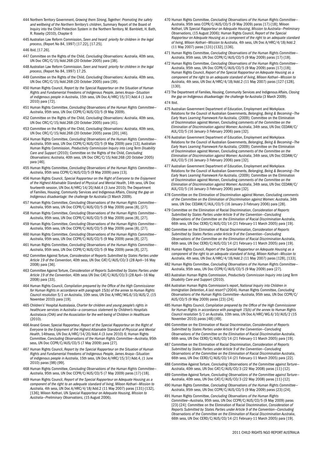- 444 Northern Territory Government, *Growing them Strong, Together: Promoting the safety and wellbeing of the Northern Territory's children*, Summary Report of the Board of Inquiry into the Child Protection System in the Northern Territory, M. Bamblett, H. Bath, R. Roseby (2010), Chapter 6
- 445 Australian Law Reform Commission, *Seen and heard: priority for children in the legal process*, (Report No 84, 1997) [17.22], [17.25].

446 Ibid, [17.26].

- 447 Committee on the Rights of the Child, *Concluding Observations: Australia*, 40th sess, UN Doc CRC/C/15/Add.268 (20 October 2005) para [38].
- 448 Australian Law Reform Commission, *Seen and heard: priority for children in the legal process*, (Report No 84, 1997) 17.25.
- 449 Committee on the Rights of the Child, *Concluding Observations: Australia*, 40th sess, UN Doc CRC/C/15/Add.268 (20 October 2005) para [39].
- 450 Human Rights Council, *Report by the Special Rapporteur on the Situation of Human Rights and Fundamental Freedoms of Indigenous People, James Anaya—Situation of indigenous people in Australia*, 15th sess, UN Doc A/HRC/15/37/Add.4 (1 June 2010) para [72].
- 451 Human Rights Committee, *Concluding Observations of the Human Rights Committee— Australia*, 95th sess, UN Doc CCPR/C/AUS/CO/5 (9 May 2009).
- 452 Committee on the Rights of the Child, *Concluding Observations: Australia*, 40th sess, UN Doc CRC/C/15/Add.268 (20 October 2005) para [41].
- 453 Committee on the Rights of the Child, *Concluding Observations: Australia*, 40th sess, UN Doc CRC/C/15/Add.268 (20 October 2005) paras [20], [46].
- 454 Human Rights Committee, *Concluding Observations of the Human Rights Committee— Australia*, 95th sess, UN Doc CCPR/C/AUS/CO/5 (9 May 2009) para [13]; Australian Human Rights Commission, *Productivity Commission Inquiry into Long Term Disability Care and Support* (2010); Committee on the Rights of the Child, *Concluding Observations: Australia*, 40th sess, UN Doc CRC/C/15/Add.268 (20 October 2005) para [46].
- 455 Human Rights Committee, *Concluding Observations of the Human Rights Committee— Australia*, 95th sess CCPR/C/AUS/CO/5 (9 May 2009) para [13].
- 456 Human Rights Council, *Special Rapporteur on the Right of Everyone to the Enjoyment of the Highest Attainable Standard of Physical and Mental Health*, 14th sess, UN Doc fourteenth session, UN Doc A/HRC/14/20/Add.4 (3 June 2010); The Department of Families, Housing, Community Services and Indigenous Affairs, *Closing the gap on Indigenous disadvantage: the challenge for Australia* (3 March 2009).
- 457 Human Rights Committee, *Concluding Observations of the Human Rights Committee— Australia*, 95th sess, UN Doc CCPR/C/AUS/CO/5 (9 May 2009) paras [8], [27].
- 458 Human Rights Committee, *Concluding Observations of the Human Rights Committee— Australia*, 95th sess, UN Doc CCPR/C/AUS/CO/5 (9 May 2009) paras [8], [27].
- 459 Human Rights Committee, *Concluding Observations of the Human Rights Committee— Australia*, 95th sess, UN Doc CCPR/C/AUS/CO/5 (9 May 2009) paras [8], [27].
- 460 Human Rights Committee, *Concluding Observations of the Human Rights Committee— Australia*, 95th sess, UN Doc CCPR/C/AUS/CO/5 (9 May 2009) paras [8], [27].
- 461 Human Rights Committee, *Concluding Observations of the Human Rights Committee— Australia*, 95th sess, UN Doc CCPR/C/AUS/CO/5 (9 May 2009) paras [8], [27].
- 462 Committee Against Torture, *Consideration of Reports Submitted by States Parties under Article 19 of the Convention*, 40th sess, UN Doc CAT/C/AUS/CO/3 (28 April—16 May 2008) para [36].
- 463 Committee Against Torture, *Consideration of Reports Submitted by States Parties under Article 19 of the Convention*, 40th sess UN Doc CAT/C/AUS/CO/3 (28 April—16 May 2008) para [33].
- 464 Human Rights Council, *Compilation prepared by the Office of the High Commissioner for Human Rights in accordance with paragraph 15(b) of the annex to Human Rights Council resolution 5/1 on Australia*, 10th sess, UN Doc A/HRC/WG.6/10/AUS/2, (15 November 2010) para [19].
- 465 Children's' Hospital Australasia, *Charter for children and young people's rights in healthcare services in Australia—a consensus statement by Children's Hospitals Australasia (CHA) and the Association for the well-being of Children in Healthcare* (2010).
- 466 Anand Grover, Special Rapporteur, *Report of the Special Rapporteur on the Right of Everyone to the Enjoyment of the Highest Attainable Standard of Physical and Mental Health*, 14thsess, UN Doc A/HRC/14/20/Add.4 (3 June 2010) 6; Human Rights Committee, *Concluding Observations of the Human Rights Committee—Australia*, 95th sess, UN Doc CCPR/C/AUS/CO/5 (7 May 2009) para [27].
- 467 Human Rights Council, *Report by the Special Rapporteur on the Situation of Human Rights and Fundamental Freedoms of Indigenous People, James Anaya*—*Situation of indigenous people in Australia*, 15th sess, UN Doc A/HRC/15/37/Add.4, (1 June 2010) paras [98]-[99].
- 468 Human Rights Committee, *Concluding Observations of the Human Rights Committee— Australia*, 95th sess, UN Doc CCPR/C/AUS/CO/5 (7 May 2009) paras [17]-[18].
- 469 Human Rights Council, *Report of the Special Rapporteur on Adequate Housing as a component of the right to an adequate standard of living, Miloon Kothari—Mission to Australia,* 4th sess, UN Doc A/HRC/4/18/Add.2 (11 May 2007) paras [131]-[132], [136]; Miloon Kothari, UN *Special Rapporteur on Adequate Housing, Mission to Australia—Preliminary Observations,* (15 August 2006).
- 470 Human Rights Committee, *Concluding Observations of the Human Rights Committee— Australia*, 95th sess CCPR/C/AUS/CO/5 (9 May 2009) paras [17]-[18]; Miloon Kothari, UN *Special Rapporteur on Adequate Housing, Mission to Australia—Preliminary Observations,* (15 August 2006); Human Rights Council, *Report of the Special Rapporteur on Adequate Housing as a component of the right to an adequate standard of living, Miloon Kothari—Mission to Australia,* 4th sess, UN Doc A/HRC/4/18/Add.2 (11 May 2007) paras [131]-[132], [136].
- 471 Human Rights Committee, *Concluding Observations of the Human Rights Committee— Australia*, 95th sess, UN Doc CCPR/C/AUS/CO/5 (9 May 2009) paras [17]-[18].
- 472 Human Rights Committee, *Concluding Observations of the Human Rights Committee— Australia*, 95th sess, UN Doc CCPR/C/AUS/CO/5 (9 May 2009) paras [17]-[18]; Human Rights Council, *Report of the Special Rapporteur on Adequate Housing as a component of the right to an adequate standard of living, Miloon Kothari—Mission to Australia,* 4th sess, UN Doc A/HRC/4/18/Add.2 (11 May 2007) paras [127-[128], [130].
- 473 The Department of Families, Housing, Community Services and Indigenous Affairs, *Closing the gap on Indigenous disadvantage: the challenge for Australia* (3 March 2009).

#### 474 Ibid.

- 475 Australian Government Department of Education, Employment and Workplace. Relations for the Council of Australian Governments, *Belonging, Being & Becoming—The Early Years Learning Framework For Australia,* (2009); Committee on the Elimination of Discrimination against Women, Concluding *comments of the Committee on the Elimination of Discrimination against Women: Australia*, 34th sess, UN Doc CEDAW/C/ AUL/CO/5 (16 January-3 February 2006) para [32].
- 476 Australian Government Department of Education, Employment and Workplace. Relations for the Council of Australian Governments, *Belonging, Being & Becoming—The Early Years Learning Framework For Australia,* (2009); Committee on the Elimination of Discrimination against Women, Concluding *comments of the Committee on the Elimination of Discrimination against Women: Australia*, 34th sess, UN Doc CEDAW/C/ AUL/CO/5 (16 January-3 February 2006) para [32].
- 477 Australian Government Department of Education, Employment and Workplace. Relations for the Council of Australian Governments, *Belonging, Being & Becoming—The Early Years Learning Framework For Australia,* (2009); Committee on the Elimination of Discrimination against Women, Concluding *comments of the Committee on the Elimination of Discrimination against Women: Australia*, 34th sess, UN Doc CEDAW/C/ AUL/CO/5 (16 January-3 February 2006) para [32].
- 478 Committee on the Elimination of Discrimination against Women, Concluding *comments of the Committee on the Elimination of Discrimination against Women: Australia*, 34th sess, UN Doc CEDAW/C/AUL/CO/5 (16 January-3 February 2006) para [28].
- 479 Committee on the Elimination of Racial Discrimination, *Consideration of Reports Submitted by States Parties under Article 9 of the Convention—Concluding Observations of the Committee on the Elimination of Racial Discrimination Australia*, 66th sess, UN Doc CERD/C/AUS/CO/14 (21 February-11 March 2005) para [19].
- 480 Committee on the Elimination of Racial Discrimination, *Consideration of Reports Submitted by States Parties under Article 9 of the Convention—Concluding Observations of the Committee on the Elimination of Racial Discrimination Australia*, 66th sess, UN Doc CERD/C/AUS/CO/14 (21 February-11 March 2005) para [19].
- 481 Human Rights Council, *Report of the Special Rapporteur on Adequate Housing as a component of the right to an adequate standard of living, Miloon Kothari—Mission to Australia,* 4th sess, UN Doc A/HRC/4/18/Add.2 (11 May 2007) paras [128], [133].
- 482 Human Rights Committee, *Concluding Observations of the Human Rights Committee— Australia*, 95th sess, UN Doc CCPR/C/AUS/CO/5 (9 May 2009) para [27].
- 483 Australian Human Rights Commission, *Productivity Commission Inquiry into Long Term Disability Care and Support* (2010).
- 484 Australian Human Rights Commission's report, *National Inquiry into Children in Immigration Detention, A last resort?* (2004). Human Rights Committee, *Concluding Observations of the Human Rights Committee—Australia*, 95th sess, UN Doc CCPR/C/ AUS/CO/5 (9 May 2009) paras [23]-[24].
- 485 Human Rights Council, *Compilation prepared by the Office of the High Commissioner for Human Rights in accordance with paragraph 15(b) of the annex to Human Rights Council resolution 5/1 on Australia*, 10th sess, UN Doc A/HRC/WG.6/10/AUS/2 (15 November 2010) paras [48]-[49].
- 486 Committee on the Elimination of Racial Discrimination, *Consideration of Reports Submitted by States Parties under Article 9 of the Convention—Concluding Observations of the Committee on the Elimination of Racial Discrimination Australia*, 66th sess, UN Doc CERD/C/AUS/CO/14 (21 February-11 March 2005) para [19].
- 487 Committee on the Elimination of Racial Discrimination, *Consideration of Reports Submitted by States Parties under Article 9 of the Convention—Concluding Observations of the Committee on the Elimination of Racial Discrimination Australia*, 66th sess, UN Doc CERD/C/AUS/CO/14 (21 February-11 March 2005) para [22].
- 488 Committee Against Torture, *Concluding Observations of the Committee against Torture— Australia*, 40th sess, UN Doc CAT/C/AUS/CO/3 (22 May 2008) paras [11]-[12].
- 489 Committee Against Torture, *Concluding Observations of the Committee against Torture— Australia*, 40th sess, UN Doc CAT/C/AUS/CO/3 (22 May 2008) paras [11]-[12].
- 490 Human Rights Committee, *Concluding Observations of the Human Rights Committee— Australia*, 95th sess, UN Doc CCPR/C/AUS/CO/5 (9 May 2009) paras [23]-[24].
- 491 Human Rights Committee, *Concluding Observations of the Human Rights Committee—Australia*, 95th sess, UN Doc CCPR/C/AUS/CO/5 (9 May 2009) paras [23]-[24]; Committee on the Elimination of Racial Discrimination, *Consideration of Reports Submitted by States Parties under Article 9 of the Convention—Concluding Observations of the Committee on the Elimination of Racial Discrimination Australia*, 66th sess, UN Doc CERD/C/AUS/CO/14 (21 February-11 March 2005) para [19].